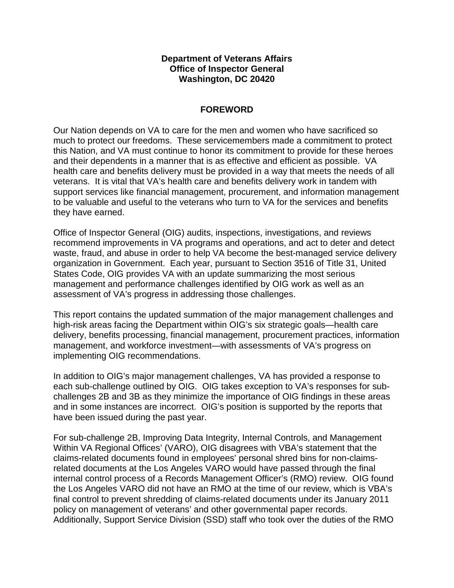## **Department of Veterans Affairs Office of Inspector General Washington, DC 20420**

# **FOREWORD**

 Our Nation depends on VA to care for the men and women who have sacrificed so much to protect our freedoms. These servicemembers made a commitment to protect and their dependents in a manner that is as effective and efficient as possible. VA they have earned. this Nation, and VA must continue to honor its commitment to provide for these heroes health care and benefits delivery must be provided in a way that meets the needs of all veterans. It is vital that VA's health care and benefits delivery work in tandem with support services like financial management, procurement, and information management to be valuable and useful to the veterans who turn to VA for the services and benefits

 recommend improvements in VA programs and operations, and act to deter and detect organization in Government. Each year, pursuant to Section 3516 of Title 31, United assessment of VA's progress in addressing those challenges. Office of Inspector General (OIG) audits, inspections, investigations, and reviews waste, fraud, and abuse in order to help VA become the best-managed service delivery States Code, OIG provides VA with an update summarizing the most serious management and performance challenges identified by OIG work as well as an

assessment of VA's progress in addressing those challenges.<br>This report contains the updated summation of the major management challenges and implementing OIG recommendations. high-risk areas facing the Department within OIG's six strategic goals—health care delivery, benefits processing, financial management, procurement practices, information management, and workforce investment—with assessments of VA's progress on

implementing OIG recommendations.<br>In addition to OIG's major management challenges, VA has provided a response to challenges 2B and 3B as they minimize the importance of OIG findings in these areas have been issued during the past year. each sub-challenge outlined by OIG. OIG takes exception to VA's responses for suband in some instances are incorrect. OIG's position is supported by the reports that

 related documents at the Los Angeles VARO would have passed through the final internal control process of a Records Management Officer's (RMO) review. OIG found policy on management of veterans' and other governmental paper records. For sub-challenge 2B, Improving Data Integrity, Internal Controls, and Management Within VA Regional Offices' (VARO), OIG disagrees with VBA's statement that the claims-related documents found in employees' personal shred bins for non-claimsthe Los Angeles VARO did not have an RMO at the time of our review, which is VBA's final control to prevent shredding of claims-related documents under its January 2011 Additionally, Support Service Division (SSD) staff who took over the duties of the RMO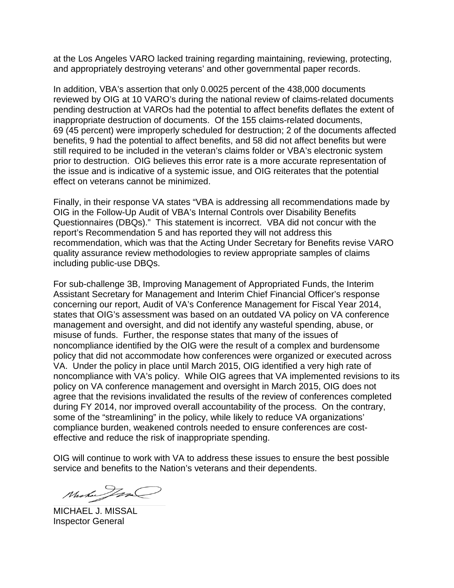and appropriately destroying veterans' and other governmental paper records. at the Los Angeles VARO lacked training regarding maintaining, reviewing, protecting,

and appropriately destroying veterans' and other governmental paper records.<br>In addition, VBA's assertion that only 0.0025 percent of the 438,000 documents pending destruction at VAROs had the potential to affect benefits deflates the extent of inappropriate destruction of documents. Of the 155 claims-related documents, still required to be included in the veteran's claims folder or VBA's electronic system prior to destruction. OIG believes this error rate is a more accurate representation of reviewed by OIG at 10 VARO's during the national review of claims-related documents 69 (45 percent) were improperly scheduled for destruction; 2 of the documents affected benefits, 9 had the potential to affect benefits, and 58 did not affect benefits but were the issue and is indicative of a systemic issue, and OIG reiterates that the potential effect on veterans cannot be minimized.

 Finally, in their response VA states "VBA is addressing all recommendations made by Questionnaires (DBQs)." This statement is incorrect. VBA did not concur with the report's Recommendation 5 and has reported they will not address this recommendation, which was that the Acting Under Secretary for Benefits revise VARO including public-use DBQs. OIG in the Follow-Up Audit of VBA's Internal Controls over Disability Benefits quality assurance review methodologies to review appropriate samples of claims

 concerning our report, Audit of VA's Conference Management for Fiscal Year 2014, states that OIG's assessment was based on an outdated VA policy on VA conference management and oversight, and did not identify any wasteful spending, abuse, or VA. Under the policy in place until March 2015, OIG identified a very high rate of noncompliance with VA's policy. While OIG agrees that VA implemented revisions to its policy on VA conference management and oversight in March 2015, OIG does not during FY 2014, nor improved overall accountability of the process. On the contrary, For sub-challenge 3B, Improving Management of Appropriated Funds, the Interim Assistant Secretary for Management and Interim Chief Financial Officer's response misuse of funds. Further, the response states that many of the issues of noncompliance identified by the OIG were the result of a complex and burdensome policy that did not accommodate how conferences were organized or executed across agree that the revisions invalidated the results of the review of conferences completed some of the "streamlining" in the policy, while likely to reduce VA organizations' compliance burden, weakened controls needed to ensure conferences are costeffective and reduce the risk of inappropriate spending.

 OIG will continue to work with VA to address these issues to ensure the best possible service and benefits to the Nation's veterans and their dependents.

Maha Jan

MICHAEL J. MISSAL Inspector General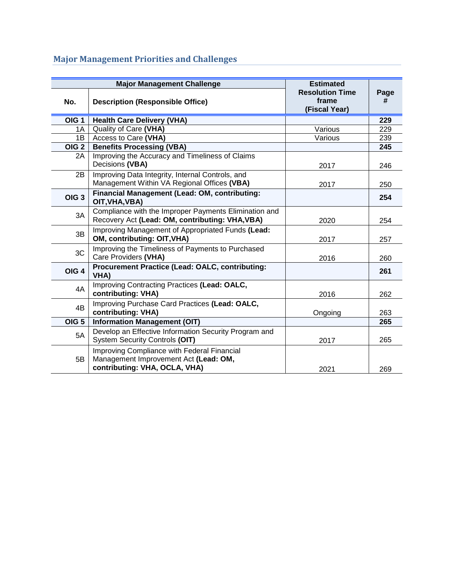# **Major Management Priorities and Challenges**

| <b>Major Management Challenge</b> |                                                                                                                       | <b>Estimated</b>                                 |           |
|-----------------------------------|-----------------------------------------------------------------------------------------------------------------------|--------------------------------------------------|-----------|
| No.                               | <b>Description (Responsible Office)</b>                                                                               | <b>Resolution Time</b><br>frame<br>(Fiscal Year) | Page<br># |
| OIG <sub>1</sub>                  | <b>Health Care Delivery (VHA)</b>                                                                                     |                                                  | 229       |
| 1A                                | Quality of Care (VHA)                                                                                                 | Various                                          | 229       |
| 1B                                | Access to Care (VHA)                                                                                                  | Various                                          | 239       |
| OIG <sub>2</sub>                  | <b>Benefits Processing (VBA)</b>                                                                                      |                                                  | 245       |
| 2A                                | Improving the Accuracy and Timeliness of Claims<br>Decisions (VBA)                                                    | 2017                                             | 246       |
| 2B                                | Improving Data Integrity, Internal Controls, and<br>Management Within VA Regional Offices (VBA)                       | 2017                                             | 250       |
| OIG <sub>3</sub>                  | Financial Management (Lead: OM, contributing:<br>OIT, VHA, VBA)                                                       |                                                  | 254       |
| 3A                                | Compliance with the Improper Payments Elimination and<br>Recovery Act (Lead: OM, contributing: VHA, VBA)              | 2020                                             | 254       |
| 3B                                | Improving Management of Appropriated Funds (Lead:<br>OM, contributing: OIT, VHA)                                      | 2017                                             | 257       |
| 3C                                | Improving the Timeliness of Payments to Purchased<br>Care Providers (VHA)                                             | 2016                                             | 260       |
| OIG <sub>4</sub>                  | <b>Procurement Practice (Lead: OALC, contributing:</b><br>VHA)                                                        |                                                  | 261       |
| 4A                                | Improving Contracting Practices (Lead: OALC,<br>contributing: VHA)                                                    | 2016                                             | 262       |
| 4B                                | Improving Purchase Card Practices (Lead: OALC,<br>contributing: VHA)                                                  | Ongoing                                          | 263       |
| OIG <sub>5</sub>                  | <b>Information Management (OIT)</b>                                                                                   |                                                  | 265       |
| 5A                                | Develop an Effective Information Security Program and<br><b>System Security Controls (OIT)</b>                        | 2017                                             | 265       |
| 5B                                | Improving Compliance with Federal Financial<br>Management Improvement Act (Lead: OM,<br>contributing: VHA, OCLA, VHA) | 2021                                             | 269       |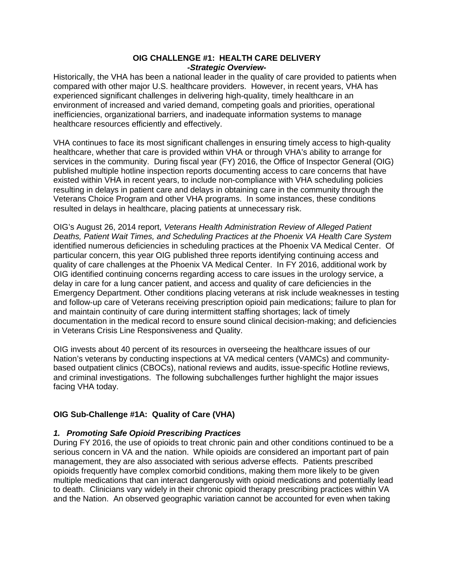#### **OIG CHALLENGE #1: HEALTH CARE DELIVERY**  *-Strategic Overview-*

 Historically, the VHA has been a national leader in the quality of care provided to patients when compared with other major U.S. healthcare providers. However, in recent years, VHA has experienced significant challenges in delivering high-quality, timely healthcare in an environment of increased and varied demand, competing goals and priorities, operational inefficiencies, organizational barriers, and inadequate information systems to manage healthcare resources efficiently and effectively.

 healthcare, whether that care is provided within VHA or through VHA's ability to arrange for services in the community. During fiscal year (FY) 2016, the Office of Inspector General (OIG) Veterans Choice Program and other VHA programs. In some instances, these conditions VHA continues to face its most significant challenges in ensuring timely access to high-quality published multiple hotline inspection reports documenting access to care concerns that have existed within VHA in recent years, to include non-compliance with VHA scheduling policies resulting in delays in patient care and delays in obtaining care in the community through the resulted in delays in healthcare, placing patients at unnecessary risk.

 identified numerous deficiencies in scheduling practices at the Phoenix VA Medical Center. Of particular concern, this year OIG published three reports identifying continuing access and quality of care challenges at the Phoenix VA Medical Center. In FY 2016, additional work by OIG's August 26, 2014 report, *Veterans Health Administration Review of Alleged Patient Deaths, Patient Wait Times, and Scheduling Practices at the Phoenix VA Health Care System*  OIG identified continuing concerns regarding access to care issues in the urology service, a delay in care for a lung cancer patient, and access and quality of care deficiencies in the Emergency Department. Other conditions placing veterans at risk include weaknesses in testing and follow-up care of Veterans receiving prescription opioid pain medications; failure to plan for and maintain continuity of care during intermittent staffing shortages; lack of timely documentation in the medical record to ensure sound clinical decision-making; and deficiencies in Veterans Crisis Line Responsiveness and Quality.

OIG invests about 40 percent of its resources in overseeing the healthcare issues of our Nation's veterans by conducting inspections at VA medical centers (VAMCs) and communitybased outpatient clinics (CBOCs), national reviews and audits, issue-specific Hotline reviews, and criminal investigations. The following subchallenges further highlight the major issues facing VHA today.

## **OIG Sub-Challenge #1A: Quality of Care (VHA)**

## *1. Promoting Safe Opioid Prescribing Practices*

 During FY 2016, the use of opioids to treat chronic pain and other conditions continued to be a serious concern in VA and the nation. While opioids are considered an important part of pain opioids frequently have complex comorbid conditions, making them more likely to be given to death. Clinicians vary widely in their chronic opioid therapy prescribing practices within VA management, they are also associated with serious adverse effects. Patients prescribed multiple medications that can interact dangerously with opioid medications and potentially lead and the Nation. An observed geographic variation cannot be accounted for even when taking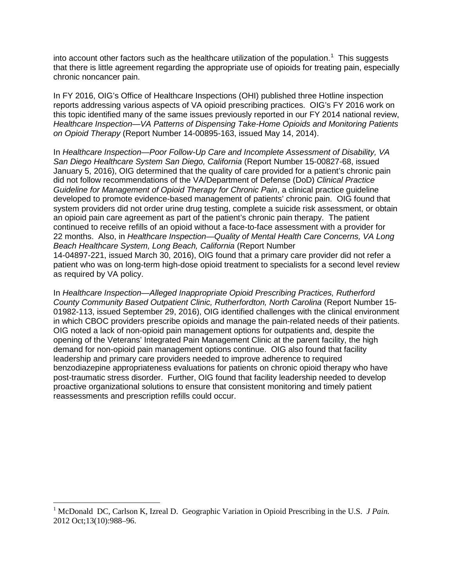into account other factors such as the healthcare utilization of the population.<sup>[1](#page-4-0)</sup> This suggests that there is little agreement regarding the appropriate use of opioids for treating pain, especially chronic noncancer pain.

 reports addressing various aspects of VA opioid prescribing practices. OIG's FY 2016 work on In FY 2016, OIG's Office of Healthcare Inspections (OHI) published three Hotline inspection this topic identified many of the same issues previously reported in our FY 2014 national review, *Healthcare Inspection—VA Patterns of Dispensing Take-Home Opioids and Monitoring Patients on Opioid Therapy* (Report Number 14-00895-163, issued May 14, 2014).

 January 5, 2016), OIG determined that the quality of care provided for a patient's chronic pain developed to promote evidence-based management of patients' chronic pain. OIG found that an opioid pain care agreement as part of the patient's chronic pain therapy. The patient continued to receive refills of an opioid without a face-to-face assessment with a provider for 22 months. Also, in *Healthcare Inspection—Quality of Mental Health Care Concerns, VA Long*  14-04897-221, issued March 30, 2016), OIG found that a primary care provider did not refer a In *Healthcare Inspection—Poor Follow-Up Care and Incomplete Assessment of Disability, VA San Diego Healthcare System San Diego, California* (Report Number 15-00827-68, issued did not follow recommendations of the VA/Department of Defense (DoD) *Clinical Practice Guideline for Management of Opioid Therapy for Chronic Pain*, a clinical practice guideline system providers did not order urine drug testing, complete a suicide risk assessment, or obtain *Beach Healthcare System, Long Beach, California* (Report Number patient who was on long-term high-dose opioid treatment to specialists for a second level review as required by VA policy.

 01982-113, issued September 29, 2016), OIG identified challenges with the clinical environment in which CBOC providers prescribe opioids and manage the pain-related needs of their patients. opening of the Veterans' Integrated Pain Management Clinic at the parent facility, the high demand for non-opioid pain management options continue. OIG also found that facility post-traumatic stress disorder. Further, OIG found that facility leadership needed to develop proactive organizational solutions to ensure that consistent monitoring and timely patient In *Healthcare Inspection—Alleged Inappropriate Opioid Prescribing Practices, Rutherford County Community Based Outpatient Clinic, Rutherfordton, North Carolina* (Report Number 15 OIG noted a lack of non-opioid pain management options for outpatients and, despite the leadership and primary care providers needed to improve adherence to required benzodiazepine appropriateness evaluations for patients on chronic opioid therapy who have reassessments and prescription refills could occur.

 $\overline{a}$ 

<span id="page-4-0"></span><sup>&</sup>lt;sup>1</sup> McDonald DC, Carlson K, Izreal D. Geographic Variation in Opioid Prescribing in the U.S. *J Pain*. 2012 Oct;13(10):988–96.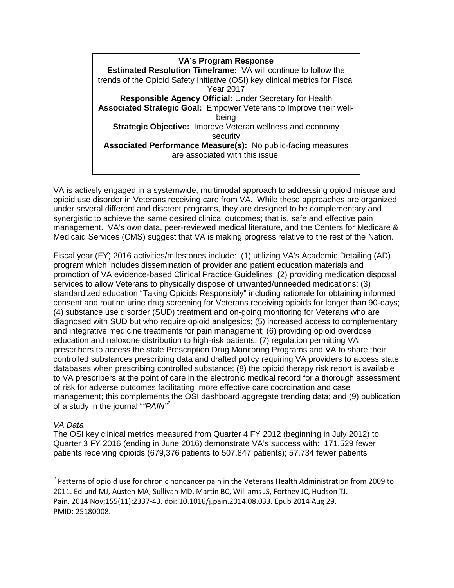**Estimated Resolution Timeframe:** VA will continue to follow the trends of the Opioid Safety Initiative (OSI) key clinical metrics for Fiscal **Associated Strategic Goal:** Empower Veterans to Improve their well- **Strategic Objective:** Improve Veteran wellness and economy  **Associated Performance Measure(s):** No public-facing measures **VA's Program Response** Year 2017 **Responsible Agency Official:** Under Secretary for Health being security are associated with this issue.

 opioid use disorder in Veterans receiving care from VA. While these approaches are organized Medicaid Services (CMS) suggest that VA is making progress relative to the rest of the Nation. VA is actively engaged in a systemwide, multimodal approach to addressing opioid misuse and under several different and discreet programs, they are designed to be complementary and synergistic to achieve the same desired clinical outcomes; that is, safe and effective pain management. VA's own data, peer-reviewed medical literature, and the Centers for Medicare &

 services to allow Veterans to physically dispose of unwanted/unneeded medications; (3) prescribers to access the state Prescription Drug Monitoring Programs and VA to share their of risk for adverse outcomes facilitating more effective care coordination and case Fiscal year (FY) 2016 activities/milestones include: (1) utilizing VA's Academic Detailing (AD) program which includes dissemination of provider and patient education materials and promotion of VA evidence-based Clinical Practice Guidelines; (2) providing medication disposal standardized education "Taking Opioids Responsibly" including rationale for obtaining informed consent and routine urine drug screening for Veterans receiving opioids for longer than 90-days; (4) substance use disorder (SUD) treatment and on-going monitoring for Veterans who are diagnosed with SUD but who require opioid analgesics; (5) increased access to complementary and integrative medicine treatments for pain management; (6) providing opioid overdose education and naloxone distribution to high-risk patients; (7) regulation permitting VA controlled substances prescribing data and drafted policy requiring VA providers to access state databases when prescribing controlled substance; (8) the opioid therapy risk report is available to VA prescribers at the point of care in the electronic medical record for a thorough assessment management; this complements the OSI dashboard aggregate trending data; and (9) publication of a study in the journal "*"PAIN"[2](#page-5-0) .* 

## *VA Data*

**.** 

The OSI key clinical metrics measured from Quarter 4 FY 2012 (beginning in July 2012) to Quarter 3 FY 2016 (ending in June 2016) demonstrate VA's success with: 171,529 fewer patients receiving opioids (679,376 patients to 507,847 patients); 57,734 fewer patients

<span id="page-5-0"></span> $2$  Patterns of opioid use for chronic noncancer pain in the Veterans Health Administration from 2009 to 2011. Edlund MJ, Austen MA, Sullivan MD, Martin BC, Williams JS, Fortney JC, Hudson TJ. Pain. 2014 Nov;155(11):2337-43. doi: 10.1016/j.pain.2014.08.033. Epub 2014 Aug 29. PMID: 25180008.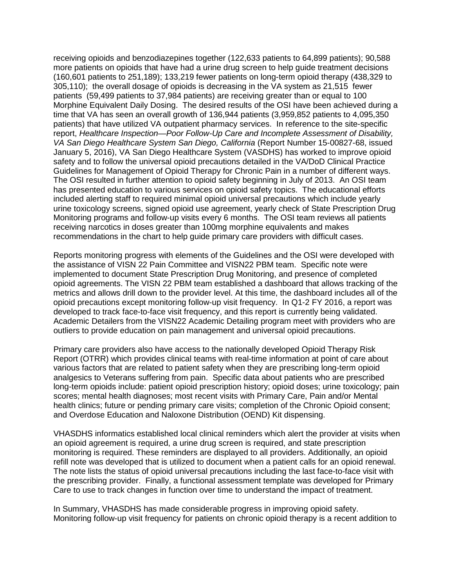305,110); the overall dosage of opioids is decreasing in the VA system as 21,515 fewer patients (59,499 patients to 37,984 patients) are receiving greater than or equal to 100 Morphine Equivalent Daily Dosing. The desired results of the OSI have been achieved during a patients) that have utilized VA outpatient pharmacy services. In reference to the site-specific Guidelines for Management of Opioid Therapy for Chronic Pain in a number of different ways. Guidelines for Management of Opioid Therapy for Chronic Pain in a number of different ways.<br>The OSI resulted in further attention to opioid safety beginning in July of 2013. An OSI team has presented education to various services on opioid safety topics. The educational efforts Monitoring programs and follow-up visits every 6 months. The OSI team reviews all patients recommendations in the chart to help guide primary care providers with difficult cases. receiving opioids and benzodiazepines together (122,633 patients to 64,899 patients); 90,588 more patients on opioids that have had a urine drug screen to help guide treatment decisions (160,601 patients to 251,189); 133,219 fewer patients on long-term opioid therapy (438,329 to time that VA has seen an overall growth of 136,944 patients (3,959,852 patients to 4,095,350 report, *Healthcare Inspection—Poor Follow-Up Care and Incomplete Assessment of Disability, VA San Diego Healthcare System San Diego, California* (Report Number 15-00827-68, issued January 5, 2016), VA San Diego Healthcare System (VASDHS) has worked to improve opioid safety and to follow the universal opioid precautions detailed in the VA/DoD Clinical Practice included alerting staff to required minimal opioid universal precautions which include yearly urine toxicology screens, signed opioid use agreement, yearly check of State Prescription Drug receiving narcotics in doses greater than 100mg morphine equivalents and makes

 Reports monitoring progress with elements of the Guidelines and the OSI were developed with metrics and allows drill down to the provider level. At this time, the dashboard includes all of the opioid precautions except monitoring follow-up visit frequency. In Q1-2 FY 2016, a report was developed to track face-to-face visit frequency, and this report is currently being validated. the assistance of VISN 22 Pain Committee and VISN22 PBM team. Specific note were implemented to document State Prescription Drug Monitoring, and presence of completed opioid agreements. The VISN 22 PBM team established a dashboard that allows tracking of the Academic Detailers from the VISN22 Academic Detailing program meet with providers who are outliers to provide education on pain management and universal opioid precautions.

 Report (OTRR) which provides clinical teams with real-time information at point of care about various factors that are related to patient safety when they are prescribing long-term opioid scores; mental health diagnoses; most recent visits with Primary Care, Pain and/or Mental Primary care providers also have access to the nationally developed Opioid Therapy Risk analgesics to Veterans suffering from pain. Specific data about patients who are prescribed long-term opioids include: patient opioid prescription history; opioid doses; urine toxicology; pain health clinics; future or pending primary care visits; completion of the Chronic Opioid consent; and Overdose Education and Naloxone Distribution (OEND) Kit dispensing.

 refill note was developed that is utilized to document when a patient calls for an opioid renewal. The note lists the status of opioid universal precautions including the last face-to-face visit with Care to use to track changes in function over time to understand the impact of treatment. VHASDHS informatics established local clinical reminders which alert the provider at visits when an opioid agreement is required, a urine drug screen is required, and state prescription monitoring is required. These reminders are displayed to all providers. Additionally, an opioid the prescribing provider. Finally, a functional assessment template was developed for Primary

In Summary, VHASDHS has made considerable progress in improving opioid safety. In Summary, VHASDHS has made considerable progress in improving opioid safety.<br>Monitoring follow-up visit frequency for patients on chronic opioid therapy is a recent addition to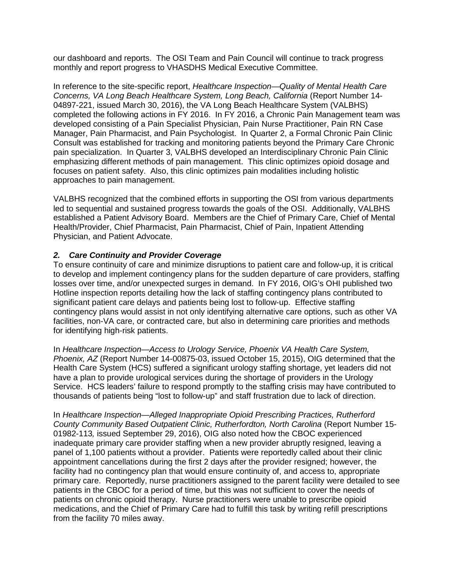our dashboard and reports. The OSI Team and Pain Council will continue to track progress monthly and report progress to VHASDHS Medical Executive Committee.

 04897-221, issued March 30, 2016), the VA Long Beach Healthcare System (VALBHS) completed the following actions in FY 2016. In FY 2016, a Chronic Pain Management team was Manager, Pain Pharmacist, and Pain Psychologist. In Quarter 2, a Formal Chronic Pain Clinic Consult was established for tracking and monitoring patients beyond the Primary Care Chronic focuses on patient safety. Also, this clinic optimizes pain modalities including holistic In reference to the site-specific report, *Healthcare Inspection—Quality of Mental Health Care Concerns, VA Long Beach Healthcare System, Long Beach, California* (Report Number 14 developed consisting of a Pain Specialist Physician, Pain Nurse Practitioner, Pain RN Case pain specialization. In Quarter 3, VALBHS developed an Interdisciplinary Chronic Pain Clinic emphasizing different methods of pain management. This clinic optimizes opioid dosage and approaches to pain management.

 led to sequential and sustained progress towards the goals of the OSI. Additionally, VALBHS established a Patient Advisory Board. Members are the Chief of Primary Care, Chief of Mental VALBHS recognized that the combined efforts in supporting the OSI from various departments Health/Provider, Chief Pharmacist, Pain Pharmacist, Chief of Pain, Inpatient Attending Physician, and Patient Advocate.

## *2. Care Continuity and Provider Coverage*

 to develop and implement contingency plans for the sudden departure of care providers, staffing losses over time, and/or unexpected surges in demand. In FY 2016, OIG's OHI published two Hotline inspection reports detailing how the lack of staffing contingency plans contributed to To ensure continuity of care and minimize disruptions to patient care and follow-up, it is critical significant patient care delays and patients being lost to follow-up. Effective staffing contingency plans would assist in not only identifying alternative care options, such as other VA facilities, non-VA care, or contracted care, but also in determining care priorities and methods for identifying high-risk patients.

 thousands of patients being "lost to follow-up" and staff frustration due to lack of direction. In *Healthcare Inspection—Access to Urology Service, Phoenix VA Health Care System, Phoenix, AZ* (Report Number 14-00875-03, issued October 15, 2015), OIG determined that the Health Care System (HCS) suffered a significant urology staffing shortage, yet leaders did not have a plan to provide urological services during the shortage of providers in the Urology Service. HCS leaders' failure to respond promptly to the staffing crisis may have contributed to

 panel of 1,100 patients without a provider. Patients were reportedly called about their clinic appointment cancellations during the first 2 days after the provider resigned; however, the patients in the CBOC for a period of time, but this was not sufficient to cover the needs of In *Healthcare Inspection—Alleged Inappropriate Opioid Prescribing Practices, Rutherford County Community Based Outpatient Clinic, Rutherfordton, North Carolina (Report Number 15-*01982-113*,* issued September 29, 2016), OIG also noted how the CBOC experienced inadequate primary care provider staffing when a new provider abruptly resigned, leaving a facility had no contingency plan that would ensure continuity of, and access to, appropriate primary care. Reportedly, nurse practitioners assigned to the parent facility were detailed to see patients on chronic opioid therapy. Nurse practitioners were unable to prescribe opioid medications, and the Chief of Primary Care had to fulfill this task by writing refill prescriptions from the facility 70 miles away.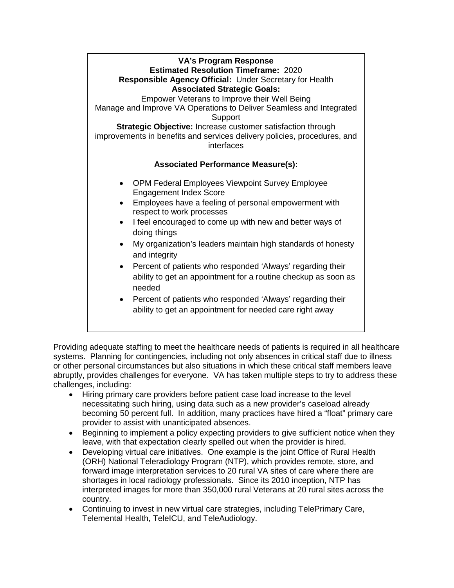

 or other personal circumstances but also situations in which these critical staff members leave abruptly, provides challenges for everyone. VA has taken multiple steps to try to address these Providing adequate staffing to meet the healthcare needs of patients is required in all healthcare systems. Planning for contingencies, including not only absences in critical staff due to illness challenges, including:

- becoming 50 percent full. In addition, many practices have hired a "float" primary care provider to assist with unanticipated absences. • Hiring primary care providers before patient case load increase to the level necessitating such hiring, using data such as a new provider's caseload already
- leave, with that expectation clearly spelled out when the provider is hired. • Beginning to implement a policy expecting providers to give sufficient notice when they
- Developing virtual care initiatives. One example is the joint Office of Rural Health interpreted images for more than 350,000 rural Veterans at 20 rural sites across the country. (ORH) National Teleradiology Program (NTP), which provides remote, store, and forward image interpretation services to 20 rural VA sites of care where there are shortages in local radiology professionals. Since its 2010 inception, NTP has
- • Continuing to invest in new virtual care strategies, including TelePrimary Care, Telemental Health, TeleICU, and TeleAudiology.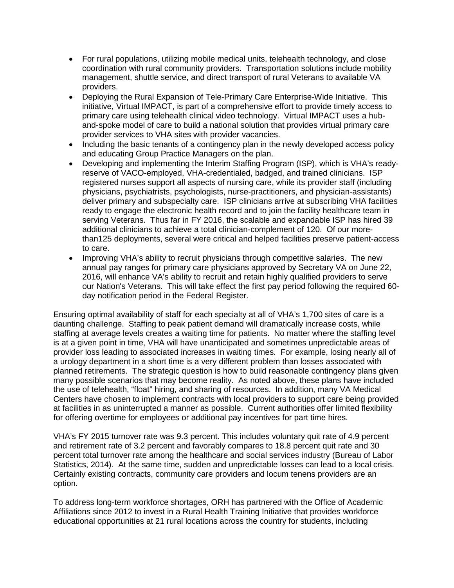- coordination with rural community providers. Transportation solutions include mobility • For rural populations, utilizing mobile medical units, telehealth technology, and close management, shuttle service, and direct transport of rural Veterans to available VA providers.
- Deploying the Rural Expansion of Tele-Primary Care Enterprise-Wide Initiative. This provider services to VHA sites with provider vacancies. initiative, Virtual IMPACT, is part of a comprehensive effort to provide timely access to primary care using telehealth clinical video technology. Virtual IMPACT uses a huband-spoke model of care to build a national solution that provides virtual primary care
- and educating Group Practice Managers on the plan. • Including the basic tenants of a contingency plan in the newly developed access policy
- reserve of VACO-employed, VHA-credentialed, badged, and trained clinicians. ISP registered nurses support all aspects of nursing care, while its provider staff (including deliver primary and subspecialty care. ISP clinicians arrive at subscribing VHA facilities serving Veterans. Thus far in FY 2016, the scalable and expandable ISP has hired 39 additional clinicians to achieve a total clinician-complement of 120. Of our more-• Developing and implementing the Interim Staffing Program (ISP), which is VHA's readyphysicians, psychiatrists, psychologists, nurse-practitioners, and physician-assistants) ready to engage the electronic health record and to join the facility healthcare team in than125 deployments, several were critical and helped facilities preserve patient-access to care.
- Improving VHA's ability to recruit physicians through competitive salaries. The new 2016, will enhance VA's ability to recruit and retain highly qualified providers to serve our Nation's Veterans. This will take effect the first pay period following the required 60 day notification period in the Federal Register. annual pay ranges for primary care physicians approved by Secretary VA on June 22,

 provider loss leading to associated increases in waiting times. For example, losing nearly all of planned retirements. The strategic question is how to build reasonable contingency plans given the use of telehealth, "float" hiring, and sharing of resources. In addition, many VA Medical at facilities in as uninterrupted a manner as possible. Current authorities offer limited flexibility Ensuring optimal availability of staff for each specialty at all of VHA's 1,700 sites of care is a daunting challenge. Staffing to peak patient demand will dramatically increase costs, while staffing at average levels creates a waiting time for patients. No matter where the staffing level is at a given point in time, VHA will have unanticipated and sometimes unpredictable areas of a urology department in a short time is a very different problem than losses associated with many possible scenarios that may become reality. As noted above, these plans have included Centers have chosen to implement contracts with local providers to support care being provided for offering overtime for employees or additional pay incentives for part time hires.

 percent total turnover rate among the healthcare and social services industry (Bureau of Labor Statistics, 2014). At the same time, sudden and unpredictable losses can lead to a local crisis. Certainly existing contracts, community care providers and locum tenens providers are an option. VHA's FY 2015 turnover rate was 9.3 percent. This includes voluntary quit rate of 4.9 percent and retirement rate of 3.2 percent and favorably compares to 18.8 percent quit rate and 30

option.<br>To address long-term workforce shortages, ORH has partnered with the Office of Academic Affiliations since 2012 to invest in a Rural Health Training Initiative that provides workforce educational opportunities at 21 rural locations across the country for students, including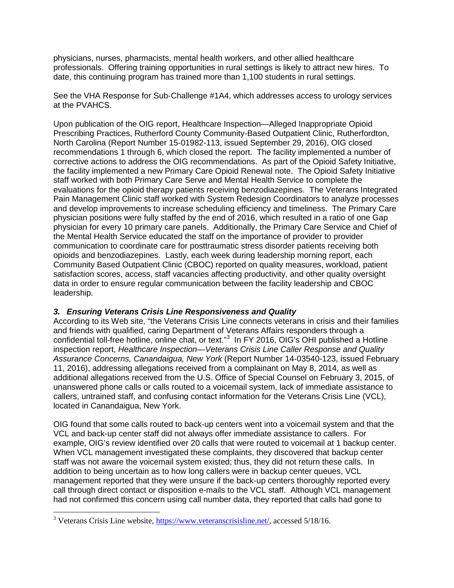professionals. Offering training opportunities in rural settings is likely to attract new hires. To physicians, nurses, pharmacists, mental health workers, and other allied healthcare date, this continuing program has trained more than 1,100 students in rural settings.

See the VHA Response for Sub-Challenge #1A4, which addresses access to urology services at the PVAHCS.

 Upon publication of the OIG report, Healthcare Inspection—Alleged Inappropriate Opioid recommendations 1 through 6, which closed the report. The facility implemented a number of corrective actions to address the OIG recommendations. As part of the Opioid Safety Initiative, the facility implemented a new Primary Care Opioid Renewal note. The Opioid Safety Initiative evaluations for the opioid therapy patients receiving benzodiazepines. The Veterans Integrated Pain Management Clinic staff worked with System Redesign Coordinators to analyze processes and develop improvements to increase scheduling efficiency and timeliness. The Primary Care the Mental Health Service educated the staff on the importance of provider to provider Prescribing Practices, Rutherford County Community-Based Outpatient Clinic, Rutherfordton, North Carolina (Report Number 15-01982-113, issued September 29, 2016), OIG closed staff worked with both Primary Care Serve and Mental Health Service to complete the physician positions were fully staffed by the end of 2016, which resulted in a ratio of one Gap physician for every 10 primary care panels. Additionally, the Primary Care Service and Chief of communication to coordinate care for posttraumatic stress disorder patients receiving both opioids and benzodiazepines. Lastly, each week during leadership morning report, each Community Based Outpatient Clinic (CBOC) reported on quality measures, workload, patient satisfaction scores, access, staff vacancies affecting productivity, and other quality oversight data in order to ensure regular communication between the facility leadership and CBOC leadership.

## *3. Ensuring Veterans Crisis Line Responsiveness and Quality*

 According to its Web site, "the Veterans Crisis Line connects veterans in crisis and their families and friends with qualified, caring Department of Veterans Affairs responders through a confidential toll-free hotline, online chat, or text." [3](#page-10-0) In FY 2016, OIG's OHI published a Hotline unanswered phone calls or calls routed to a voicemail system, lack of immediate assistance to located in Canandaigua, New York. inspection report, *Healthcare Inspection—Veterans Crisis Line Caller Response and Quality Assurance Concerns, Canandaigua, New York* (Report Number 14-03540-123, issued February 11, 2016), addressing allegations received from a complainant on May 8, 2014, as well as additional allegations received from the U.S. Office of Special Counsel on February 3, 2015, of callers, untrained staff, and confusing contact information for the Veterans Crisis Line (VCL),

located in Canandaigua, New York.<br>OIG found that some calls routed to back-up centers went into a voicemail system and that the VCL and back-up center staff did not always offer immediate assistance to callers. For staff was not aware the voicemail system existed; thus, they did not return these calls. In management reported that they were unsure if the back-up centers thoroughly reported every had not confirmed this concern using call number data, they reported that calls had gone to example, OIG's review identified over 20 calls that were routed to voicemail at 1 backup center. When VCL management investigated these complaints, they discovered that backup center addition to being uncertain as to how long callers were in backup center queues, VCL call through direct contact or disposition e-mails to the VCL staff. Although VCL management

l

<span id="page-10-0"></span><sup>&</sup>lt;sup>3</sup> Veterans Crisis Line website, [https://www.veteranscrisisline.net/,](https://www.veteranscrisisline.net/) accessed 5/18/16.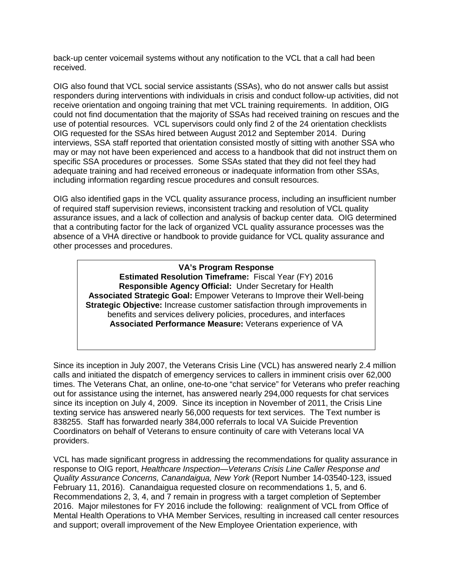received back-up center voicemail systems without any notification to the VCL that a call had been

 use of potential resources. VCL supervisors could only find 2 of the 24 orientation checklists OIG requested for the SSAs hired between August 2012 and September 2014. During may or may not have been experienced and access to a handbook that did not instruct them on OIG also found that VCL social service assistants (SSAs), who do not answer calls but assist responders during interventions with individuals in crisis and conduct follow-up activities, did not receive orientation and ongoing training that met VCL training requirements. In addition, OIG could not find documentation that the majority of SSAs had received training on rescues and the interviews, SSA staff reported that orientation consisted mostly of sitting with another SSA who specific SSA procedures or processes. Some SSAs stated that they did not feel they had adequate training and had received erroneous or inadequate information from other SSAs, including information regarding rescue procedures and consult resources.

 assurance issues, and a lack of collection and analysis of backup center data. OIG determined OIG also identified gaps in the VCL quality assurance process, including an insufficient number of required staff supervision reviews, inconsistent tracking and resolution of VCL quality that a contributing factor for the lack of organized VCL quality assurance processes was the absence of a VHA directive or handbook to provide guidance for VCL quality assurance and other processes and procedures.

#### **VA's Program Response**

 **Estimated Resolution Timeframe:** Fiscal Year (FY) 2016  **Responsible Agency Official:** Under Secretary for Health **Associated Strategic Goal:** Empower Veterans to Improve their Well-being **Strategic Objective:** Increase customer satisfaction through improvements in benefits and services delivery policies, procedures, and interfaces **Associated Performance Measure:** Veterans experience of VA

 Since its inception in July 2007, the Veterans Crisis Line (VCL) has answered nearly 2.4 million out for assistance using the internet, has answered nearly 294,000 requests for chat services texting service has answered nearly 56,000 requests for text services. The Text number is 838255. Staff has forwarded nearly 384,000 referrals to local VA Suicide Prevention calls and initiated the dispatch of emergency services to callers in imminent crisis over 62,000 times. The Veterans Chat, an online, one-to-one "chat service" for Veterans who prefer reaching since its inception on July 4, 2009. Since its inception in November of 2011, the Crisis Line Coordinators on behalf of Veterans to ensure continuity of care with Veterans local VA providers.

 VCL has made significant progress in addressing the recommendations for quality assurance in response to OIG report, *Healthcare Inspection—Veterans Crisis Line Caller Response and*  Recommendations 2, 3, 4, and 7 remain in progress with a target completion of September 2016. Major milestones for FY 2016 include the following: realignment of VCL from Office of *Quality Assurance Concerns, Canandaigua, New York* (Report Number 14-03540-123, issued February 11, 2016). Canandaigua requested closure on recommendations 1, 5, and 6. Mental Health Operations to VHA Member Services, resulting in increased call center resources and support; overall improvement of the New Employee Orientation experience, with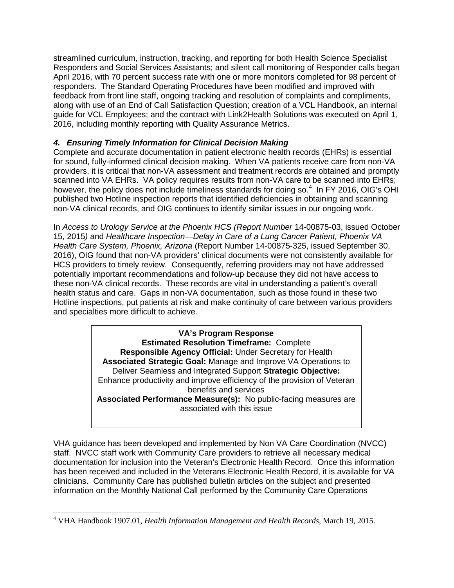responders. The Standard Operating Procedures have been modified and improved with feedback from front line staff, ongoing tracking and resolution of complaints and compliments, streamlined curriculum, instruction, tracking, and reporting for both Health Science Specialist Responders and Social Services Assistants; and silent call monitoring of Responder calls began April 2016, with 70 percent success rate with one or more monitors completed for 98 percent of along with use of an End of Call Satisfaction Question; creation of a VCL Handbook, an internal guide for VCL Employees; and the contract with Link2Health Solutions was executed on April 1, 2016, including monthly reporting with Quality Assurance Metrics.

# *4. Ensuring Timely Information for Clinical Decision Making*

 for sound, fully-informed clinical decision making. When VA patients receive care from non-VA scanned into VA EHRs. VA policy requires results from non-VA care to be scanned into EHRs; however, the policy does not include timeliness standards for doing so.<sup>4</sup> In FY 2016, OIG's OHI Complete and accurate documentation in patient electronic health records (EHRs) is essential providers, it is critical that non-VA assessment and treatment records are obtained and promptly published two Hotline inspection reports that identified deficiencies in obtaining and scanning non-VA clinical records, and OIG continues to identify similar issues in our ongoing work.

 In *Access to Urology Service at the Phoenix HCS (Report Number* 14-00875-03, issued October health status and care. Gaps in non-VA documentation, such as those found in these two 15, 2015*)* and *Healthcare Inspection—Delay in Care of a Lung Cancer Patient, Phoenix VA Health Care System, Phoenix, Arizona* (Report Number 14-00875-325, issued September 30, 2016), OIG found that non-VA providers' clinical documents were not consistently available for HCS providers to timely review. Consequently, referring providers may not have addressed potentially important recommendations and follow-up because they did not have access to these non-VA clinical records. These records are vital in understanding a patient's overall Hotline inspections, put patients at risk and make continuity of care between various providers and specialties more difficult to achieve.

> **Estimated Resolution Timeframe:** Complete  Deliver Seamless and Integrated Support **Strategic Objective: VA's Program Response Responsible Agency Official:** Under Secretary for Health **Associated Strategic Goal:** Manage and Improve VA Operations to Enhance productivity and improve efficiency of the provision of Veteran benefits and services **Associated Performance Measure(s):** No public-facing measures are associated with this issue

 documentation for inclusion into the Veteran's Electronic Health Record. Once this information VHA guidance has been developed and implemented by Non VA Care Coordination (NVCC) staff. NVCC staff work with Community Care providers to retrieve all necessary medical has been received and included in the Veterans Electronic Health Record, it is available for VA clinicians. Community Care has published bulletin articles on the subject and presented information on the Monthly National Call performed by the Community Care Operations

<span id="page-12-0"></span> $\overline{a}$ 4 VHA Handbook 1907.01, *Health Information Management and Health Records*, March 19, 2015.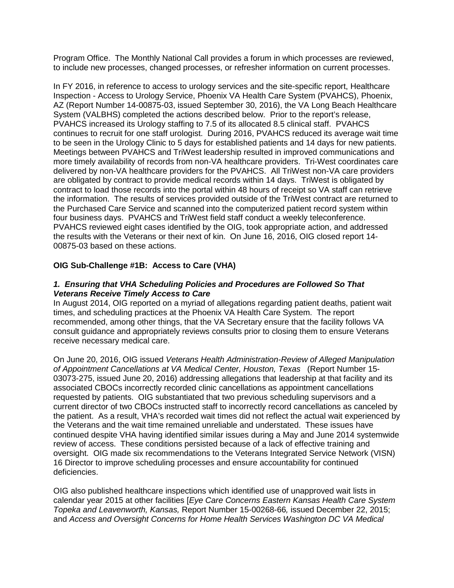Program Office. The Monthly National Call provides a forum in which processes are reviewed, to include new processes, changed processes, or refresher information on current processes.

 System (VALBHS) completed the actions described below. Prior to the report's release, PVAHCS increased its Urology staffing to 7.5 of its allocated 8.5 clinical staff. PVAHCS continues to recruit for one staff urologist. During 2016, PVAHCS reduced its average wait time to be seen in the Urology Clinic to 5 days for established patients and 14 days for new patients. more timely availability of records from non-VA healthcare providers. Tri-West coordinates care delivered by non-VA healthcare providers for the PVAHCS. All TriWest non-VA care providers are obligated by contract to provide medical records within 14 days. TriWest is obligated by the information. The results of services provided outside of the TriWest contract are returned to four business days. PVAHCS and TriWest field staff conduct a weekly teleconference. the results with the Veterans or their next of kin. On June 16, 2016, OIG closed report 14 In FY 2016, in reference to access to urology services and the site-specific report, Healthcare Inspection - Access to Urology Service, Phoenix VA Health Care System (PVAHCS), Phoenix, AZ (Report Number 14-00875-03, issued September 30, 2016), the VA Long Beach Healthcare Meetings between PVAHCS and TriWest leadership resulted in improved communications and contract to load those records into the portal within 48 hours of receipt so VA staff can retrieve the Purchased Care Service and scanned into the computerized patient record system within PVAHCS reviewed eight cases identified by the OIG, took appropriate action, and addressed 00875-03 based on these actions.

# **OIG Sub-Challenge #1B: Access to Care (VHA)**

## *1. Ensuring that VHA Scheduling Policies and Procedures are Followed So That Veterans Receive Timely Access to Care*

 times, and scheduling practices at the Phoenix VA Health Care System. The report recommended, among other things, that the VA Secretary ensure that the facility follows VA consult guidance and appropriately reviews consults prior to closing them to ensure Veterans receive necessary medical care. In August 2014, OIG reported on a myriad of allegations regarding patient deaths, patient wait

 *of Appointment Cancellations at VA Medical Center, Houston, Texas* (Report Number 15 03073-275, issued June 20, 2016) addressing allegations that leadership at that facility and its requested by patients. OIG substantiated that two previous scheduling supervisors and a the Veterans and the wait time remained unreliable and understated. These issues have review of access. These conditions persisted because of a lack of effective training and oversight. OIG made six recommendations to the Veterans Integrated Service Network (VISN) 16 Director to improve scheduling processes and ensure accountability for continued deficiencies. On June 20, 2016, OIG issued *Veterans Health Administration-Review of Alleged Manipulation*  associated CBOCs incorrectly recorded clinic cancellations as appointment cancellations current director of two CBOCs instructed staff to incorrectly record cancellations as canceled by the patient. As a result, VHA's recorded wait times did not reflect the actual wait experienced by continued despite VHA having identified similar issues during a May and June 2014 systemwide

OIG also published healthcare inspections which identified use of unapproved wait lists in calendar year 2015 at other facilities [*Eye Care Concerns Eastern Kansas Health Care System Topeka and Leavenworth, Kansas,* Report Number 15-00268-66*,* issued December 22, 2015; and *Access and Oversight Concerns for Home Health Services Washington DC VA Medical*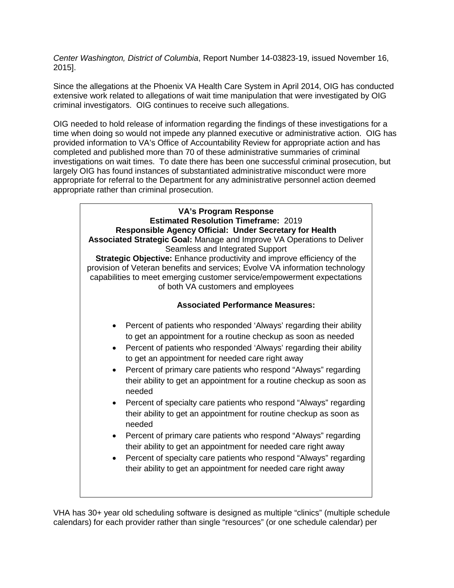*Center Washington, District of Columbia*, Report Number 14-03823-19, issued November 16, 2015].

Since the allegations at the Phoenix VA Health Care System in April 2014, OIG has conducted extensive work related to allegations of wait time manipulation that were investigated by OIG criminal investigators. OIG continues to receive such allegations.

 OIG needed to hold release of information regarding the findings of these investigations for a time when doing so would not impede any planned executive or administrative action. OIG has completed and published more than 70 of these administrative summaries of criminal investigations on wait times. To date there has been one successful criminal prosecution, but appropriate for referral to the Department for any administrative personnel action deemed provided information to VA's Office of Accountability Review for appropriate action and has largely OIG has found instances of substantiated administrative misconduct were more appropriate rather than criminal prosecution.



 calendars) for each provider rather than single "resources" (or one schedule calendar) per VHA has 30+ year old scheduling software is designed as multiple "clinics" (multiple schedule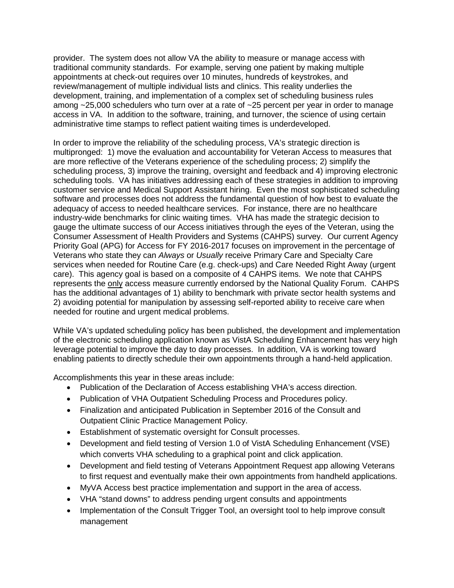provider. The system does not allow VA the ability to measure or manage access with appointments at check-out requires over 10 minutes, hundreds of keystrokes, and review/management of multiple individual lists and clinics. This reality underlies the development, training, and implementation of a complex set of scheduling business rules access in VA. In addition to the software, training, and turnover, the science of using certain traditional community standards. For example, serving one patient by making multiple among ~25,000 schedulers who turn over at a rate of ~25 percent per year in order to manage administrative time stamps to reflect patient waiting times is underdeveloped.

 customer service and Medical Support Assistant hiring. Even the most sophisticated scheduling software and processes does not address the fundamental question of how best to evaluate the adequacy of access to needed healthcare services. For instance, there are no healthcare industry-wide benchmarks for clinic waiting times. VHA has made the strategic decision to Consumer Assessment of Health Providers and Systems (CAHPS) survey. Our current Agency Priority Goal (APG) for Access for FY 2016-2017 focuses on improvement in the percentage of Veterans who state they can *Always* or *Usually* receive Primary Care and Specialty Care care). This agency goal is based on a composite of 4 CAHPS items. We note that CAHPS 2) avoiding potential for manipulation by assessing self-reported ability to receive care when In order to improve the reliability of the scheduling process, VA's strategic direction is multipronged: 1) move the evaluation and accountability for Veteran Access to measures that are more reflective of the Veterans experience of the scheduling process; 2) simplify the scheduling process, 3) improve the training, oversight and feedback and 4) improving electronic scheduling tools. VA has initiatives addressing each of these strategies in addition to improving gauge the ultimate success of our Access initiatives through the eyes of the Veteran, using the services when needed for Routine Care (e.g. check-ups) and Care Needed Right Away (urgent represents the only access measure currently endorsed by the National Quality Forum. CAHPS has the additional advantages of 1) ability to benchmark with private sector health systems and needed for routine and urgent medical problems.

 leverage potential to improve the day to day processes. In addition, VA is working toward While VA's updated scheduling policy has been published, the development and implementation of the electronic scheduling application known as VistA Scheduling Enhancement has very high enabling patients to directly schedule their own appointments through a hand-held application.

Accomplishments this year in these areas include:

- Publication of the Declaration of Access establishing VHA's access direction.
- Publication of VHA Outpatient Scheduling Process and Procedures policy.
- Finalization and anticipated Publication in September 2016 of the Consult and Outpatient Clinic Practice Management Policy.
- • Establishment of systematic oversight for Consult processes.
- Development and field testing of Version 1.0 of VistA Scheduling Enhancement (VSE) which converts VHA scheduling to a graphical point and click application.
- Development and field testing of Veterans Appointment Request app allowing Veterans to first request and eventually make their own appointments from handheld applications.
- MyVA Access best practice implementation and support in the area of access.
- VHA "stand downs" to address pending urgent consults and appointments
- Implementation of the Consult Trigger Tool, an oversight tool to help improve consult management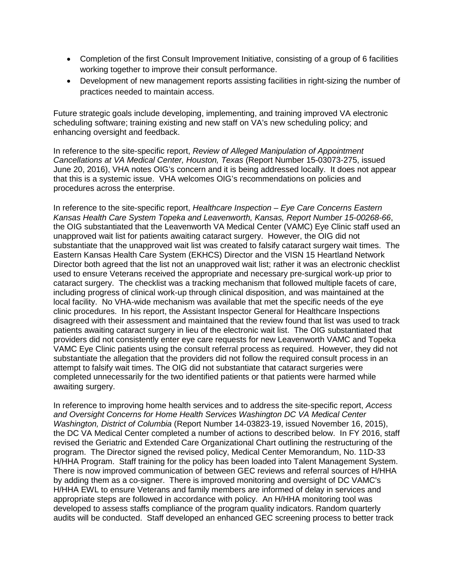- Completion of the first Consult Improvement Initiative, consisting of a group of 6 facilities working together to improve their consult performance.
- Development of new management reports assisting facilities in right-sizing the number of practices needed to maintain access.

 enhancing oversight and feedback. Future strategic goals include developing, implementing, and training improved VA electronic scheduling software; training existing and new staff on VA's new scheduling policy; and

 June 20, 2016), VHA notes OIG's concern and it is being addressed locally. It does not appear In reference to the site-specific report, *Review of Alleged Manipulation of Appointment Cancellations at VA Medical Center, Houston, Texas* (Report Number 15-03073-275, issued that this is a systemic issue. VHA welcomes OIG's recommendations on policies and procedures across the enterprise.

 unapproved wait list for patients awaiting cataract surgery. However, the OIG did not substantiate that the unapproved wait list was created to falsify cataract surgery wait times. The cataract surgery. The checklist was a tracking mechanism that followed multiple facets of care, clinic procedures. In his report, the Assistant Inspector General for Healthcare Inspections patients awaiting cataract surgery in lieu of the electronic wait list. The OIG substantiated that VAMC Eye Clinic patients using the consult referral process as required. However, they did not completed unnecessarily for the two identified patients or that patients were harmed while In reference to the site-specific report, *Healthcare Inspection – Eye Care Concerns Eastern Kansas Health Care System Topeka and Leavenworth, Kansas, Report Number 15-00268-66*, the OIG substantiated that the Leavenworth VA Medical Center (VAMC) Eye Clinic staff used an Eastern Kansas Health Care System (EKHCS) Director and the VISN 15 Heartland Network Director both agreed that the list not an unapproved wait list; rather it was an electronic checklist used to ensure Veterans received the appropriate and necessary pre-surgical work-up prior to including progress of clinical work-up through clinical disposition, and was maintained at the local facility. No VHA-wide mechanism was available that met the specific needs of the eye disagreed with their assessment and maintained that the review found that list was used to track providers did not consistently enter eye care requests for new Leavenworth VAMC and Topeka substantiate the allegation that the providers did not follow the required consult process in an attempt to falsify wait times. The OIG did not substantiate that cataract surgeries were awaiting surgery.

 program. The Director signed the revised policy, Medical Center Memorandum, No. 11D-33 H/HHA Program. Staff training for the policy has been loaded into Talent Management System. by adding them as a co-signer. There is improved monitoring and oversight of DC VAMC's appropriate steps are followed in accordance with policy. An H/HHA monitoring tool was developed to assess staffs compliance of the program quality indicators. Random quarterly audits will be conducted. Staff developed an enhanced GEC screening process to better track In reference to improving home health services and to address the site-specific report, *Access and Oversight Concerns for Home Health Services Washington DC VA Medical Center Washington, District of Columbia* (Report Number 14-03823-19, issued November 16, 2015), the DC VA Medical Center completed a number of actions to described below. In FY 2016, staff revised the Geriatric and Extended Care Organizational Chart outlining the restructuring of the There is now improved communication of between GEC reviews and referral sources of H/HHA H/HHA EWL to ensure Veterans and family members are informed of delay in services and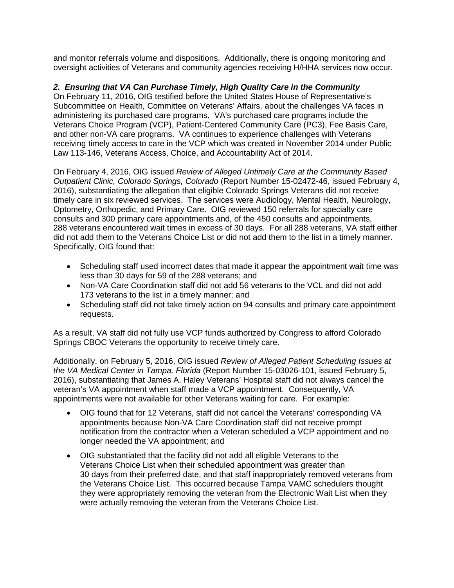and monitor referrals volume and dispositions. Additionally, there is ongoing monitoring and oversight activities of Veterans and community agencies receiving H/HHA services now occur.

## *2. Ensuring that VA Can Purchase Timely, High Quality Care in the Community*

 Subcommittee on Health, Committee on Veterans' Affairs, about the challenges VA faces in and other non-VA care programs. VA continues to experience challenges with Veterans receiving timely access to care in the VCP which was created in November 2014 under Public On February 11, 2016, OIG testified before the United States House of Representative's administering its purchased care programs. VA's purchased care programs include the Veterans Choice Program (VCP), Patient-Centered Community Care (PC3), Fee Basis Care, Law 113-146, Veterans Access, Choice, and Accountability Act of 2014.

 On February 4, 2016, OIG issued *Review of Alleged Untimely Care at the Community Based*  timely care in six reviewed services. The services were Audiology, Mental Health, Neurology, Optometry, Orthopedic, and Primary Care. OIG reviewed 150 referrals for specialty care 288 veterans encountered wait times in excess of 30 days. For all 288 veterans, VA staff either did not add them to the Veterans Choice List or did not add them to the list in a timely manner.<br>Specifically, OIG found that: *Outpatient Clinic, Colorado Springs, Colorado* (Report Number 15-02472-46, issued February 4, 2016), substantiating the allegation that eligible Colorado Springs Veterans did not receive consults and 300 primary care appointments and, of the 450 consults and appointments,

- Scheduling staff used incorrect dates that made it appear the appointment wait time was less than 30 days for 59 of the 288 veterans; and
- Non-VA Care Coordination staff did not add 56 veterans to the VCL and did not add 173 veterans to the list in a timely manner; and
- Scheduling staff did not take timely action on 94 consults and primary care appointment requests.

 As a result, VA staff did not fully use VCP funds authorized by Congress to afford Colorado Springs CBOC Veterans the opportunity to receive timely care.

 2016), substantiating that James A. Haley Veterans' Hospital staff did not always cancel the veteran's VA appointment when staff made a VCP appointment. Consequently, VA appointments were not available for other Veterans waiting for care. For example: Additionally, on February 5, 2016, OIG issued *Review of Alleged Patient Scheduling Issues at the VA Medical Center in Tampa, Florida* (Report Number 15-03026-101, issued February 5,

- OIG found that for 12 Veterans, staff did not cancel the Veterans' corresponding VA appointments because Non-VA Care Coordination staff did not receive prompt notification from the contractor when a Veteran scheduled a VCP appointment and no longer needed the VA appointment; and
- 30 days from their preferred date, and that staff inappropriately removed veterans from the Veterans Choice List. This occurred because Tampa VAMC schedulers thought they were appropriately removing the veteran from the Electronic Wait List when they • OIG substantiated that the facility did not add all eligible Veterans to the Veterans Choice List when their scheduled appointment was greater than were actually removing the veteran from the Veterans Choice List.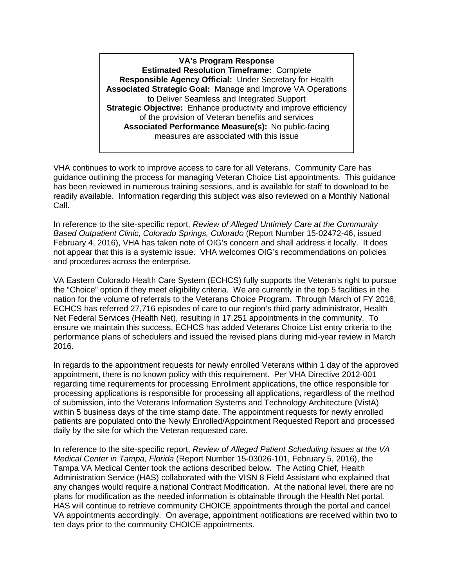**Estimated Resolution Timeframe:** Complete  **Responsible Agency Official:** Under Secretary for Health  **Associated Strategic Goal:** Manage and Improve VA Operations  **Strategic Objective:** Enhance productivity and improve efficiency of the provision of Veteran benefits and services **Associated Performance Measure(s):** No public-facing **VA's Program Response** to Deliver Seamless and Integrated Support measures are associated with this issue

 VHA continues to work to improve access to care for all Veterans. Community Care has guidance outlining the process for managing Veteran Choice List appointments. This guidance has been reviewed in numerous training sessions, and is available for staff to download to be readily available. Information regarding this subject was also reviewed on a Monthly National Call.

 February 4, 2016), VHA has taken note of OIG's concern and shall address it locally. It does not appear that this is a systemic issue. VHA welcomes OIG's recommendations on policies In reference to the site-specific report, *Review of Alleged Untimely Care at the Community Based Outpatient Clinic, Colorado Springs, Colorado* (Report Number 15-02472-46, issued and procedures across the enterprise.

 VA Eastern Colorado Health Care System (ECHCS) fully supports the Veteran's right to pursue the "Choice" option if they meet eligibility criteria. We are currently in the top 5 facilities in the nation for the volume of referrals to the Veterans Choice Program. Through March of FY 2016, Net Federal Services (Health Net), resulting in 17,251 appointments in the community. To ECHCS has referred 27,716 episodes of care to our region's third party administrator, Health ensure we maintain this success, ECHCS has added Veterans Choice List entry criteria to the performance plans of schedulers and issued the revised plans during mid-year review in March 2016.

 In regards to the appointment requests for newly enrolled Veterans within 1 day of the approved appointment, there is no known policy with this requirement. Per VHA Directive 2012-001 within 5 business days of the time stamp date. The appointment requests for newly enrolled regarding time requirements for processing Enrollment applications, the office responsible for processing applications is responsible for processing all applications, regardless of the method of submission, into the Veterans Information Systems and Technology Architecture (VistA) patients are populated onto the Newly Enrolled/Appointment Requested Report and processed daily by the site for which the Veteran requested care.

 In reference to the site-specific report, *Review of Alleged Patient Scheduling Issues at the VA*  Tampa VA Medical Center took the actions described below. The Acting Chief, Health plans for modification as the needed information is obtainable through the Health Net portal. VA appointments accordingly. On average, appointment notifications are received within two to ten days prior to the community CHOICE appointments. *Medical Center in Tampa, Florida* (Report Number 15-03026-101, February 5, 2016), the Administration Service (HAS) collaborated with the VISN 8 Field Assistant who explained that any changes would require a national Contract Modification. At the national level, there are no HAS will continue to retrieve community CHOICE appointments through the portal and cancel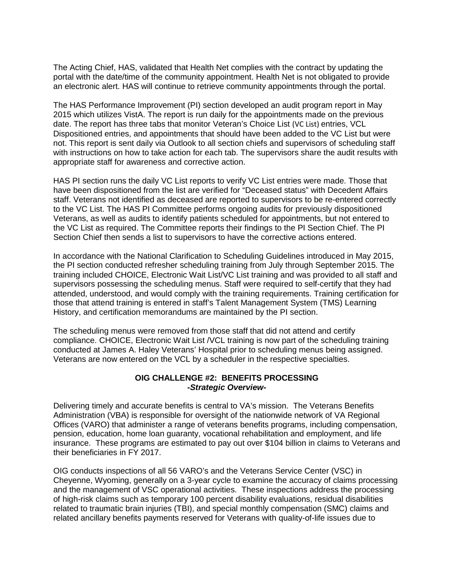an electronic alert. HAS will continue to retrieve community appointments through the portal. The Acting Chief, HAS, validated that Health Net complies with the contract by updating the portal with the date/time of the community appointment. Health Net is not obligated to provide

 2015 which utilizes VistA. The report is run daily for the appointments made on the previous Dispositioned entries, and appointments that should have been added to the VC List but were not. This report is sent daily via Outlook to all section chiefs and supervisors of scheduling staff The HAS Performance Improvement (PI) section developed an audit program report in May date. The report has three tabs that monitor Veteran's Choice List (VC List) entries, VCL with instructions on how to take action for each tab. The supervisors share the audit results with appropriate staff for awareness and corrective action.

 HAS PI section runs the daily VC List reports to verify VC List entries were made. Those that to the VC List. The HAS PI Committee performs ongoing audits for previously dispositioned the VC List as required. The Committee reports their findings to the PI Section Chief. The PI have been dispositioned from the list are verified for "Deceased status" with Decedent Affairs staff. Veterans not identified as deceased are reported to supervisors to be re-entered correctly Veterans, as well as audits to identify patients scheduled for appointments, but not entered to Section Chief then sends a list to supervisors to have the corrective actions entered.

 the PI section conducted refresher scheduling training from July through September 2015. The training included CHOICE, Electronic Wait List/VC List training and was provided to all staff and In accordance with the National Clarification to Scheduling Guidelines introduced in May 2015, supervisors possessing the scheduling menus. Staff were required to self-certify that they had attended, understood, and would comply with the training requirements. Training certification for those that attend training is entered in staff's Talent Management System (TMS) Learning History, and certification memorandums are maintained by the PI section.

 The scheduling menus were removed from those staff that did not attend and certify compliance. CHOICE, Electronic Wait List /VCL training is now part of the scheduling training conducted at James A. Haley Veterans' Hospital prior to scheduling menus being assigned. Veterans are now entered on the VCL by a scheduler in the respective specialties.

#### **OIG CHALLENGE #2: BENEFITS PROCESSING**  *-Strategic Overview-*

 Delivering timely and accurate benefits is central to VA's mission. The Veterans Benefits Administration (VBA) is responsible for oversight of the nationwide network of VA Regional insurance. These programs are estimated to pay out over \$104 billion in claims to Veterans and Offices (VARO) that administer a range of veterans benefits programs, including compensation, pension, education, home loan guaranty, vocational rehabilitation and employment, and life their beneficiaries in FY 2017.

 OIG conducts inspections of all 56 VARO's and the Veterans Service Center (VSC) in and the management of VSC operational activities. These inspections address the processing Cheyenne, Wyoming, generally on a 3-year cycle to examine the accuracy of claims processing of high-risk claims such as temporary 100 percent disability evaluations, residual disabilities related to traumatic brain injuries (TBI), and special monthly compensation (SMC) claims and related ancillary benefits payments reserved for Veterans with quality-of-life issues due to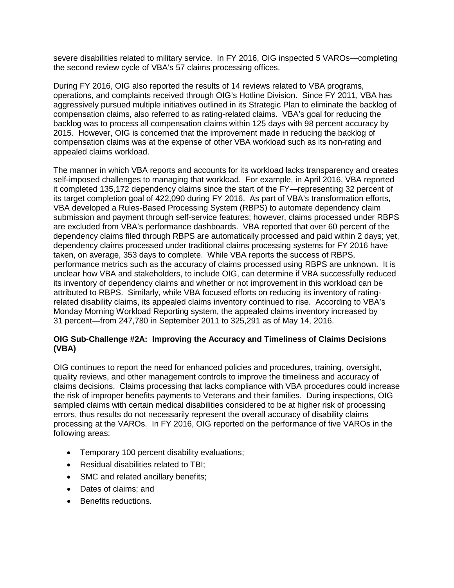severe disabilities related to military service. In FY 2016, OIG inspected 5 VAROs—completing the second review cycle of VBA's 57 claims processing offices.

 operations, and complaints received through OIG's Hotline Division. Since FY 2011, VBA has 2015. However, OIG is concerned that the improvement made in reducing the backlog of appealed claims workload. During FY 2016, OIG also reported the results of 14 reviews related to VBA programs, aggressively pursued multiple initiatives outlined in its Strategic Plan to eliminate the backlog of compensation claims, also referred to as rating-related claims. VBA's goal for reducing the backlog was to process all compensation claims within 125 days with 98 percent accuracy by compensation claims was at the expense of other VBA workload such as its non-rating and

 self-imposed challenges to managing that workload. For example, in April 2016, VBA reported it completed 135,172 dependency claims since the start of the FY—representing 32 percent of VBA developed a Rules-Based Processing System (RBPS) to automate dependency claim are excluded from VBA's performance dashboards. VBA reported that over 60 percent of the dependency claims processed under traditional claims processing systems for FY 2016 have taken, on average, 353 days to complete. While VBA reports the success of RBPS, performance metrics such as the accuracy of claims processed using RBPS are unknown. It is related disability claims, its appealed claims inventory continued to rise. According to VBA's 31 percent—from 247,780 in September 2011 to 325,291 as of May 14, 2016. The manner in which VBA reports and accounts for its workload lacks transparency and creates its target completion goal of 422,090 during FY 2016. As part of VBA's transformation efforts, submission and payment through self-service features; however, claims processed under RBPS dependency claims filed through RBPS are automatically processed and paid within 2 days; yet, unclear how VBA and stakeholders, to include OIG, can determine if VBA successfully reduced its inventory of dependency claims and whether or not improvement in this workload can be attributed to RBPS. Similarly, while VBA focused efforts on reducing its inventory of rating-Monday Morning Workload Reporting system, the appealed claims inventory increased by

## **OIG Sub-Challenge #2A: Improving the Accuracy and Timeliness of Claims Decisions (VBA)**

 quality reviews, and other management controls to improve the timeliness and accuracy of the risk of improper benefits payments to Veterans and their families. During inspections, OIG processing at the VAROs. In FY 2016, OIG reported on the performance of five VAROs in the following areas: OIG continues to report the need for enhanced policies and procedures, training, oversight, claims decisions. Claims processing that lacks compliance with VBA procedures could increase sampled claims with certain medical disabilities considered to be at higher risk of processing errors, thus results do not necessarily represent the overall accuracy of disability claims

- Temporary 100 percent disability evaluations;
- Residual disabilities related to TBI;
- SMC and related ancillary benefits;
- Dates of claims; and
- Benefits reductions.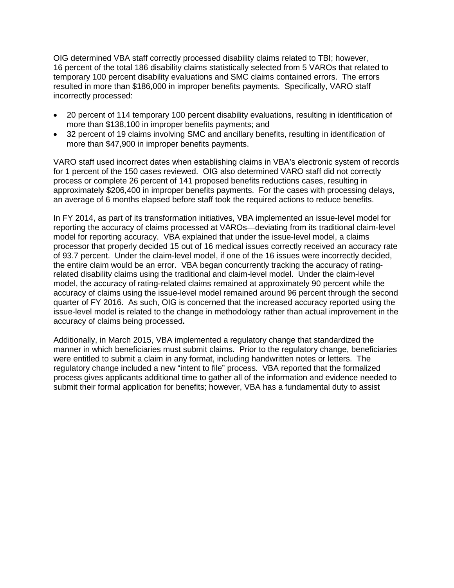OIG determined VBA staff correctly processed disability claims related to TBI; however, 16 percent of the total 186 disability claims statistically selected from 5 VAROs that related to temporary 100 percent disability evaluations and SMC claims contained errors. The errors resulted in more than \$186,000 in improper benefits payments. Specifically, VARO staff incorrectly processed:

- more than \$138,100 in improper benefits payments; and 20 percent of 114 temporary 100 percent disability evaluations, resulting in identification of
- more than \$47,900 in improper benefits payments. • 32 percent of 19 claims involving SMC and ancillary benefits, resulting in identification of

 for 1 percent of the 150 cases reviewed. OIG also determined VARO staff did not correctly process or complete 26 percent of 141 proposed benefits reductions cases, resulting in an average of 6 months elapsed before staff took the required actions to reduce benefits. VARO staff used incorrect dates when establishing claims in VBA's electronic system of records approximately \$206,400 in improper benefits payments. For the cases with processing delays,

 In FY 2014, as part of its transformation initiatives, VBA implemented an issue-level model for model for reporting accuracy. VBA explained that under the issue-level model, a claims processor that properly decided 15 out of 16 medical issues correctly received an accuracy rate related disability claims using the traditional and claim-level model. Under the claim-level accuracy of claims using the issue-level model remained around 96 percent through the second quarter of FY 2016. As such, OIG is concerned that the increased accuracy reported using the reporting the accuracy of claims processed at VAROs—deviating from its traditional claim-level of 93.7 percent. Under the claim-level model, if one of the 16 issues were incorrectly decided, the entire claim would be an error. VBA began concurrently tracking the accuracy of ratingmodel, the accuracy of rating-related claims remained at approximately 90 percent while the issue-level model is related to the change in methodology rather than actual improvement in the accuracy of claims being processed**.** 

 manner in which beneficiaries must submit claims. Prior to the regulatory change, beneficiaries were entitled to submit a claim in any format, including handwritten notes or letters. The submit their formal application for benefits; however, VBA has a fundamental duty to assist Additionally, in March 2015, VBA implemented a regulatory change that standardized the regulatory change included a new "intent to file" process. VBA reported that the formalized process gives applicants additional time to gather all of the information and evidence needed to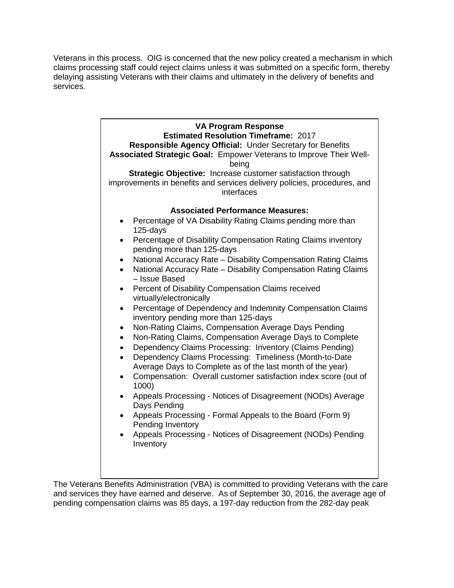Veterans in this process. OIG is concerned that the new policy created a mechanism in which claims processing staff could reject claims unless it was submitted on a specific form, thereby services. delaying assisting Veterans with their claims and ultimately in the delivery of benefits and



 and services they have earned and deserve. As of September 30, 2016, the average age of The Veterans Benefits Administration (VBA) is committed to providing Veterans with the care pending compensation claims was 85 days, a 197-day reduction from the 282-day peak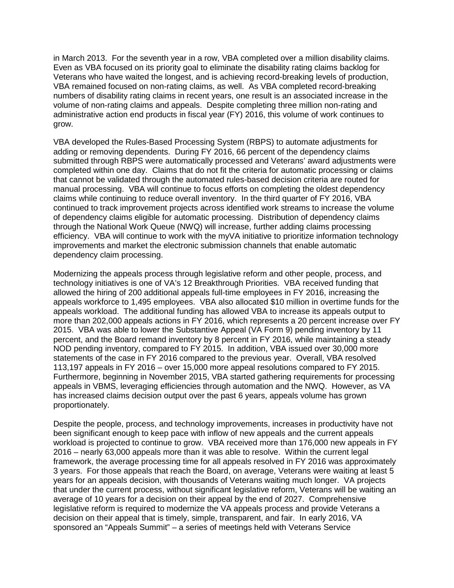in March 2013. For the seventh year in a row, VBA completed over a million disability claims. in March 2013. For the seventh year in a row, VBA completed over a million disability claims.<br>Even as VBA focused on its priority goal to eliminate the disability rating claims backlog for VBA remained focused on non-rating claims, as well. As VBA completed record-breaking administrative action end products in fiscal year (FY) 2016, this volume of work continues to grow. Veterans who have waited the longest, and is achieving record-breaking levels of production, numbers of disability rating claims in recent years, one result is an associated increase in the volume of non-rating claims and appeals. Despite completing three million non-rating and

 completed within one day. Claims that do not fit the criteria for automatic processing or claims improvements and market the electronic submission channels that enable automatic VBA developed the Rules-Based Processing System (RBPS) to automate adjustments for adding or removing dependents. During FY 2016, 66 percent of the dependency claims submitted through RBPS were automatically processed and Veterans' award adjustments were that cannot be validated through the automated rules-based decision criteria are routed for manual processing. VBA will continue to focus efforts on completing the oldest dependency claims while continuing to reduce overall inventory. In the third quarter of FY 2016, VBA continued to track improvement projects across identified work streams to increase the volume of dependency claims eligible for automatic processing. Distribution of dependency claims through the National Work Queue (NWQ) will increase, further adding claims processing efficiency. VBA will continue to work with the myVA initiative to prioritize information technology dependency claim processing.

 technology initiatives is one of VA's 12 Breakthrough Priorities. VBA received funding that appeals workforce to 1,495 employees. VBA also allocated \$10 million in overtime funds for the appeals workload. The additional funding has allowed VBA to increase its appeals output to 2015. VBA was able to lower the Substantive Appeal (VA Form 9) pending inventory by 11 NOD pending inventory, compared to FY 2015. In addition, VBA issued over 30,000 more statements of the case in FY 2016 compared to the previous year. Overall, VBA resolved 113,197 appeals in FY 2016 – over 15,000 more appeal resolutions compared to FY 2015. 113,197 appeals in FY 2016 – over 15,000 more appeal resolutions compared to FY 2015.<br>Furthermore, beginning in November 2015, VBA started gathering requirements for processing appeals in VBMS, leveraging efficiencies through automation and the NWQ. However, as VA proportionately. Modernizing the appeals process through legislative reform and other people, process, and allowed the hiring of 200 additional appeals full-time employees in FY 2016, increasing the more than 202,000 appeals actions in FY 2016, which represents a 20 percent increase over FY percent, and the Board remand inventory by 8 percent in FY 2016, while maintaining a steady has increased claims decision output over the past 6 years, appeals volume has grown

proportionately.<br>Despite the people, process, and technology improvements, increases in productivity have not 2016 – nearly 63,000 appeals more than it was able to resolve. Within the current legal framework, the average processing time for all appeals resolved in FY 2016 was approximately 3 years. For those appeals that reach the Board, on average, Veterans were waiting at least 5 decision on their appeal that is timely, simple, transparent, and fair. In early 2016, VA sponsored an "Appeals Summit" – a series of meetings held with Veterans Service been significant enough to keep pace with inflow of new appeals and the current appeals workload is projected to continue to grow. VBA received more than 176,000 new appeals in FY years for an appeals decision, with thousands of Veterans waiting much longer. VA projects that under the current process, without significant legislative reform, Veterans will be waiting an average of 10 years for a decision on their appeal by the end of 2027. Comprehensive legislative reform is required to modernize the VA appeals process and provide Veterans a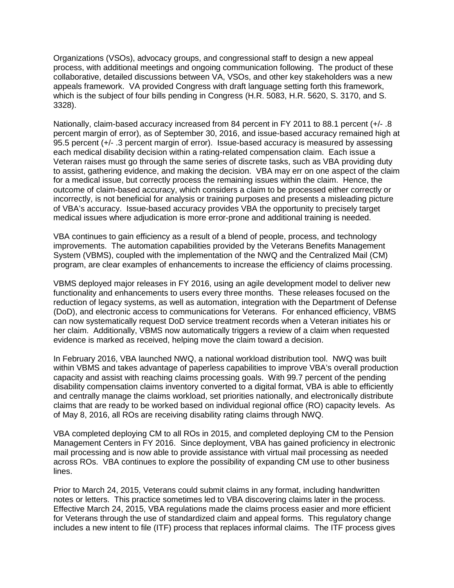process, with additional meetings and ongoing communication following. The product of these appeals framework. VA provided Congress with draft language setting forth this framework, Organizations (VSOs), advocacy groups, and congressional staff to design a new appeal collaborative, detailed discussions between VA, VSOs, and other key stakeholders was a new which is the subject of four bills pending in Congress (H.R. 5083, H.R. 5620, S. 3170, and S. 3328).

 95.5 percent (+/- .3 percent margin of error). Issue-based accuracy is measured by assessing each medical disability decision within a rating-related compensation claim. Each issue a Nationally, claim-based accuracy increased from 84 percent in FY 2011 to 88.1 percent (+/- .8 percent margin of error), as of September 30, 2016, and issue-based accuracy remained high at Veteran raises must go through the same series of discrete tasks, such as VBA providing duty to assist, gathering evidence, and making the decision. VBA may err on one aspect of the claim for a medical issue, but correctly process the remaining issues within the claim. Hence, the outcome of claim-based accuracy, which considers a claim to be processed either correctly or incorrectly, is not beneficial for analysis or training purposes and presents a misleading picture of VBA's accuracy. Issue-based accuracy provides VBA the opportunity to precisely target medical issues where adjudication is more error-prone and additional training is needed.

 improvements. The automation capabilities provided by the Veterans Benefits Management program, are clear examples of enhancements to increase the efficiency of claims processing. VBA continues to gain efficiency as a result of a blend of people, process, and technology System (VBMS), coupled with the implementation of the NWQ and the Centralized Mail (CM)

 functionality and enhancements to users every three months. These releases focused on the VBMS deployed major releases in FY 2016, using an agile development model to deliver new reduction of legacy systems, as well as automation, integration with the Department of Defense (DoD), and electronic access to communications for Veterans. For enhanced efficiency, VBMS can now systematically request DoD service treatment records when a Veteran initiates his or her claim. Additionally, VBMS now automatically triggers a review of a claim when requested evidence is marked as received, helping move the claim toward a decision.

 capacity and assist with reaching claims processing goals. With 99.7 percent of the pending disability compensation claims inventory converted to a digital format, VBA is able to efficiently In February 2016, VBA launched NWQ, a national workload distribution tool. NWQ was built within VBMS and takes advantage of paperless capabilities to improve VBA's overall production and centrally manage the claims workload, set priorities nationally, and electronically distribute claims that are ready to be worked based on individual regional office (RO) capacity levels. As of May 8, 2016, all ROs are receiving disability rating claims through NWQ.

VBA completed deploying CM to all ROs in 2015, and completed deploying CM to the Pension Management Centers in FY 2016. Since deployment, VBA has gained proficiency in electronic mail processing and is now able to provide assistance with virtual mail processing as needed across ROs. VBA continues to explore the possibility of expanding CM use to other business lines.

 notes or letters. This practice sometimes led to VBA discovering claims later in the process. Effective March 24, 2015, VBA regulations made the claims process easier and more efficient for Veterans through the use of standardized claim and appeal forms. This regulatory change includes a new intent to file (ITF) process that replaces informal claims. The ITF process gives Prior to March 24, 2015, Veterans could submit claims in any format, including handwritten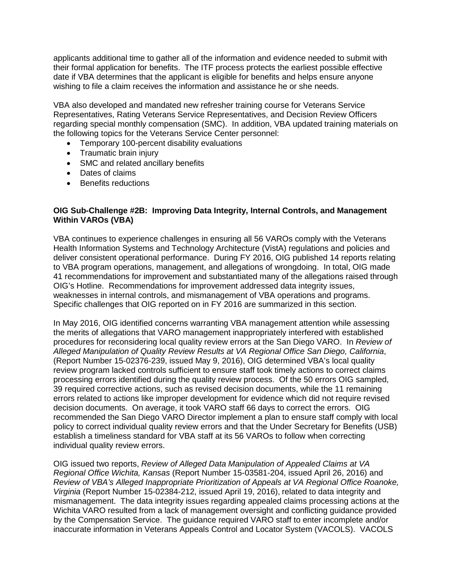wishing to file a claim receives the information and assistance he or she needs. applicants additional time to gather all of the information and evidence needed to submit with their formal application for benefits. The ITF process protects the earliest possible effective date if VBA determines that the applicant is eligible for benefits and helps ensure anyone

 VBA also developed and mandated new refresher training course for Veterans Service regarding special monthly compensation (SMC). In addition, VBA updated training materials on Representatives, Rating Veterans Service Representatives, and Decision Review Officers the following topics for the Veterans Service Center personnel:

- Temporary 100-percent disability evaluations
- Traumatic brain injury
- SMC and related ancillary benefits
- Dates of claims
- Benefits reductions

## **OIG Sub-Challenge #2B: Improving Data Integrity, Internal Controls, and Management Within VAROs (VBA)**

 deliver consistent operational performance. During FY 2016, OIG published 14 reports relating to VBA program operations, management, and allegations of wrongdoing. In total, OIG made 41 recommendations for improvement and substantiated many of the allegations raised through weaknesses in internal controls, and mismanagement of VBA operations and programs. weaknesses in internal controls, and mismanagement of VBA operations and programs.<br>Specific challenges that OIG reported on in FY 2016 are summarized in this section. VBA continues to experience challenges in ensuring all 56 VAROs comply with the Veterans Health Information Systems and Technology Architecture (VistA) regulations and policies and OIG's Hotline. Recommendations for improvement addressed data integrity issues,

 procedures for reconsidering local quality review errors at the San Diego VARO. In *Review of*  review program lacked controls sufficient to ensure staff took timely actions to correct claims processing errors identified during the quality review process. Of the 50 errors OIG sampled, errors related to actions like improper development for evidence which did not require revised decision documents. On average, it took VARO staff 66 days to correct the errors. OIG establish a timeliness standard for VBA staff at its 56 VAROs to follow when correcting individual quality review errors. In May 2016, OIG identified concerns warranting VBA management attention while assessing the merits of allegations that VARO management inappropriately interfered with established *Alleged Manipulation of Quality Review Results at VA Regional Office San Diego, California*, (Report Number 15-02376-239, issued May 9, 2016), OIG determined VBA's local quality 39 required corrective actions, such as revised decision documents, while the 11 remaining recommended the San Diego VARO Director implement a plan to ensure staff comply with local policy to correct individual quality review errors and that the Under Secretary for Benefits (USB)

 OIG issued two reports, *Review of Alleged Data Manipulation of Appealed Claims at VA*  mismanagement. The data integrity issues regarding appealed claims processing actions at the by the Compensation Service. The guidance required VARO staff to enter incomplete and/or *Regional Office Wichita, Kansas* (Report Number 15-03581-204, issued April 26, 2016) and *Review of VBA's Alleged Inappropriate Prioritization of Appeals at VA Regional Office Roanoke, Virginia* (Report Number 15-02384-212, issued April 19, 2016), related to data integrity and Wichita VARO resulted from a lack of management oversight and conflicting guidance provided inaccurate information in Veterans Appeals Control and Locator System (VACOLS). VACOLS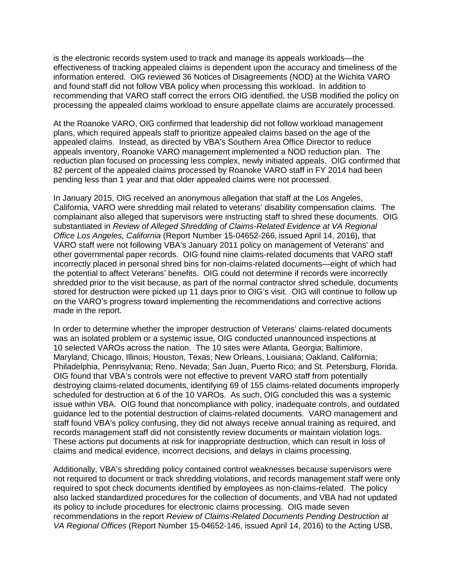is the electronic records system used to track and manage its appeals workloads—the information entered. OIG reviewed 36 Notices of Disagreements (NOD) at the Wichita VARO and found staff did not follow VBA policy when processing this workload. In addition to effectiveness of tracking appealed claims is dependent upon the accuracy and timeliness of the recommending that VARO staff correct the errors OIG identified, the USB modified the policy on processing the appealed claims workload to ensure appellate claims are accurately processed.

 At the Roanoke VARO, OIG confirmed that leadership did not follow workload management appealed claims. Instead, as directed by VBA's Southern Area Office Director to reduce appeals inventory, Roanoke VARO management implemented a NOD reduction plan. The reduction plan focused on processing less complex, newly initiated appeals. OIG confirmed that 82 percent of the appealed claims processed by Roanoke VARO staff in FY 2014 had been pending less than 1 year and that older appealed claims were not processed. plans, which required appeals staff to prioritize appealed claims based on the age of the

pending less than 1 year and that older appealed claims were not processed.<br>In January 2015, OIG received an anonymous allegation that staff at the Los Angeles, California, VARO were shredding mail related to veterans' disability compensation claims. The complainant also alleged that supervisors were instructing staff to shred these documents. OIG other governmental paper records. OIG found nine claims-related documents that VARO staff the potential to affect Veterans' benefits. OIG could not determine if records were incorrectly stored for destruction were picked up 11 days prior to OIG's visit. OIG will continue to follow up substantiated in *Review of Alleged Shredding of Claims-Related Evidence at VA Regional Office Los Angeles, California* (Report Number 15-04652-266, issued April 14, 2016), that VARO staff were not following VBA's January 2011 policy on management of Veterans' and incorrectly placed in personal shred bins for non-claims-related documents—eight of which had shredded prior to the visit because, as part of the normal contractor shred schedule, documents on the VARO's progress toward implementing the recommendations and corrective actions made in the report.

 10 selected VAROs across the nation. The 10 sites were Atlanta, Georgia; Baltimore, Philadelphia, Pennsylvania; Reno, Nevada; San Juan, Puerto Rico; and St. Petersburg, Florida. scheduled for destruction at 6 of the 10 VAROs. As such, OIG concluded this was a systemic issue within VBA. OIG found that noncompliance with policy, inadequate controls, and outdated guidance led to the potential destruction of claims-related documents. VARO management and records management staff did not consistently review documents or maintain violation logs. In order to determine whether the improper destruction of Veterans' claims-related documents was an isolated problem or a systemic issue, OIG conducted unannounced inspections at Maryland; Chicago, Illinois; Houston, Texas; New Orleans, Louisiana; Oakland, California; OIG found that VBA's controls were not effective to prevent VARO staff from potentially destroying claims-related documents, identifying 69 of 155 claims-related documents improperly staff found VBA's policy confusing, they did not always receive annual training as required, and These actions put documents at risk for inappropriate destruction, which can result in loss of claims and medical evidence, incorrect decisions, and delays in claims processing.

 not required to document or track shredding violations, and records management staff were only required to spot check documents identified by employees as non-claims-related. The policy its policy to include procedures for electronic claims processing. OIG made seven Additionally, VBA's shredding policy contained control weaknesses because supervisors were also lacked standardized procedures for the collection of documents, and VBA had not updated recommendations in the report *Review of Claims-Related Documents Pending Destruction at VA Regional Offices* (Report Number 15-04652-146, issued April 14, 2016) to the Acting USB,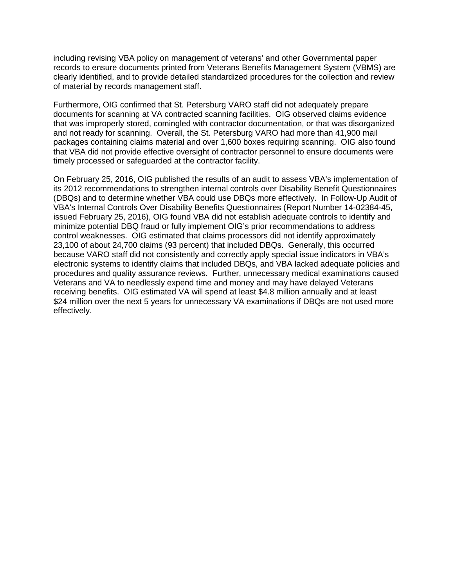including revising VBA policy on management of veterans' and other Governmental paper clearly identified, and to provide detailed standardized procedures for the collection and review of material by records management staff. records to ensure documents printed from Veterans Benefits Management System (VBMS) are

 documents for scanning at VA contracted scanning facilities. OIG observed claims evidence and not ready for scanning. Overall, the St. Petersburg VARO had more than 41,900 mail packages containing claims material and over 1,600 boxes requiring scanning. OIG also found Furthermore, OIG confirmed that St. Petersburg VARO staff did not adequately prepare that was improperly stored, comingled with contractor documentation, or that was disorganized that VBA did not provide effective oversight of contractor personnel to ensure documents were timely processed or safeguarded at the contractor facility.

 On February 25, 2016, OIG published the results of an audit to assess VBA's implementation of minimize potential DBQ fraud or fully implement OIG's prior recommendations to address control weaknesses. OIG estimated that claims processors did not identify approximately 23,100 of about 24,700 claims (93 percent) that included DBQs. Generally, this occurred receiving benefits. OIG estimated VA will spend at least \$4.8 million annually and at least its 2012 recommendations to strengthen internal controls over Disability Benefit Questionnaires (DBQs) and to determine whether VBA could use DBQs more effectively. In [Follow-Up Audit of](http://www.va.gov/oig/pubs/VAOIG-14-02384-45.pdf)  [VBA's Internal Controls Over Disability Benefits Questionnaires](http://www.va.gov/oig/pubs/VAOIG-14-02384-45.pdf) (Report Number 14-02384-45, issued February 25, 2016), OIG found VBA did not establish adequate controls to identify and because VARO staff did not consistently and correctly apply special issue indicators in VBA's electronic systems to identify claims that included DBQs, and VBA lacked adequate policies and procedures and quality assurance reviews. Further, unnecessary medical examinations caused Veterans and VA to needlessly expend time and money and may have delayed Veterans \$24 million over the next 5 years for unnecessary VA examinations if DBQs are not used more effectively.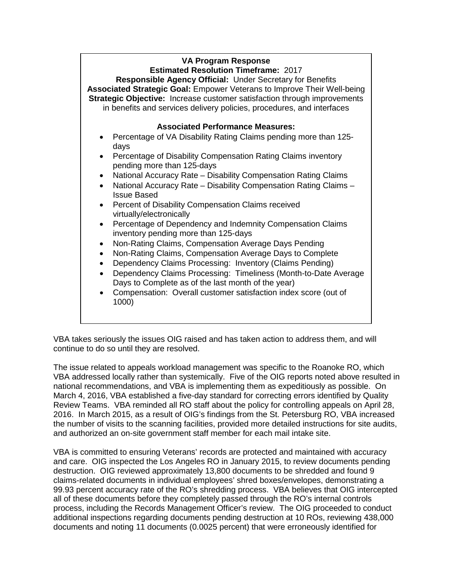## **VA Program Response**

 **Strategic Objective:** Increase customer satisfaction through improvements in benefits and services delivery policies, procedures, and interfaces **Estimated Resolution Timeframe:** 2017 **Responsible Agency Official:** Under Secretary for Benefits **Associated Strategic Goal:** Empower Veterans to Improve Their Well-being

#### **Associated Performance Measures:**

- Percentage of VA Disability Rating Claims pending more than 125days
- Percentage of Disability Compensation Rating Claims inventory pending more than 125-days
- National Accuracy Rate Disability Compensation Rating Claims
- National Accuracy Rate Disability Compensation Rating Claims Issue Based
- Percent of Disability Compensation Claims received virtually/electronically
- Percentage of Dependency and Indemnity Compensation Claims inventory pending more than 125-days
- Non-Rating Claims, Compensation Average Days Pending
- Non-Rating Claims, Compensation Average Days to Complete
- Dependency Claims Processing: Inventory (Claims Pending)
- Days to Complete as of the last month of the year) Dependency Claims Processing: Timeliness (Month-to-Date Average
- Compensation: Overall customer satisfaction index score (out of 1000)

 VBA takes seriously the issues OIG raised and has taken action to address them, and will continue to do so until they are resolved.

 VBA addressed locally rather than systemically. Five of the OIG reports noted above resulted in national recommendations, and VBA is implementing them as expeditiously as possible. On 2016. In March 2015, as a result of OIG's findings from the St. Petersburg RO, VBA increased and authorized an on-site government staff member for each mail intake site. The issue related to appeals workload management was specific to the Roanoke RO, which March 4, 2016, VBA established a five-day standard for correcting errors identified by Quality Review Teams. VBA reminded all RO staff about the policy for controlling appeals on April 28, the number of visits to the scanning facilities, provided more detailed instructions for site audits,

 and care. OIG inspected the Los Angeles RO in January 2015, to review documents pending destruction. OIG reviewed approximately 13,800 documents to be shredded and found 9 process, including the Records Management Officer's review. The OIG proceeded to conduct VBA is committed to ensuring Veterans' records are protected and maintained with accuracy claims-related documents in individual employees' shred boxes/envelopes, demonstrating a 99.93 percent accuracy rate of the RO's shredding process. VBA believes that OIG intercepted all of these documents before they completely passed through the RO's internal controls additional inspections regarding documents pending destruction at 10 ROs, reviewing 438,000 documents and noting 11 documents (0.0025 percent) that were erroneously identified for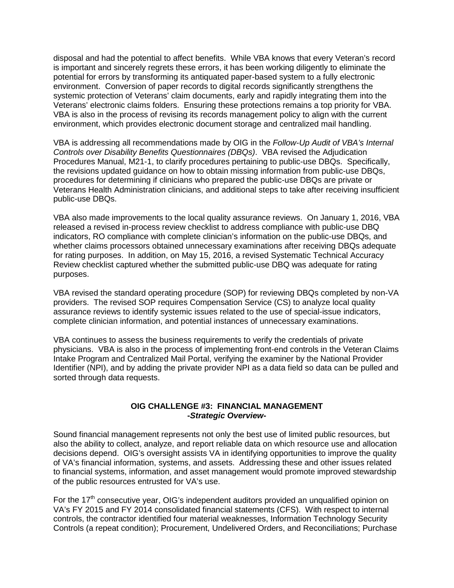disposal and had the potential to affect benefits. While VBA knows that every Veteran's record Veterans' electronic claims folders. Ensuring these protections remains a top priority for VBA. environment, which provides electronic document storage and centralized mail handling. is important and sincerely regrets these errors, it has been working diligently to eliminate the potential for errors by transforming its antiquated paper-based system to a fully electronic environment. Conversion of paper records to digital records significantly strengthens the systemic protection of Veterans' claim documents, early and rapidly integrating them into the VBA is also in the process of revising its records management policy to align with the current

environment, which provides electronic document storage and centralized mail handling.<br>VBA is addressing all recommendations made by OIG in the *Follow-Up Audit of VBA's Internal Controls over Disability Benefits Questionnaires (DBQs)*. VBA revised the Adjudication Procedures Manual, M21-1, to clarify procedures pertaining to public-use DBQs. Specifically, the revisions updated guidance on how to obtain missing information from public-use DBQs, procedures for determining if clinicians who prepared the public-use DBQs are private or Veterans Health Administration clinicians, and additional steps to take after receiving insufficient public-use DBQs.

 VBA also made improvements to the local quality assurance reviews. On January 1, 2016, VBA released a revised in-process review checklist to address compliance with public-use DBQ for rating purposes. In addition, on May 15, 2016, a revised Systematic Technical Accuracy indicators, RO compliance with complete clinician's information on the public-use DBQs, and whether claims processors obtained unnecessary examinations after receiving DBQs adequate Review checklist captured whether the submitted public-use DBQ was adequate for rating purposes.

 VBA revised the standard operating procedure (SOP) for reviewing DBQs completed by non-VA providers. The revised SOP requires Compensation Service (CS) to analyze local quality assurance reviews to identify systemic issues related to the use of special-issue indicators, complete clinician information, and potential instances of unnecessary examinations.

 sorted through data requests. VBA continues to assess the business requirements to verify the credentials of private physicians. VBA is also in the process of implementing front-end controls in the Veteran Claims Intake Program and Centralized Mail Portal, verifying the examiner by the National Provider Identifier (NPI), and by adding the private provider NPI as a data field so data can be pulled and

#### **OIG CHALLENGE #3: FINANCIAL MANAGEMENT -***Strategic Overview***-**

 decisions depend. OIG's oversight assists VA in identifying opportunities to improve the quality of VA's financial information, systems, and assets. Addressing these and other issues related of the public resources entrusted for VA's use. Sound financial management represents not only the best use of limited public resources, but also the ability to collect, analyze, and report reliable data on which resource use and allocation to financial systems, information, and asset management would promote improved stewardship

 VA's FY 2015 and FY 2014 consolidated financial statements (CFS). With respect to internal For the 17<sup>th</sup> consecutive year, OIG's independent auditors provided an unqualified opinion on controls, the contractor identified four material weaknesses, Information Technology Security Controls (a repeat condition); Procurement, Undelivered Orders, and Reconciliations; Purchase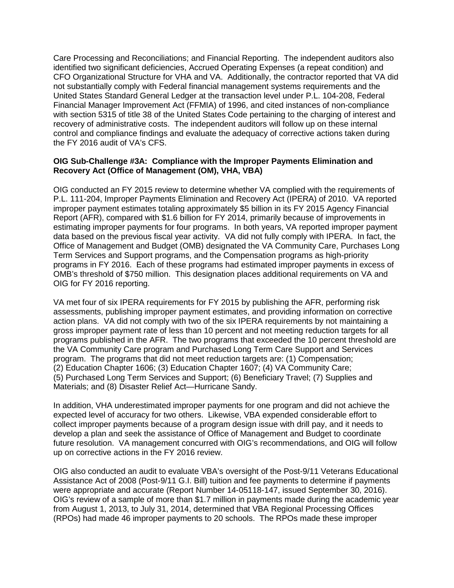Care Processing and Reconciliations; and Financial Reporting. The independent auditors also United States Standard General Ledger at the transaction level under P.L. 104-208, Federal Financial Manager Improvement Act (FFMIA) of 1996, and cited instances of non-compliance with section 5315 of title 38 of the United States Code pertaining to the charging of interest and recovery of administrative costs. The independent auditors will follow up on these internal the FY 2016 audit of VA's CFS. identified two significant deficiencies, Accrued Operating Expenses (a repeat condition) and CFO Organizational Structure for VHA and VA. Additionally, the contractor reported that VA did not substantially comply with Federal financial management systems requirements and the control and compliance findings and evaluate the adequacy of corrective actions taken during

#### **OIG Sub-Challenge #3A: Compliance with the Improper Payments Elimination and Recovery Act (Office of Management (OM), VHA, VBA)**

 P.L. 111-204, Improper Payments Elimination and Recovery Act (IPERA) of 2010. VA reported Report (AFR), compared with \$1.6 billion for FY 2014, primarily because of improvements in estimating improper payments for four programs. In both years, VA reported improper payment data based on the previous fiscal year activity. VA did not fully comply with IPERA. In fact, the OMB's threshold of \$750 million. This designation places additional requirements on VA and OIG conducted an FY 2015 review to determine whether VA complied with the requirements of improper payment estimates totaling approximately \$5 billion in its FY 2015 Agency Financial Office of Management and Budget (OMB) designated the VA Community Care, Purchases Long Term Services and Support programs, and the Compensation programs as high-priority programs in FY 2016. Each of these programs had estimated improper payments in excess of OIG for FY 2016 reporting.

 action plans. VA did not comply with two of the six IPERA requirements by not maintaining a gross improper payment rate of less than 10 percent and not meeting reduction targets for all program. The programs that did not meet reduction targets are: (1) Compensation; VA met four of six IPERA requirements for FY 2015 by publishing the AFR, performing risk assessments, publishing improper payment estimates, and providing information on corrective programs published in the AFR. The two programs that exceeded the 10 percent threshold are the VA Community Care program and Purchased Long Term Care Support and Services (2) Education Chapter 1606; (3) Education Chapter 1607; (4) VA Community Care; (5) Purchased Long Term Services and Support; (6) Beneficiary Travel; (7) Supplies and Materials; and (8) Disaster Relief Act—Hurricane Sandy.

 collect improper payments because of a program design issue with drill pay, and it needs to In addition, VHA underestimated improper payments for one program and did not achieve the expected level of accuracy for two others. Likewise, VBA expended considerable effort to develop a plan and seek the assistance of Office of Management and Budget to coordinate future resolution. VA management concurred with OIG's recommendations, and OIG will follow up on corrective actions in the FY 2016 review.

 Assistance Act of 2008 (Post-9/11 G.I. Bill) tuition and fee payments to determine if payments from August 1, 2013, to July 31, 2014, determined that VBA Regional Processing Offices (RPOs) had made 46 improper payments to 20 schools. The RPOs made these improper OIG also conducted an audit to evaluate VBA's oversight of the Post-9/11 Veterans Educational were appropriate and accurate (Report Number 14-05118-147, issued September 30, 2016). OIG's review of a sample of more than \$1.7 million in payments made during the academic year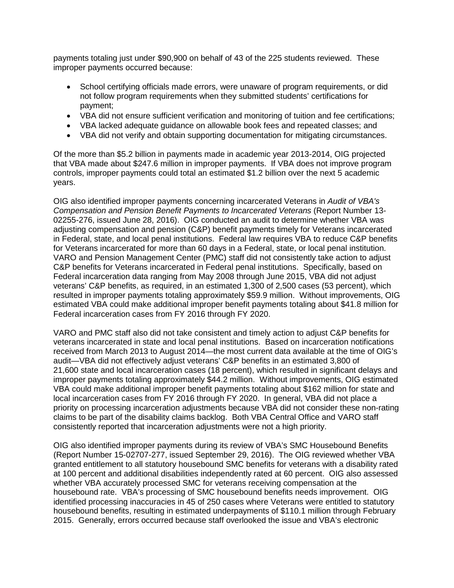payments totaling just under \$90,900 on behalf of 43 of the 225 students reviewed. These improper payments occurred because:

- School certifying officials made errors, were unaware of program requirements, or did not follow program requirements when they submitted students' certifications for payment;
- VBA did not ensure sufficient verification and monitoring of tuition and fee certifications;
- VBA lacked adequate guidance on allowable book fees and repeated classes; and
- VBA did not verify and obtain supporting documentation for mitigating circumstances.

 that VBA made about \$247.6 million in improper payments. If VBA does not improve program Of the more than \$5.2 billion in payments made in academic year 2013-2014, OIG projected controls, improper payments could total an estimated \$1.2 billion over the next 5 academic years.

 02255-276, issued June 28, 2016). OIG conducted an audit to determine whether VBA was adjusting compensation and pension (C&P) benefit payments timely for Veterans incarcerated for Veterans incarcerated for more than 60 days in a Federal, state, or local penal institution. C&P benefits for Veterans incarcerated in Federal penal institutions. Specifically, based on Federal incarceration data ranging from May 2008 through June 2015, VBA did not adjust veterans' C&P benefits, as required, in an estimated 1,300 of 2,500 cases (53 percent), which resulted in improper payments totaling approximately \$59.9 million. Without improvements, OIG estimated VBA could make additional improper benefit payments totaling about \$41.8 million for Federal incarceration cases from FY 2016 through FY 2020. OIG also identified improper payments concerning incarcerated Veterans in *[Audit of VBA's](http://www.va.gov/oig/pubs/VAOIG-13-02255-276.pdf)  [Compensation and Pension Benefit Payments to Incarcerated Veterans](http://www.va.gov/oig/pubs/VAOIG-13-02255-276.pdf)* (Report Number 13 in Federal, state, and local penal institutions. Federal law requires VBA to reduce C&P benefits VARO and Pension Management Center (PMC) staff did not consistently take action to adjust

 VARO and PMC staff also did not take consistent and timely action to adjust C&P benefits for received from March 2013 to August 2014—the most current data available at the time of OIG's improper payments totaling approximately \$44.2 million. Without improvements, OIG estimated local incarceration cases from FY 2016 through FY 2020. In general, VBA did not place a claims to be part of the disability claims backlog. Both VBA Central Office and VARO staff veterans incarcerated in state and local penal institutions. Based on incarceration notifications audit—VBA did not effectively adjust veterans' C&P benefits in an estimated 3,800 of 21,600 state and local incarceration cases (18 percent), which resulted in significant delays and VBA could make additional improper benefit payments totaling about \$162 million for state and priority on processing incarceration adjustments because VBA did not consider these non-rating consistently reported that incarceration adjustments were not a high priority.

 OIG also identified improper payments during its review of VBA's SMC Housebound Benefits (Report Number 15-02707-277, issued September 29, 2016). The OIG reviewed whether VBA at 100 percent and additional disabilities independently rated at 60 percent. OIG also assessed housebound rate. VBA's processing of SMC housebound benefits needs improvement. OIG 2015. Generally, errors occurred because staff overlooked the issue and VBA's electronic granted entitlement to all statutory housebound SMC benefits for veterans with a disability rated whether VBA accurately processed SMC for veterans receiving compensation at the identified processing inaccuracies in 45 of 250 cases where Veterans were entitled to statutory housebound benefits, resulting in estimated underpayments of \$110.1 million through February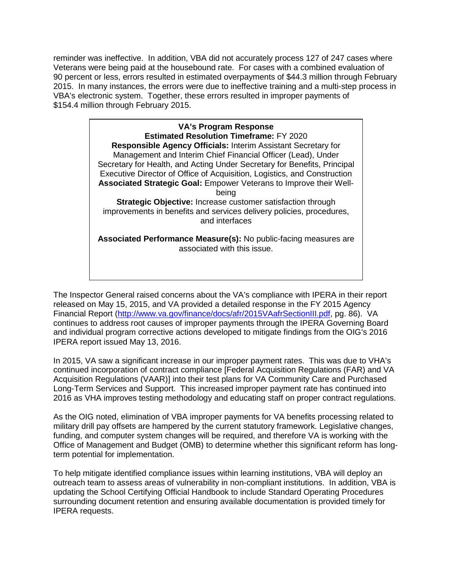reminder was ineffective. In addition, VBA did not accurately process 127 of 247 cases where Veterans were being paid at the housebound rate. For cases with a combined evaluation of 2015. In many instances, the errors were due to ineffective training and a multi-step process in VBA's electronic system. Together, these errors resulted in improper payments of 90 percent or less, errors resulted in estimated overpayments of \$44.3 million through February \$154.4 million through February 2015.

> **Responsible Agency Officials:** Interim Assistant Secretary for **VA's Program Response Estimated Resolution Timeframe:** FY 2020 Management and Interim Chief Financial Officer (Lead), Under Secretary for Health, and Acting Under Secretary for Benefits, Principal Executive Director of Office of Acquisition, Logistics, and Construction **Associated Strategic Goal:** Empower Veterans to Improve their Wellbeing **Strategic Objective:** Increase customer satisfaction through improvements in benefits and services delivery policies, procedures, and interfaces **Associated Performance Measure(s):** No public-facing measures are associated with this issue.

 The Inspector General raised concerns about the VA's compliance with IPERA in their report Financial Report [\(http://www.va.gov/finance/docs/afr/2015VAafrSectionIII.pdf,](http://www.va.gov/finance/docs/afr/2015VAafrSectionIII.pdf) pg. 86). VA and individual program corrective actions developed to mitigate findings from the OIG's 2016 released on May 15, 2015, and VA provided a detailed response in the FY 2015 Agency continues to address root causes of improper payments through the IPERA Governing Board IPERA report issued May 13, 2016.

 In 2015, VA saw a significant increase in our improper payment rates. This was due to VHA's Long-Term Services and Support. This increased improper payment rate has continued into 2016 as VHA improves testing methodology and educating staff on proper contract regulations. continued incorporation of contract compliance [Federal Acquisition Regulations (FAR) and VA Acquisition Regulations (VAAR)] into their test plans for VA Community Care and Purchased

2016 as VHA improves testing methodology and educating staff on proper contract regulations.<br>As the OIG noted, elimination of VBA improper payments for VA benefits processing related to military drill pay offsets are hampered by the current statutory framework. Legislative changes, funding, and computer system changes will be required, and therefore VA is working with the Office of Management and Budget (OMB) to determine whether this significant reform has longterm potential for implementation.

 surrounding document retention and ensuring available documentation is provided timely for To help mitigate identified compliance issues within learning institutions, VBA will deploy an outreach team to assess areas of vulnerability in non-compliant institutions. In addition, VBA is updating the School Certifying Official Handbook to include Standard Operating Procedures IPERA requests.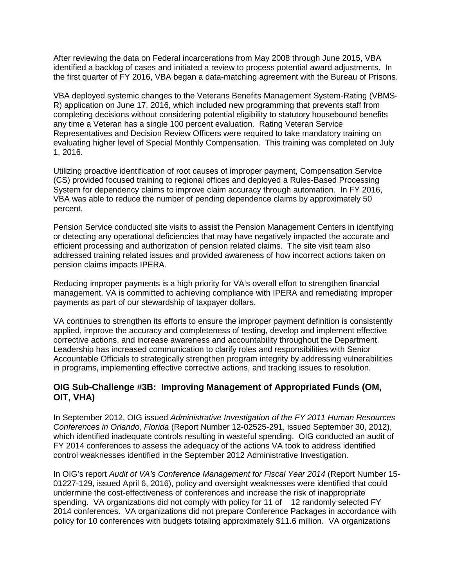identified a backlog of cases and initiated a review to process potential award adjustments. In After reviewing the data on Federal incarcerations from May 2008 through June 2015, VBA the first quarter of FY 2016, VBA began a data-matching agreement with the Bureau of Prisons.

 VBA deployed systemic changes to the Veterans Benefits Management System-Rating (VBMS- R) application on June 17, 2016, which included new programming that prevents staff from evaluating higher level of Special Monthly Compensation. This training was completed on July 1, 2016. completing decisions without considering potential eligibility to statutory housebound benefits any time a Veteran has a single 100 percent evaluation. Rating Veteran Service Representatives and Decision Review Officers were required to take mandatory training on

 System for dependency claims to improve claim accuracy through automation. In FY 2016, Utilizing proactive identification of root causes of improper payment, Compensation Service (CS) provided focused training to regional offices and deployed a Rules-Based Processing VBA was able to reduce the number of pending dependence claims by approximately 50 percent.

 efficient processing and authorization of pension related claims. The site visit team also Pension Service conducted site visits to assist the Pension Management Centers in identifying or detecting any operational deficiencies that may have negatively impacted the accurate and addressed training related issues and provided awareness of how incorrect actions taken on pension claims impacts IPERA.

Reducing improper payments is a high priority for VA's overall effort to strengthen financial management. VA is committed to achieving compliance with IPERA and remediating improper payments as part of our stewardship of taxpayer dollars.

 applied, improve the accuracy and completeness of testing, develop and implement effective corrective actions, and increase awareness and accountability throughout the Department. VA continues to strengthen its efforts to ensure the improper payment definition is consistently Leadership has increased communication to clarify roles and responsibilities with Senior Accountable Officials to strategically strengthen program integrity by addressing vulnerabilities in programs, implementing effective corrective actions, and tracking issues to resolution.

# **OIG Sub-Challenge #3B: Improving Management of Appropriated Funds (OM, OIT, VHA)**

 which identified inadequate controls resulting in wasteful spending. OIG conducted an audit of FY 2014 conferences to assess the adequacy of the actions VA took to address identified In September 2012, OIG issued *Administrative Investigation of the FY 2011 Human Resources Conferences in Orlando, Florida* (Report Number 12-02525-291, issued September 30, 2012), control weaknesses identified in the September 2012 Administrative Investigation.

In OIG's report *Audit of VA's Conference Management for Fiscal Year 2014* (Report Number 15spending. VA organizations did not comply with policy for 11 of 12 randomly selected FY 01227-129, issued April 6, 2016), policy and oversight weaknesses were identified that could undermine the cost-effectiveness of conferences and increase the risk of inappropriate 2014 conferences. VA organizations did not prepare Conference Packages in accordance with policy for 10 conferences with budgets totaling approximately \$11.6 million. VA organizations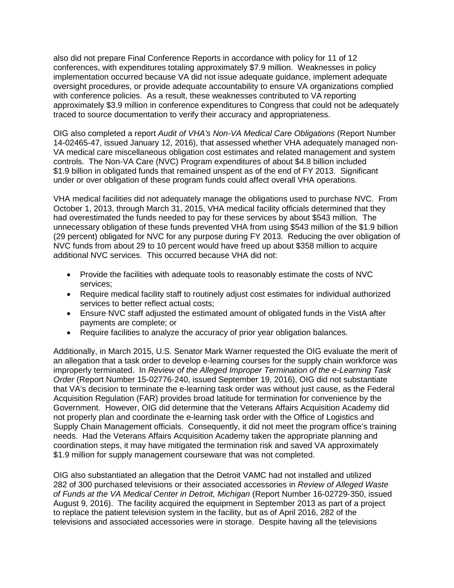also did not prepare Final Conference Reports in accordance with policy for 11 of 12 conferences, with expenditures totaling approximately \$7.9 million. Weaknesses in policy implementation occurred because VA did not issue adequate guidance, implement adequate oversight procedures, or provide adequate accountability to ensure VA organizations complied with conference policies. As a result, these weaknesses contributed to VA reporting approximately \$3.9 million in conference expenditures to Congress that could not be adequately traced to source documentation to verify their accuracy and appropriateness.

OIG also completed a report *Audit of VHA's Non-VA Medical Care Obligations* (Report Number 14-02465-47, issued January 12, 2016), that assessed whether VHA adequately managed non-VA medical care miscellaneous obligation cost estimates and related management and system controls. The Non-VA Care (NVC) Program expenditures of about \$4.8 billion included \$1.9 billion in obligated funds that remained unspent as of the end of FY 2013. Significant under or over obligation of these program funds could affect overall VHA operations.

 VHA medical facilities did not adequately manage the obligations used to purchase NVC. From (29 percent) obligated for NVC for any purpose during FY 2013. Reducing the over obligation of NVC funds from about 29 to 10 percent would have freed up about \$358 million to acquire October 1, 2013, through March 31, 2015, VHA medical facility officials determined that they had overestimated the funds needed to pay for these services by about \$543 million. The unnecessary obligation of these funds prevented VHA from using \$543 million of the \$1.9 billion additional NVC services. This occurred because VHA did not:

- services; • Provide the facilities with adequate tools to reasonably estimate the costs of NVC
- Require medical facility staff to routinely adjust cost estimates for individual authorized services to better reflect actual costs;
- Ensure NVC staff adjusted the estimated amount of obligated funds in the VistA after payments are complete; or
- Require facilities to analyze the accuracy of prior year obligation balances.

 Additionally, in March 2015, U.S. Senator Mark Warner requested the OIG evaluate the merit of improperly terminated. In *Review of the Alleged Improper Termination of the e-Learning Task*  that VA's decision to terminate the e-learning task order was without just cause, as the Federal Acquisition Regulation (FAR) provides broad latitude for termination for convenience by the Supply Chain Management officials. Consequently, it did not meet the program office's training needs. Had the Veterans Affairs Acquisition Academy taken the appropriate planning and an allegation that a task order to develop e-learning courses for the supply chain workforce was *Order* (Report Number 15-02776-240, issued September 19, 2016), OIG did not substantiate Government. However, OIG did determine that the Veterans Affairs Acquisition Academy did not properly plan and coordinate the e-learning task order with the Office of Logistics and coordination steps, it may have mitigated the termination risk and saved VA approximately \$1.9 million for supply management courseware that was not completed.

 282 of 300 purchased televisions or their associated accessories in *Review of Alleged Waste*  to replace the patient television system in the facility, but as of April 2016, 282 of the OIG also substantiated an allegation that the Detroit VAMC had not installed and utilized *of Funds at the VA Medical Center in Detroit, Michigan* (Report Number 16-02729-350, issued August 9, 2016). The facility acquired the equipment in September 2013 as part of a project televisions and associated accessories were in storage. Despite having all the televisions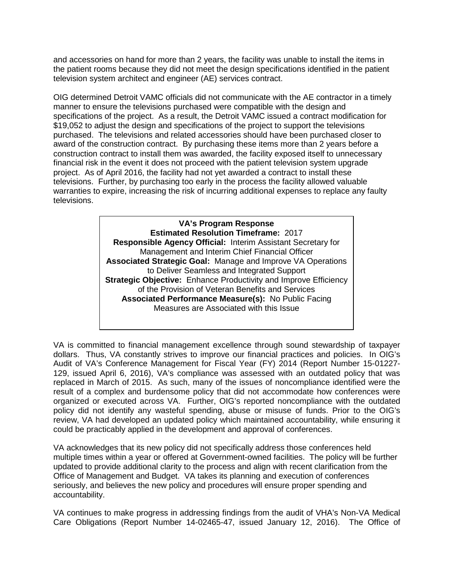and accessories on hand for more than 2 years, the facility was unable to install the items in the patient rooms because they did not meet the design specifications identified in the patient television system architect and engineer (AE) services contract.

 specifications of the project. As a result, the Detroit VAMC issued a contract modification for purchased. The televisions and related accessories should have been purchased closer to award of the construction contract. By purchasing these items more than 2 years before a televisions. Further, by purchasing too early in the process the facility allowed valuable warranties to expire, increasing the risk of incurring additional expenses to replace any faulty televisions. OIG determined Detroit VAMC officials did not communicate with the AE contractor in a timely manner to ensure the televisions purchased were compatible with the design and \$19,052 to adjust the design and specifications of the project to support the televisions construction contract to install them was awarded, the facility exposed itself to unnecessary financial risk in the event it does not proceed with the patient television system upgrade project. As of April 2016, the facility had not yet awarded a contract to install these

> **Estimated Resolution Timeframe:** 2017  **Responsible Agency Official:** Interim Assistant Secretary for  **Associated Strategic Goal:** Manage and Improve VA Operations  **Strategic Objective:** Enhance Productivity and Improve Efficiency  **Associated Performance Measure(s):** No Public Facing **VA's Program Response** Management and Interim Chief Financial Officer to Deliver Seamless and Integrated Support of the Provision of Veteran Benefits and Services Measures are Associated with this Issue

 dollars. Thus, VA constantly strives to improve our financial practices and policies. In OIG's result of a complex and burdensome policy that did not accommodate how conferences were could be practicably applied in the development and approval of conferences. VA is committed to financial management excellence through sound stewardship of taxpayer Audit of VA's Conference Management for Fiscal Year (FY) 2014 (Report Number 15-01227 129, issued April 6, 2016), VA's compliance was assessed with an outdated policy that was replaced in March of 2015. As such, many of the issues of noncompliance identified were the organized or executed across VA. Further, OIG's reported noncompliance with the outdated policy did not identify any wasteful spending, abuse or misuse of funds. Prior to the OIG's review, VA had developed an updated policy which maintained accountability, while ensuring it

 multiple times within a year or offered at Government-owned facilities. The policy will be further accountability. VA acknowledges that its new policy did not specifically address those conferences held updated to provide additional clarity to the process and align with recent clarification from the Office of Management and Budget. VA takes its planning and execution of conferences seriously, and believes the new policy and procedures will ensure proper spending and

accountability.<br>VA continues to make progress in addressing findings from the audit of VHA's Non-VA Medical Care Obligations (Report Number 14-02465-47, issued January 12, 2016). The Office of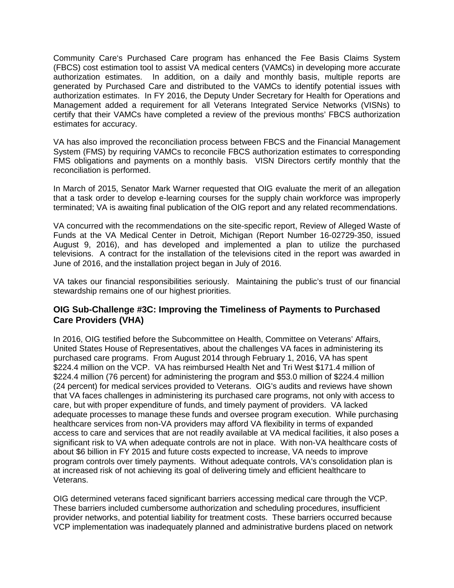Community Care's Purchased Care program has enhanced the Fee Basis Claims System (FBCS) cost estimation tool to assist VA medical centers (VAMCs) in developing more accurate authorization estimates. In FY 2016, the Deputy Under Secretary for Health for Operations and Management added a requirement for all Veterans Integrated Service Networks (VISNs) to estimates for accuracy. authorization estimates. In addition, on a daily and monthly basis, multiple reports are generated by Purchased Care and distributed to the VAMCs to identify potential issues with certify that their VAMCs have completed a review of the previous months' FBCS authorization

 VA has also improved the reconciliation process between FBCS and the Financial Management System (FMS) by requiring VAMCs to reconcile FBCS authorization estimates to corresponding reconciliation is performed. FMS obligations and payments on a monthly basis. VISN Directors certify monthly that the

reconciliation is performed.<br>In March of 2015, Senator Mark Warner requested that OIG evaluate the merit of an allegation terminated; VA is awaiting final publication of the OIG report and any related recommendations. that a task order to develop e-learning courses for the supply chain workforce was improperly

 VA concurred with the recommendations on the site-specific report, Review of Alleged Waste of Funds at the VA Medical Center in Detroit, Michigan (Report Number 16-02729-350, issued televisions. A contract for the installation of the televisions cited in the report was awarded in August 9, 2016), and has developed and implemented a plan to utilize the purchased June of 2016, and the installation project began in July of 2016.

 VA takes our financial responsibilities seriously. Maintaining the public's trust of our financial stewardship remains one of our highest priorities.

# **OIG Sub-Challenge #3C: Improving the Timeliness of Payments to Purchased Care Providers (VHA)**

 purchased care programs. From August 2014 through February 1, 2016, VA has spent \$224.4 million (76 percent) for administering the program and \$53.0 million of \$224.4 million (24 percent) for medical services provided to Veterans. OIG's audits and reviews have shown adequate processes to manage these funds and oversee program execution. While purchasing healthcare services from non-VA providers may afford VA flexibility in terms of expanded access to care and services that are not readily available at VA medical facilities, it also poses a significant risk to VA when adequate controls are not in place. With non-VA healthcare costs of program controls over timely payments. Without adequate controls, VA's consolidation plan is at increased risk of not achieving its goal of delivering timely and efficient healthcare to In 2016, OIG testified before the Subcommittee on Health, Committee on Veterans' Affairs, United States House of Representatives, about the challenges VA faces in administering its \$224.4 million on the VCP. VA has reimbursed Health Net and Tri West \$171.4 million of that VA faces challenges in administering its purchased care programs, not only with access to care, but with proper expenditure of funds, and timely payment of providers. VA lacked about \$6 billion in FY 2015 and future costs expected to increase, VA needs to improve Veterans.

OIG determined veterans faced significant barriers accessing medical care through the VCP. provider networks, and potential liability for treatment costs. These barriers occurred because These barriers included cumbersome authorization and scheduling procedures, insufficient VCP implementation was inadequately planned and administrative burdens placed on network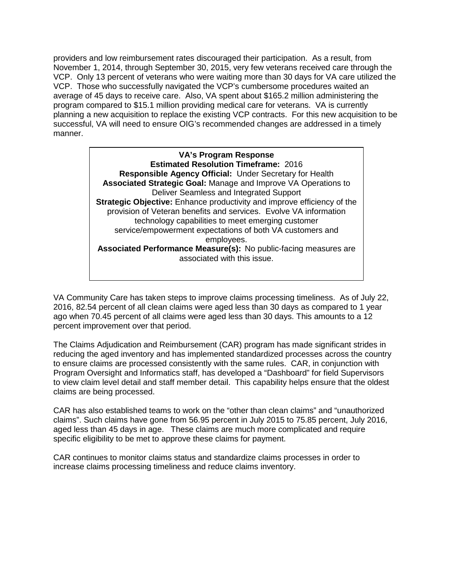providers and low reimbursement rates discouraged their participation. As a result, from November 1, 2014, through September 30, 2015, very few veterans received care through the VCP. Only 13 percent of veterans who were waiting more than 30 days for VA care utilized the VCP. Those who successfully navigated the VCP's cumbersome procedures waited an planning a new acquisition to replace the existing VCP contracts. For this new acquisition to be average of 45 days to receive care. Also, VA spent about \$165.2 million administering the program compared to \$15.1 million providing medical care for veterans. VA is currently successful, VA will need to ensure OIG's recommended changes are addressed in a timely manner.

> **Estimated Resolution Timeframe:** 2016  **Responsible Agency Official:** Under Secretary for Health **Associated Performance Measure(s):** No public-facing measures are **VA's Program Response Associated Strategic Goal:** Manage and Improve VA Operations to Deliver Seamless and Integrated Support **Strategic Objective:** Enhance productivity and improve efficiency of the provision of Veteran benefits and services. Evolve VA information technology capabilities to meet emerging customer service/empowerment expectations of both VA customers and employees. associated with this issue.

 VA Community Care has taken steps to improve claims processing timeliness. As of July 22, percent improvement over that period. 2016, 82.54 percent of all clean claims were aged less than 30 days as compared to 1 year ago when 70.45 percent of all claims were aged less than 30 days. This amounts to a 12

 reducing the aged inventory and has implemented standardized processes across the country to ensure claims are processed consistently with the same rules. CAR, in conjunction with Program Oversight and Informatics staff, has developed a "Dashboard" for field Supervisors to view claim level detail and staff member detail. This capability helps ensure that the oldest claims are being processed. The Claims Adjudication and Reimbursement (CAR) program has made significant strides in

claims are being processed.<br>CAR has also established teams to work on the "other than clean claims" and "unauthorized aged less than 45 days in age. These claims are much more complicated and require specific eligibility to be met to approve these claims for payment. claims". Such claims have gone from 56.95 percent in July 2015 to 75.85 percent, July 2016,

specific eligibility to be met to approve these claims for payment.<br>CAR continues to monitor claims status and standardize claims processes in order to increase claims processing timeliness and reduce claims inventory.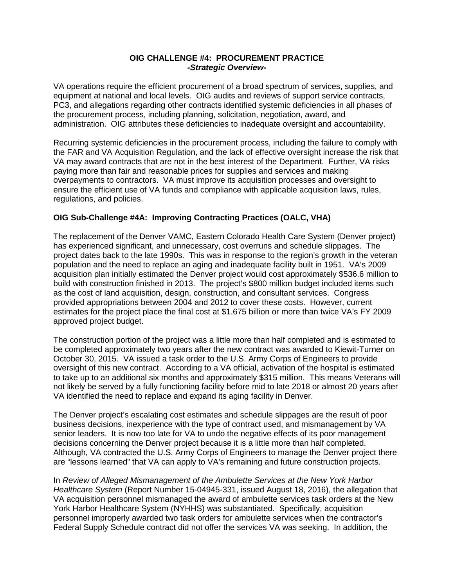#### **OIG CHALLENGE #4: PROCUREMENT PRACTICE**  *-Strategic Overview-*

 equipment at national and local levels. OIG audits and reviews of support service contracts, administration. OIG attributes these deficiencies to inadequate oversight and accountability. VA operations require the efficient procurement of a broad spectrum of services, supplies, and PC3, and allegations regarding other contracts identified systemic deficiencies in all phases of the procurement process, including planning, solicitation, negotiation, award, and

 VA may award contracts that are not in the best interest of the Department. Further, VA risks overpayments to contractors. VA must improve its acquisition processes and oversight to ensure the efficient use of VA funds and compliance with applicable acquisition laws, rules, regulations, and policies. Recurring systemic deficiencies in the procurement process, including the failure to comply with the FAR and VA Acquisition Regulation, and the lack of effective oversight increase the risk that paying more than fair and reasonable prices for supplies and services and making

## **OIG Sub-Challenge #4A: Improving Contracting Practices (OALC, VHA)**

 has experienced significant, and unnecessary, cost overruns and schedule slippages. The project dates back to the late 1990s. This was in response to the region's growth in the veteran build with construction finished in 2013. The project's \$800 million budget included items such as the cost of land acquisition, design, construction, and consultant services. Congress provided appropriations between 2004 and 2012 to cover these costs. However, current The replacement of the Denver VAMC, Eastern Colorado Health Care System (Denver project) population and the need to replace an aging and inadequate facility built in 1951. VA's 2009 acquisition plan initially estimated the Denver project would cost approximately \$536.6 million to estimates for the project place the final cost at \$1.675 billion or more than twice VA's FY 2009 approved project budget.

 be completed approximately two years after the new contract was awarded to Kiewit-Turner on oversight of this new contract. According to a VA official, activation of the hospital is estimated to take up to an additional six months and approximately \$315 million. This means Veterans will VA identified the need to replace and expand its aging facility in Denver. The construction portion of the project was a little more than half completed and is estimated to October 30, 2015. VA issued a task order to the U.S. Army Corps of Engineers to provide not likely be served by a fully functioning facility before mid to late 2018 or almost 20 years after

decisions concerning the Denver project because it is a little more than half completed. decisions concerning the Denver project because it is a little more than half completed.<br>Although, VA contracted the U.S. Army Corps of Engineers to manage the Denver project there are "lessons learned" that VA can apply to VA's remaining and future construction projects. The Denver project's escalating cost estimates and schedule slippages are the result of poor business decisions, inexperience with the type of contract used, and mismanagement by VA senior leaders. It is now too late for VA to undo the negative effects of its poor management

 In *Review of Alleged Mismanagement of the Ambulette Services at the New York Harbor*  VA acquisition personnel mismanaged the award of ambulette services task orders at the New York Harbor Healthcare System (NYHHS) was substantiated. Specifically, acquisition *Healthcare System* (Report Number 15-04945-331, issued August 18, 2016), the allegation that personnel improperly awarded two task orders for ambulette services when the contractor's Federal Supply Schedule contract did not offer the services VA was seeking. In addition, the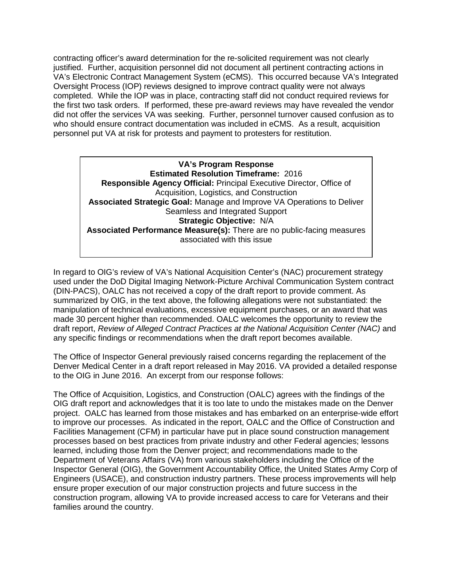contracting officer's award determination for the re-solicited requirement was not clearly VA's Electronic Contract Management System (eCMS). This occurred because VA's Integrated completed. While the IOP was in place, contracting staff did not conduct required reviews for personnel put VA at risk for protests and payment to protesters for restitution. justified. Further, acquisition personnel did not document all pertinent contracting actions in Oversight Process (IOP) reviews designed to improve contract quality were not always the first two task orders. If performed, these pre-award reviews may have revealed the vendor did not offer the services VA was seeking. Further, personnel turnover caused confusion as to who should ensure contract documentation was included in eCMS. As a result, acquisition

 **Estimated Resolution Timeframe:** 2016  **Strategic Objective:** N/A **VA's Program Response Responsible Agency Official:** Principal Executive Director, Office of Acquisition, Logistics, and Construction **Associated Strategic Goal:** Manage and Improve VA Operations to Deliver Seamless and Integrated Support **Associated Performance Measure(s):** There are no public-facing measures associated with this issue

 In regard to OIG's review of VA's National Acquisition Center's (NAC) procurement strategy used under the DoD Digital Imaging Network-Picture Archival Communication System contract (DIN-PACS), OALC has not received a copy of the draft report to provide comment. As any specific findings or recommendations when the draft report becomes available. summarized by OIG, in the text above, the following allegations were not substantiated: the manipulation of technical evaluations, excessive equipment purchases, or an award that was made 30 percent higher than recommended. OALC welcomes the opportunity to review the draft report, *Review of Alleged Contract Practices at the National Acquisition Center (NAC)* and

 The Office of Inspector General previously raised concerns regarding the replacement of the Denver Medical Center in a draft report released in May 2016. VA provided a detailed response to the OIG in June 2016. An excerpt from our response follows:

 project. OALC has learned from those mistakes and has embarked on an enterprise-wide effort to improve our processes. As indicated in the report, OALC and the Office of Construction and processes based on best practices from private industry and other Federal agencies; lessons Inspector General (OIG), the Government Accountability Office, the United States Army Corp of construction program, allowing VA to provide increased access to care for Veterans and their families around the country. The Office of Acquisition, Logistics, and Construction (OALC) agrees with the findings of the OIG draft report and acknowledges that it is too late to undo the mistakes made on the Denver Facilities Management (CFM) in particular have put in place sound construction management learned, including those from the Denver project; and recommendations made to the Department of Veterans Affairs (VA) from various stakeholders including the Office of the Engineers (USACE), and construction industry partners. These process improvements will help ensure proper execution of our major construction projects and future success in the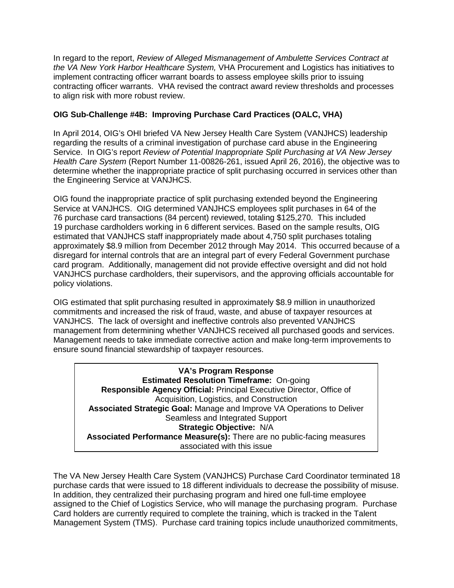In regard to the report, *Review of Alleged Mismanagement of Ambulette Services Contract at*  implement contracting officer warrant boards to assess employee skills prior to issuing contracting officer warrants. VHA revised the contract award review thresholds and processes to align risk with more robust review. *the VA New York Harbor Healthcare System,* VHA Procurement and Logistics has initiatives to

## **OIG Sub-Challenge #4B: Improving Purchase Card Practices (OALC, VHA)**

 In April 2014, OIG's OHI briefed VA New Jersey Health Care System (VANJHCS) leadership determine whether the inappropriate practice of split purchasing occurred in services other than regarding the results of a criminal investigation of purchase card abuse in the Engineering Service. In OIG's report *Review of Potential Inappropriate Split Purchasing at VA New Jersey Health Care System* (Report Number 11-00826-261, issued April 26, 2016), the objective was to the Engineering Service at VANJHCS.

 Service at VANJHCS. OIG determined VANJHCS employees split purchases in 64 of the approximately \$8.9 million from December 2012 through May 2014. This occurred because of a policy violations. OIG found the inappropriate practice of split purchasing extended beyond the Engineering 76 purchase card transactions (84 percent) reviewed, totaling \$125,270. This included 19 purchase cardholders working in 6 different services. Based on the sample results, OIG estimated that VANJHCS staff inappropriately made about 4,750 split purchases totaling disregard for internal controls that are an integral part of every Federal Government purchase card program. Additionally, management did not provide effective oversight and did not hold VANJHCS purchase cardholders, their supervisors, and the approving officials accountable for

 OIG estimated that split purchasing resulted in approximately \$8.9 million in unauthorized management from determining whether VANJHCS received all purchased goods and services. Management needs to take immediate corrective action and make long-term improvements to ensure sound financial stewardship of taxpayer resources. commitments and increased the risk of fraud, waste, and abuse of taxpayer resources at VANJHCS. The lack of oversight and ineffective controls also prevented VANJHCS

 **Estimated Resolution Timeframe:** On-going  **Strategic Objective:** N/A **VA's Program Response Responsible Agency Official:** Principal Executive Director, Office of Acquisition, Logistics, and Construction **Associated Strategic Goal:** Manage and Improve VA Operations to Deliver Seamless and Integrated Support **Associated Performance Measure(s):** There are no public-facing measures associated with this issue

purchase cards that were issued to 18 different individuals to decrease the possibility of misuse. assigned to the Chief of Logistics Service, who will manage the purchasing program. Purchase Card holders are currently required to complete the training, which is tracked in the Talent Management System (TMS). Purchase card training topics include unauthorized commitments, The VA New Jersey Health Care System (VANJHCS) Purchase Card Coordinator terminated 18 In addition, they centralized their purchasing program and hired one full-time employee.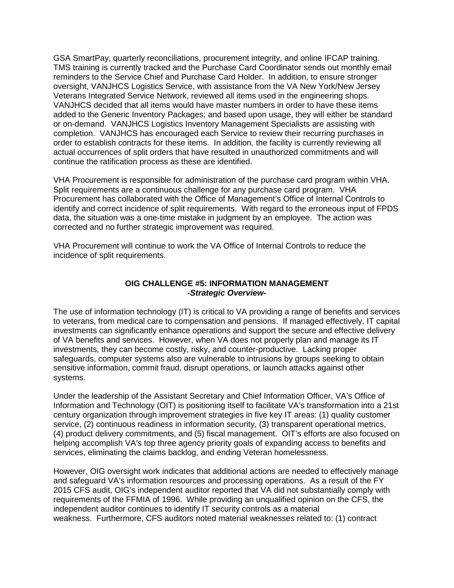GSA SmartPay, quarterly reconciliations, procurement integrity, and online IFCAP training. reminders to the Service Chief and Purchase Card Holder. In addition, to ensure stronger VANJHCS decided that all items would have master numbers in order to have these items TMS training is currently tracked and the Purchase Card Coordinator sends out monthly email oversight, VANJHCS Logistics Service, with assistance from the VA New York/New Jersey Veterans Integrated Service Network, reviewed all items used in the engineering shops. added to the Generic Inventory Packages; and based upon usage, they will either be standard or on-demand. VANJHCS Logistics Inventory Management Specialists are assisting with completion. VANJHCS has encouraged each Service to review their recurring purchases in order to establish contracts for these items. In addition, the facility is currently reviewing all actual occurrences of split orders that have resulted in unauthorized commitments and will continue the ratification process as these are identified.

VHA Procurement is responsible for administration of the purchase card program within VHA.<br>Split requirements are a continuous challenge for any purchase card program. VHA identify and correct incidence of split requirements. With regard to the erroneous input of FPDS data, the situation was a one-time mistake in judgment by an employee. The action was corrected and no further strategic improvement was required. Procurement has collaborated with the Office of Management's Office of Internal Controls to

 VHA Procurement will continue to work the VA Office of Internal Controls to reduce the incidence of split requirements.

#### **OIG CHALLENGE #5: INFORMATION MANAGEMENT**  *-Strategic Overview-*

 to veterans, from medical care to compensation and pensions. If managed effectively, IT capital of VA benefits and services. However, when VA does not properly plan and manage its IT investments, they can become costly, risky, and counter-productive. Lacking proper sensitive information, commit fraud, disrupt operations, or launch attacks against other systems. The use of information technology (IT) is critical to VA providing a range of benefits and services investments can significantly enhance operations and support the secure and effective delivery safeguards, computer systems also are vulnerable to intrusions by groups seeking to obtain

 century organization through improvement strategies in five key IT areas: (1) quality customer service, (2) continuous readiness in information security, (3) transparent operational metrics, (4) product delivery commitments, and (5) fiscal management. OIT's efforts are also focused on services, eliminating the claims backlog, and ending Veteran homelessness. Under the leadership of the Assistant Secretary and Chief Information Officer, VA's Office of Information and Technology (OIT) is positioning itself to facilitate VA's transformation into a 21st helping accomplish VA's top three agency priority goals of expanding access to benefits and

 and safeguard VA's information resources and processing operations. As a result of the FY requirements of the FFMIA of 1996. While providing an unqualified opinion on the CFS, the independent auditor continues to identify IT security controls as a material weakness. Furthermore, CFS auditors noted material weaknesses related to: (1) contract However, OIG oversight work indicates that additional actions are needed to effectively manage 2015 CFS audit, OIG's independent auditor reported that VA did not substantially comply with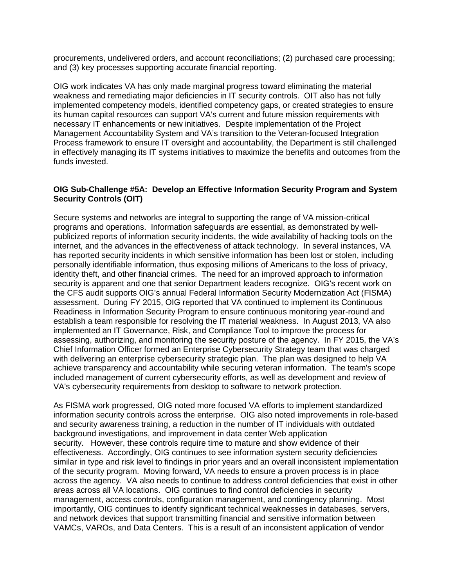procurements, undelivered orders, and account reconciliations; (2) purchased care processing; and (3) key processes supporting accurate financial reporting.

 weakness and remediating major deficiencies in IT security controls. OIT also has not fully necessary IT enhancements or new initiatives. Despite implementation of the Project Process framework to ensure IT oversight and accountability, the Department is still challenged in effectively managing its IT systems initiatives to maximize the benefits and outcomes from the OIG work indicates VA has only made marginal progress toward eliminating the material implemented competency models, identified competency gaps, or created strategies to ensure its human capital resources can support VA's current and future mission requirements with Management Accountability System and VA's transition to the Veteran-focused Integration funds invested.

#### **OIG Sub-Challenge #5A: Develop an Effective Information Security Program and System Security Controls (OIT)**

 programs and operations. Information safeguards are essential, as demonstrated by well- internet, and the advances in the effectiveness of attack technology. In several instances, VA identity theft, and other financial crimes. The need for an improved approach to information security is apparent and one that senior Department leaders recognize. OIG's recent work on assessment. During FY 2015, OIG reported that VA continued to implement its Continuous establish a team responsible for resolving the IT material weakness. In August 2013, VA also implemented an IT Governance, Risk, and Compliance Tool to improve the process for assessing, authorizing, and monitoring the security posture of the agency. In FY 2015, the VA's with delivering an enterprise cybersecurity strategic plan. The plan was designed to help VA achieve transparency and accountability while securing veteran information. The team's scope VA's cybersecurity requirements from desktop to software to network protection. Secure systems and networks are integral to supporting the range of VA mission-critical publicized reports of information security incidents, the wide availability of hacking tools on the has reported security incidents in which sensitive information has been lost or stolen, including personally identifiable information, thus exposing millions of Americans to the loss of privacy, the CFS audit supports OIG's annual Federal Information Security Modernization Act (FISMA) Readiness in Information Security Program to ensure continuous monitoring year-round and Chief Information Officer formed an Enterprise Cybersecurity Strategy team that was charged included management of current cybersecurity efforts, as well as development and review of

 information security controls across the enterprise. OIG also noted improvements in role-based security. However, these controls require time to mature and show evidence of their effectiveness. Accordingly, OIG continues to see information system security deficiencies of the security program. Moving forward, VA needs to ensure a proven process is in place across the agency. VA also needs to continue to address control deficiencies that exist in other areas across all VA locations. OIG continues to find control deficiencies in security management, access controls, configuration management, and contingency planning. Most VAMCs, VAROs, and Data Centers. This is a result of an inconsistent application of vendor As FISMA work progressed, OIG noted more focused VA efforts to implement standardized and security awareness training, a reduction in the number of IT individuals with outdated background investigations, and improvement in data center Web application similar in type and risk level to findings in prior years and an overall inconsistent implementation importantly, OIG continues to identify significant technical weaknesses in databases, servers, and network devices that support transmitting financial and sensitive information between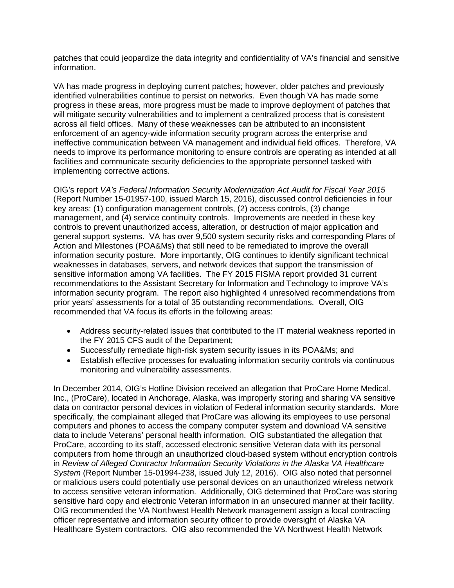information. patches that could jeopardize the data integrity and confidentiality of VA's financial and sensitive

 identified vulnerabilities continue to persist on networks. Even though VA has made some progress in these areas, more progress must be made to improve deployment of patches that will mitigate security vulnerabilities and to implement a centralized process that is consistent across all field offices. Many of these weaknesses can be attributed to an inconsistent ineffective communication between VA management and individual field offices. Therefore, VA implementing corrective actions. VA has made progress in deploying current patches; however, older patches and previously enforcement of an agency-wide information security program across the enterprise and needs to improve its performance monitoring to ensure controls are operating as intended at all facilities and communicate security deficiencies to the appropriate personnel tasked with

 (Report Number 15-01957-100, issued March 15, 2016), discussed control deficiencies in four key areas: (1) configuration management controls, (2) access controls, (3) change management, and (4) service continuity controls. Improvements are needed in these key general support systems. VA has over 9,500 system security risks and corresponding Plans of information security posture. More importantly, OIG continues to identify significant technical sensitive information among VA facilities. The FY 2015 FISMA report provided 31 current information security program. The report also highlighted 4 unresolved recommendations from prior years' assessments for a total of 35 outstanding recommendations. Overall, OIG DIG's report VA's Federal Information Security Modernization Act Audit for Fiscal Year 2015 controls to prevent unauthorized access, alteration, or destruction of major application and Action and Milestones (POA&Ms) that still need to be remediated to improve the overall weaknesses in databases, servers, and network devices that support the transmission of recommendations to the Assistant Secretary for Information and Technology to improve VA's recommended that VA focus its efforts in the following areas:

- the FY 2015 CFS audit of the Department; • Address security-related issues that contributed to the IT material weakness reported in
- Successfully remediate high-risk system security issues in its POA&Ms; and
- Establish effective processes for evaluating information security controls via continuous monitoring and vulnerability assessments.

 data to include Veterans' personal health information. OIG substantiated the allegation that sensitive hard copy and electronic Veteran information in an unsecured manner at their facility. officer representative and information security officer to provide oversight of Alaska VA Healthcare System contractors. OIG also recommended the VA Northwest Health Network In December 2014, OIG's Hotline Division received an allegation that ProCare Home Medical, Inc., (ProCare), located in Anchorage, Alaska, was improperly storing and sharing VA sensitive data on contractor personal devices in violation of Federal information security standards. More specifically, the complainant alleged that ProCare was allowing its employees to use personal computers and phones to access the company computer system and download VA sensitive ProCare, according to its staff, accessed electronic sensitive Veteran data with its personal computers from home through an unauthorized cloud-based system without encryption controls in *Review of Alleged Contractor Information Security Violations in the Alaska VA Healthcare System* (Report Number 15-01994-238, issued July 12, 2016). OIG also noted that personnel or malicious users could potentially use personal devices on an unauthorized wireless network to access sensitive veteran information. Additionally, OIG determined that ProCare was storing OIG recommended the VA Northwest Health Network management assign a local contracting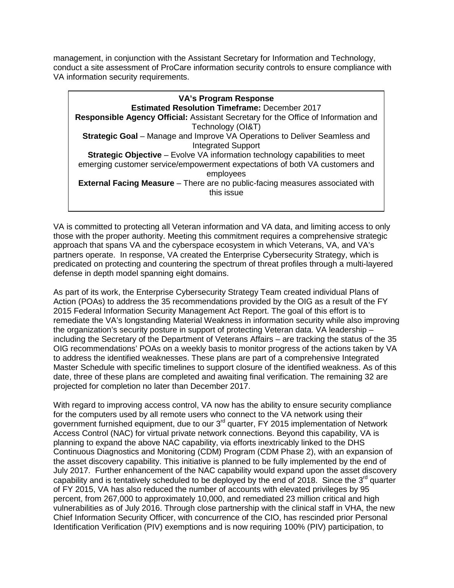management, in conjunction with the Assistant Secretary for Information and Technology, conduct a site assessment of ProCare information security controls to ensure compliance with VA information security requirements.

 **Strategic Goal** – Manage and Improve VA Operations to Deliver Seamless and **Strategic Objective** – Evolve VA information technology capabilities to meet **External Facing Measure** – There are no public-facing measures associated with **VA's Program Response Estimated Resolution Timeframe:** December 2017 **Responsible Agency Official:** Assistant Secretary for the Office of Information and Technology (OI&T) Integrated Support emerging customer service/empowerment expectations of both VA customers and employees this issue

VA is committed to protecting all Veteran information and VA data, and limiting access to only those with the proper authority. Meeting this commitment requires a comprehensive strategic approach that spans VA and the cyberspace ecosystem in which Veterans, VA, and VA's partners operate. In response, VA created the Enterprise Cybersecurity Strategy, which is predicated on protecting and countering the spectrum of threat profiles through a multi-layered defense in depth model spanning eight domains.

 As part of its work, the Enterprise Cybersecurity Strategy Team created individual Plans of 2015 Federal Information Security Management Act Report. The goal of this effort is to including the Secretary of the Department of Veterans Affairs – are tracking the status of the 35 Master Schedule with specific timelines to support closure of the identified weakness. As of this Action (POAs) to address the 35 recommendations provided by the OIG as a result of the FY remediate the VA's longstanding Material Weakness in information security while also improving the organization's security posture in support of protecting Veteran data. VA leadership – OIG recommendations' POAs on a weekly basis to monitor progress of the actions taken by VA to address the identified weaknesses. These plans are part of a comprehensive Integrated date, three of these plans are completed and awaiting final verification. The remaining 32 are projected for completion no later than December 2017.

 for the computers used by all remote users who connect to the VA network using their government furnished equipment, due to our 3<sup>rd</sup> quarter, FY 2015 implementation of Network Access Control (NAC) for virtual private network connections. Beyond this capability, VA is With regard to improving access control, VA now has the ability to ensure security compliance planning to expand the above NAC capability, via efforts inextricably linked to the DHS Continuous Diagnostics and Monitoring (CDM) Program (CDM Phase 2), with an expansion of the asset discovery capability. This initiative is planned to be fully implemented by the end of July 2017. Further enhancement of the NAC capability would expand upon the asset discovery capability and is tentatively scheduled to be deployed by the end of 2018. Since the  $3^{rd}$  quarter of FY 2015, VA has also reduced the number of accounts with elevated privileges by 95 percent, from 267,000 to approximately 10,000, and remediated 23 million critical and high vulnerabilities as of July 2016. Through close partnership with the clinical staff in VHA, the new Chief Information Security Officer, with concurrence of the CIO, has rescinded prior Personal Identification Verification (PIV) exemptions and is now requiring 100% (PIV) participation, to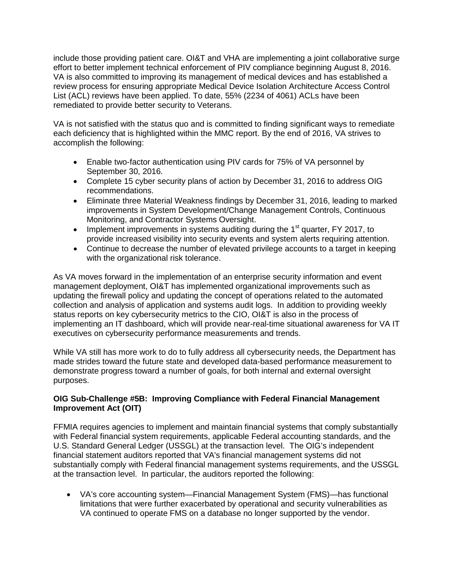effort to better implement technical enforcement of PIV compliance beginning August 8, 2016. include those providing patient care. OI&T and VHA are implementing a joint collaborative surge VA is also committed to improving its management of medical devices and has established a review process for ensuring appropriate Medical Device Isolation Architecture Access Control List (ACL) reviews have been applied. To date, 55% (2234 of 4061) ACLs have been remediated to provide better security to Veterans.

 VA is not satisfied with the status quo and is committed to finding significant ways to remediate each deficiency that is highlighted within the MMC report. By the end of 2016, VA strives to accomplish the following:

- Enable two-factor authentication using PIV cards for 75% of VA personnel by September 30, 2016.
- Complete 15 cyber security plans of action by December 31, 2016 to address OIG recommendations.
- Eliminate three Material Weakness findings by December 31, 2016, leading to marked improvements in System Development/Change Management Controls, Continuous Monitoring, and Contractor Systems Oversight.
- Implement improvements in systems auditing during the  $1<sup>st</sup>$  quarter, FY 2017, to provide increased visibility into security events and system alerts requiring attention.
- Continue to decrease the number of elevated privilege accounts to a target in keeping with the organizational risk tolerance.

 collection and analysis of application and systems audit logs. In addition to providing weekly status reports on key cybersecurity metrics to the CIO, OI&T is also in the process of implementing an IT dashboard, which will provide near-real-time situational awareness for VA IT As VA moves forward in the implementation of an enterprise security information and event management deployment, OI&T has implemented organizational improvements such as updating the firewall policy and updating the concept of operations related to the automated executives on cybersecurity performance measurements and trends.

 While VA still has more work to do to fully address all cybersecurity needs, the Department has demonstrate progress toward a number of goals, for both internal and external oversight made strides toward the future state and developed data-based performance measurement to purposes.

## **OIG Sub-Challenge #5B: Improving Compliance with Federal Financial Management Improvement Act (OIT)**

 FFMIA requires agencies to implement and maintain financial systems that comply substantially with Federal financial system requirements, applicable Federal accounting standards, and the U.S. Standard General Ledger (USSGL) at the transaction level. The OIG's independent financial statement auditors reported that VA's financial management systems did not at the transaction level. In particular, the auditors reported the following: substantially comply with Federal financial management systems requirements, and the USSGL

 VA continued to operate FMS on a database no longer supported by the vendor. • VA's core accounting system—Financial Management System (FMS)—has functional limitations that were further exacerbated by operational and security vulnerabilities as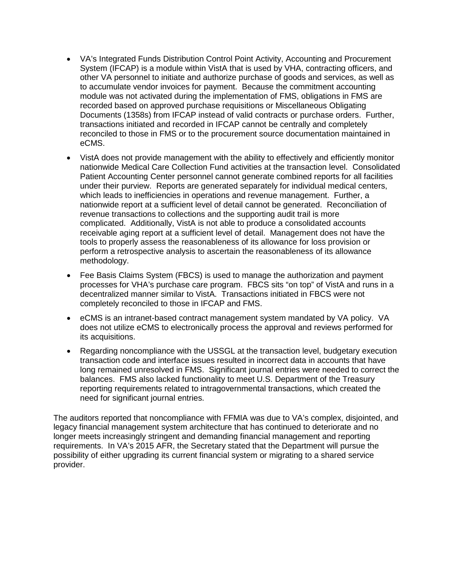- other VA personnel to initiate and authorize purchase of goods and services, as well as Documents (1358s) from IFCAP instead of valid contracts or purchase orders. Further, eCMS. • VA's Integrated Funds Distribution Control Point Activity, Accounting and Procurement System (IFCAP) is a module within VistA that is used by VHA, contracting officers, and to accumulate vendor invoices for payment. Because the commitment accounting module was not activated during the implementation of FMS, obligations in FMS are recorded based on approved purchase requisitions or Miscellaneous Obligating transactions initiated and recorded in IFCAP cannot be centrally and completely reconciled to those in FMS or to the procurement source documentation maintained in
- nationwide Medical Care Collection Fund activities at the transaction level. Consolidated Patient Accounting Center personnel cannot generate combined reports for all facilities nationwide report at a sufficient level of detail cannot be generated. Reconciliation of revenue transactions to collections and the supporting audit trail is more complicated. Additionally, VistA is not able to produce a consolidated accounts receivable aging report at a sufficient level of detail. Management does not have the VistA does not provide management with the ability to effectively and efficiently monitor under their purview. Reports are generated separately for individual medical centers, which leads to inefficiencies in operations and revenue management. Further, a tools to properly assess the reasonableness of its allowance for loss provision or perform a retrospective analysis to ascertain the reasonableness of its allowance methodology.
- decentralized manner similar to VistA. Transactions initiated in FBCS were not • Fee Basis Claims System (FBCS) is used to manage the authorization and payment processes for VHA's purchase care program. FBCS sits "on top" of VistA and runs in a completely reconciled to those in IFCAP and FMS.
- does not utilize eCMS to electronically process the approval and reviews performed for • eCMS is an intranet-based contract management system mandated by VA policy. VA its acquisitions.
- transaction code and interface issues resulted in incorrect data in accounts that have balances. FMS also lacked functionality to meet U.S. Department of the Treasury Regarding noncompliance with the USSGL at the transaction level, budgetary execution long remained unresolved in FMS. Significant journal entries were needed to correct the reporting requirements related to intragovernmental transactions, which created the need for significant journal entries.

 The auditors reported that noncompliance with FFMIA was due to VA's complex, disjointed, and requirements. In VA's 2015 AFR, the Secretary stated that the Department will pursue the legacy financial management system architecture that has continued to deteriorate and no longer meets increasingly stringent and demanding financial management and reporting possibility of either upgrading its current financial system or migrating to a shared service provider.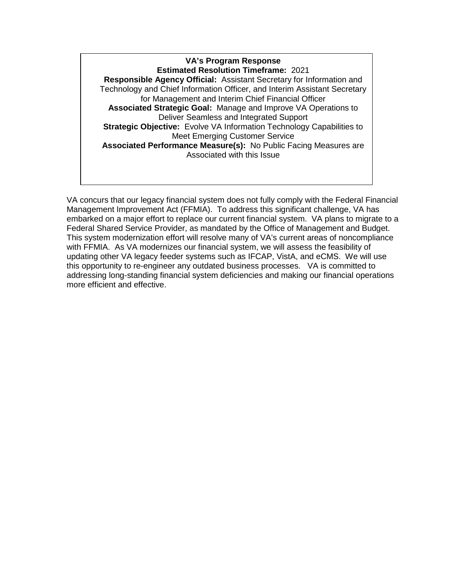**Estimated Resolution Timeframe:** 2021  **Responsible Agency Official:** Assistant Secretary for Information and  **Associated Strategic Goal:** Manage and Improve VA Operations to  **Strategic Objective:** Evolve VA Information Technology Capabilities to  **Associated Performance Measure(s):** No Public Facing Measures are **VA's Program Response** Technology and Chief Information Officer, and Interim Assistant Secretary for Management and Interim Chief Financial Officer Deliver Seamless and Integrated Support Meet Emerging Customer Service Associated with this Issue

 VA concurs that our legacy financial system does not fully comply with the Federal Financial Management Improvement Act (FFMIA). To address this significant challenge, VA has Federal Shared Service Provider, as mandated by the Office of Management and Budget. updating other VA legacy feeder systems such as IFCAP, VistA, and eCMS. We will use embarked on a major effort to replace our current financial system. VA plans to migrate to a This system modernization effort will resolve many of VA's current areas of noncompliance with FFMIA. As VA modernizes our financial system, we will assess the feasibility of this opportunity to re-engineer any outdated business processes. VA is committed to addressing long-standing financial system deficiencies and making our financial operations more efficient and effective.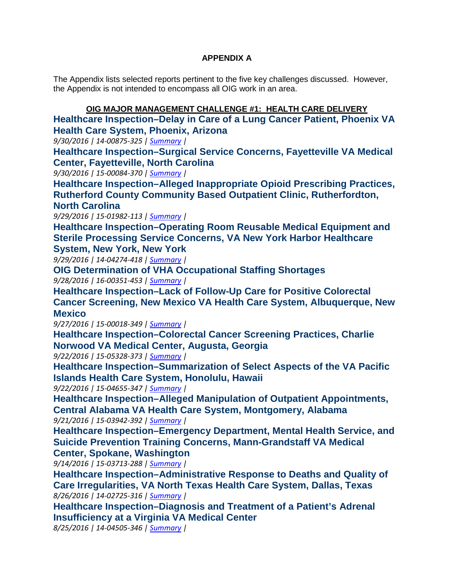## **APPENDIX A**

 The Appendix lists selected reports pertinent to the five key challenges discussed. However, the Appendix is not intended to encompass all OIG work in an area.

 **OIG MAJOR MANAGEMENT CHALLENGE #1: HEALTH CARE DELIVERY [Healthcare Inspection–Delay in Care of a Lung Cancer Patient, Phoenix VA](http://www.va.gov/oig/pubs/VAOIG-14-00875-325.pdf)  [Health Care System, Phoenix, Arizona](http://www.va.gov/oig/pubs/VAOIG-14-00875-325.pdf)** 

*9/30/2016 | 14-00875-325 | [Summary](http://www.va.gov/oig/publications/report-summary.asp?id=3804) |* 

**[Healthcare Inspection–Surgical Service Concerns, Fayetteville VA Medical](http://www.va.gov/oig/pubs/VAOIG-15-00084-370.pdf)  [Center, Fayetteville, North Carolina](http://www.va.gov/oig/pubs/VAOIG-15-00084-370.pdf)** 

 *9/30/2016 | 15-00084-370 | [Summary](http://www.va.gov/oig/publications/report-summary.asp?id=3802) |* 

**[Healthcare Inspection–Alleged Inappropriate Opioid Prescribing Practices,](http://www.va.gov/oig/pubs/VAOIG-15-01982-113.pdf)  [Rutherford County Community Based Outpatient Clinic, Rutherfordton,](http://www.va.gov/oig/pubs/VAOIG-15-01982-113.pdf)  [North Carolina](http://www.va.gov/oig/pubs/VAOIG-15-01982-113.pdf)** 

 *9/29/2016 | 15-01982-113 | [Summary](http://www.va.gov/oig/publications/report-summary.asp?id=3798) |* 

**[Healthcare Inspection–Operating Room Reusable Medical Equipment and](http://www.va.gov/oig/pubs/VAOIG-14-04274-418.pdf)  [Sterile Processing Service Concerns, VA New York Harbor Healthcare](http://www.va.gov/oig/pubs/VAOIG-14-04274-418.pdf)** 

**[System, New York, New York](http://www.va.gov/oig/pubs/VAOIG-14-04274-418.pdf)** 

 *9/29/2016 | 14-04274-418 | [Summary](http://www.va.gov/oig/publications/report-summary.asp?id=3799) |* 

 *9/28/2016 | 16-00351-453 | [Summary](http://www.va.gov/oig/publications/report-summary.asp?id=3797) |*  **[OIG Determination of VHA Occupational Staffing Shortages](http://www.va.gov/oig/pubs/VAOIG-16-00351-453.pdf)** 

**[Healthcare Inspection–Lack of Follow-Up Care for Positive Colorectal](http://www.va.gov/oig/pubs/VAOIG-15-00018-349.pdf)  [Cancer Screening, New Mexico VA Health Care System, Albuquerque, New](http://www.va.gov/oig/pubs/VAOIG-15-00018-349.pdf)  [Mexico](http://www.va.gov/oig/pubs/VAOIG-15-00018-349.pdf)** 

 *9/27/2016 | 15-00018-349 | [Summary](http://www.va.gov/oig/publications/report-summary.asp?id=3795) |* 

**[Healthcare Inspection–Colorectal Cancer Screening Practices, Charlie](http://www.va.gov/oig/pubs/VAOIG-15-05328-373.pdf)  [Norwood VA Medical Center, Augusta, Georgia](http://www.va.gov/oig/pubs/VAOIG-15-05328-373.pdf)**

 *9/22/2016 | 15-05328-373 | [Summary](http://www.va.gov/oig/publications/report-summary.asp?id=3791) |* 

 **[Healthcare Inspection–Summarization of Select Aspects of the VA Pacific](http://www.va.gov/oig/pubs/VAOIG-15-04655-347.pdf)  [Islands Health Care System, Honolulu, Hawaii](http://www.va.gov/oig/pubs/VAOIG-15-04655-347.pdf)**

 *9/22/2016 | 15-04655-347 | [Summary](http://www.va.gov/oig/publications/report-summary.asp?id=3794) |* 

**[Healthcare Inspection–Alleged Manipulation of Outpatient Appointments,](http://www.va.gov/oig/pubs/VAOIG-15-03942-392.pdf)  [Central Alabama VA Health Care System, Montgomery, Alabama](http://www.va.gov/oig/pubs/VAOIG-15-03942-392.pdf)**

 *9/21/2016 | 15-03942-392 | [Summary](http://www.va.gov/oig/publications/report-summary.asp?id=3793) |* 

**[Healthcare Inspection–Emergency Department, Mental Health Service, and](http://www.va.gov/oig/pubs/VAOIG-15-03713-288.pdf)  [Suicide Prevention Training Concerns, Mann-Grandstaff VA Medical](http://www.va.gov/oig/pubs/VAOIG-15-03713-288.pdf)  [Center, Spokane, Washington](http://www.va.gov/oig/pubs/VAOIG-15-03713-288.pdf)** 

 *9/14/2016 | 15-03713-288 | [Summary](http://www.va.gov/oig/publications/report-summary.asp?id=3789) |* 

 *8/26/2016 | 14-02725-316 | [Summary](http://www.va.gov/oig/publications/report-summary.asp?id=3785) |*  **[Healthcare Inspection–Administrative Response to Deaths and Quality of](http://www.va.gov/oig/pubs/VAOIG-14-02725-316.pdf)  [Care Irregularities, VA North Texas Health Care System, Dallas, Texas](http://www.va.gov/oig/pubs/VAOIG-14-02725-316.pdf)** 

**[Healthcare Inspection–Diagnosis and Treatment of a Patient's Adrenal](http://www.va.gov/oig/pubs/vaoig-14-04505-346.pdf)  [Insufficiency at a Virginia VA Medical Center](http://www.va.gov/oig/pubs/vaoig-14-04505-346.pdf)** 

 *8/25/2016 | 14-04505-346 | [Summary](http://www.va.gov/oig/publications/report-summary.asp?id=3784) |*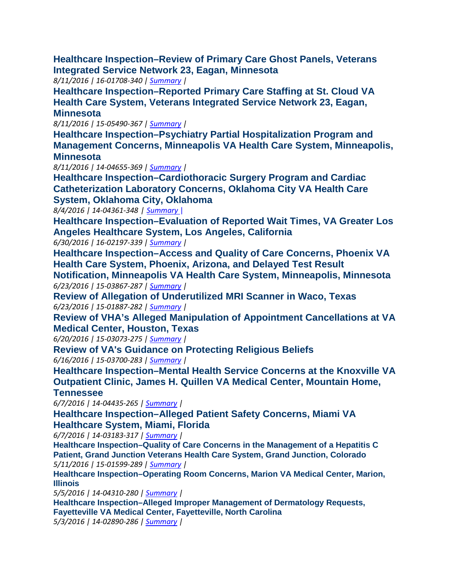**[Integrated Service Network 23, Eagan, Minnesota](http://www.va.gov/oig/pubs/VAOIG-16-01708-340.pdf) [Healthcare Inspection–Review of Primary Care Ghost Panels, Veterans](http://www.va.gov/oig/pubs/VAOIG-16-01708-340.pdf)** 

 *8/11/2016 | 16-01708-340 | [Summary](http://www.va.gov/oig/publications/report-summary.asp?id=3779) |* 

**[Healthcare Inspection–Reported Primary Care Staffing at St. Cloud VA](http://www.va.gov/oig/pubs/VAOIG-15-05490-367.pdf)  [Health Care System, Veterans Integrated Service Network 23, Eagan,](http://www.va.gov/oig/pubs/VAOIG-15-05490-367.pdf)  [Minnesota](http://www.va.gov/oig/pubs/VAOIG-15-05490-367.pdf)** 

 *8/11/2016 | 15-05490-367 | [Summary](http://www.va.gov/oig/publications/report-summary.asp?id=3780) |* 

**[Healthcare Inspection–Psychiatry Partial Hospitalization Program and](http://www.va.gov/oig/pubs/VAOIG-14-04655-369.pdf)  [Management Concerns, Minneapolis VA Health Care System, Minneapolis,](http://www.va.gov/oig/pubs/VAOIG-14-04655-369.pdf)  [Minnesota](http://www.va.gov/oig/pubs/VAOIG-14-04655-369.pdf)** 

 *8/11/2016 | 14-04655-369 | [Summary](http://www.va.gov/oig/publications/report-summary.asp?id=3781) |* 

**[Healthcare Inspection–Cardiothoracic Surgery Program and Cardiac](http://www.va.gov/oig/pubs/VAOIG-14-04361-348.pdf)  [Catheterization Laboratory Concerns, Oklahoma City VA Health Care](http://www.va.gov/oig/pubs/VAOIG-14-04361-348.pdf)  [System, Oklahoma City, Oklahoma](http://www.va.gov/oig/pubs/VAOIG-14-04361-348.pdf)** 

 *8/4/2016 | 14-04361-348 | [Summary](http://www.va.gov/oig/publications/report-summary.asp?id=3777)* |

**[Healthcare Inspection–Evaluation of Reported Wait Times, VA Greater Los](http://www.va.gov/oig/pubs/VAOIG-16-02197-339.pdf)  [Angeles Healthcare System, Los Angeles, California](http://www.va.gov/oig/pubs/VAOIG-16-02197-339.pdf)** 

 *6/30/2016 | 16-02197-339 | [Summary](http://www.va.gov/oig/publications/report-summary.asp?id=3774) |* 

**[Healthcare Inspection–Access and Quality of Care Concerns, Phoenix VA](http://www.va.gov/oig/pubs/VAOIG-15-03867-287.pdf)  [Health Care System, Phoenix, Arizona, and Delayed Test Result](http://www.va.gov/oig/pubs/VAOIG-15-03867-287.pdf)** 

 *6/23/2016 | 15-03867-287 | [Summary](http://www.va.gov/oig/publications/report-summary.asp?id=3772) |*  **[Notification, Minneapolis VA Health Care System, Minneapolis, Minnesota](http://www.va.gov/oig/pubs/VAOIG-15-03867-287.pdf)** 

 *6/23/2016 | 15-01887-282 | [Summary](http://www.va.gov/oig/publications/report-summary.asp?id=3768) |*  **[Review of Allegation of Underutilized MRI Scanner in Waco, Texas](http://www.va.gov/oig/pubs/VAOIG-15-01887-282.pdf)**

**[Review of VHA's Alleged Manipulation of Appointment Cancellations at VA](http://www.va.gov/oig/pubs/VAOIG-15-03073-275.pdf)  [Medical Center, Houston, Tex](http://www.va.gov/oig/pubs/VAOIG-15-03073-275.pdf)as** 

 *6/20/2016 | 15-03073-275 | [Summary](http://www.va.gov/oig/publications/report-summary.asp?id=3767) |* 

 *6/16/2016 | 15-03700-283 | [Summary](http://www.va.gov/oig/publications/report-summary.asp?id=3763) |*  **[Review of VA's Guidance on Protecting Religious Beliefs](http://www.va.gov/oig/pubs/VAOIG-15-03700-283.pdf)** 

 **[Healthcare Inspection–Mental Health Service Concerns at the Knoxville VA](http://www.va.gov/oig/pubs/VAOIG-14-04435-265.pdf)  [Outpatient Clinic, James H. Quillen VA Medical Center, Mountain Home,](http://www.va.gov/oig/pubs/VAOIG-14-04435-265.pdf)  [Tennessee](http://www.va.gov/oig/pubs/VAOIG-14-04435-265.pdf)** 

 *6/7/2016 | 14-04435-265 [| Summary](http://www.va.gov/oig/publications/report-summary.asp?id=3758) |* 

**[Healthcare Inspection–Alleged Patient Safety Concerns, Miami VA](http://www.va.gov/oig/pubs/VAOIG-14-03183-317.pdf)  [Healthcare System, Miami, Florida](http://www.va.gov/oig/pubs/VAOIG-14-03183-317.pdf)**

*6/7/2016 | 14-03183-317 [| Summary](http://www.va.gov/oig/publications/report-summary.asp?id=3757) |* 

 *5/11/2016 | 15-01599-289 | [Summary](http://www.va.gov/oig/publications/report-summary.asp?id=3747) |*  **[Healthcare Inspection–Quality of Care Concerns in the Management of a Hepatitis C](http://www.va.gov/oig/pubs/VAOIG-15-01599-289.pdf)  [Patient, Grand Junction Veterans Health Care System, Grand Junction, Colorado](http://www.va.gov/oig/pubs/VAOIG-15-01599-289.pdf)** 

**[Healthcare Inspection–Operating Room Concerns, Marion VA Medical Center, Marion,](http://www.va.gov/oig/pubs/VAOIG-14-04310-280.pdf) [Illinois](http://www.va.gov/oig/pubs/VAOIG-14-04310-280.pdf)** 

 *5/5/2016 | 14-04310-280 [| Summary](http://www.va.gov/oig/publications/report-summary.asp?id=3743) |* 

 **[Healthcare Inspection–Alleged Improper Management of Dermatology Requests,](http://www.va.gov/oig/pubs/VAOIG-14-02890-286.pdf)**  *5/3/2016 | 14-02890-286 [| Summary](http://www.va.gov/oig/publications/report-summary.asp?id=3740) |* **[Fayetteville VA Medical Center, Fayetteville, North Carolina](http://www.va.gov/oig/pubs/VAOIG-14-02890-286.pdf)**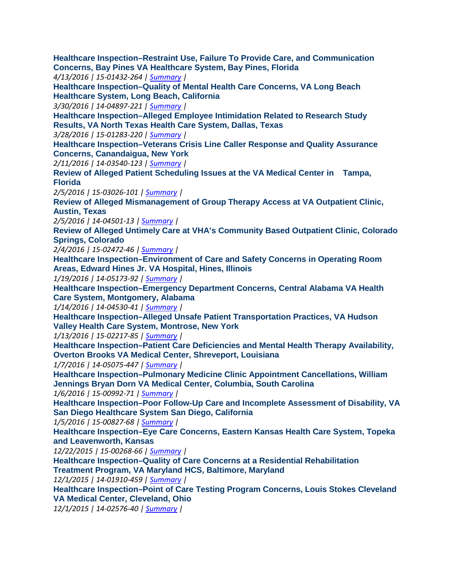**[Healthcare Inspection–Restraint Use, Failure To Provide Care, and Communication](http://www.va.gov/oig/pubs/VAOIG-15-01432-264.pdf)  [Concerns, Bay Pines VA Healthcare System, Bay Pines, Florida](http://www.va.gov/oig/pubs/VAOIG-15-01432-264.pdf)** 

 *4/13/2016 | 15-01432-264 | [Summary](http://www.va.gov/oig/publications/report-summary.asp?id=3721) |* 

**[Healthcare Inspection–Quality of Mental Health Care Concerns, VA Long Beach](http://www.va.gov/oig/pubs/VAOIG-14-04897-221.pdf)  [Healthcare System, Long Beach, California](http://www.va.gov/oig/pubs/VAOIG-14-04897-221.pdf)** 

 *3/30/2016 | 14-04897-221 | [Summary](http://www.va.gov/oig/publications/report-summary.asp?id=3708) |* 

**[Healthcare Inspection–Alleged Employee Intimidation Related to Research Study](http://www.va.gov/oig/pubs/VAOIG-15-01283-220.pdf)  [Results, VA North Texas Health Care System, Dallas, Texas](http://www.va.gov/oig/pubs/VAOIG-15-01283-220.pdf)** 

 *3/28/2016 | 15-01283-220 | [Summary](http://www.va.gov/oig/publications/report-summary.asp?id=3710) |* 

 **[Healthcare Inspection–Veterans Crisis Line Caller Response and Quality Assurance](http://www.va.gov/oig/pubs/VAOIG-14-03540-123.pdf)  [Concerns, Canandaigua, New York](http://www.va.gov/oig/pubs/VAOIG-14-03540-123.pdf)** 

 *2/11/2016 | 14-03540-123 | [Summary](http://www.va.gov/oig/publications/report-summary.asp?id=3694) |* 

 **[Review of Alleged Patient Scheduling Issues at the VA Medical Center in Tampa,](http://www.va.gov/oig/pubs/VAOIG-15-03026-101.pdf)  [Fl](http://www.va.gov/oig/pubs/VAOIG-15-03026-101.pdf)orida** 

 *2/5/2016 | 15-03026-101 [| Summary](http://www.va.gov/oig/publications/report-summary.asp?id=3684) |* 

 **[Review of Alleged Mismanagement of Group Therapy Access at VA Outpatient Clinic,](http://www.va.gov/oig/pubs/VAOIG-14-04501-13.pdf) [Austin, Texas](http://www.va.gov/oig/pubs/VAOIG-14-04501-13.pdf)** 

 *2/5/2016 | 14-04501-13 | [Summary |](http://www.va.gov/oig/publications/report-summary.asp?id=3685)* 

**[Review of Alleged Untimely Care at VHA's Community Based Outpatient Clinic, Colorado](http://www.va.gov/oig/pubs/VAOIG-15-02472-46.pdf)  [Springs, Co](http://www.va.gov/oig/pubs/VAOIG-15-02472-46.pdf)lorado** 

 *2/4/2016 | 15-02472-46 | [Summary |](http://www.va.gov/oig/publications/report-summary.asp?id=3683)* 

**[Healthcare Inspection–Environment of Care and Safety Concerns in Operating Room](http://www.va.gov/oig/pubs/VAOIG-14-05173-92.pdf) [Areas, Edward Hines Jr. VA Hospital, Hines, Illinois](http://www.va.gov/oig/pubs/VAOIG-14-05173-92.pdf)** 

 *1/19/2016 | 14-05173-92 [| Summary](http://www.va.gov/oig/publications/report-summary.asp?id=3677) |* 

**[Healthcare Inspection–Emergency Department Concerns, Central Alabama VA Health](http://www.va.gov/oig/pubs/VAOIG-14-04530-41.pdf)  [Care System, Montgomery, Alabama](http://www.va.gov/oig/pubs/VAOIG-14-04530-41.pdf)** 

 *1/14/2016 | 14-04530-41 [| Summary](http://www.va.gov/oig/publications/report-summary.asp?id=3674) |* 

**[Healthcare Inspection–Alleged Unsafe Patient Transportation Practices, VA Hudson](http://www.va.gov/oig/pubs/VAOIG-15-02217-85.pdf)  [Valley Health Care System, Montrose, New York](http://www.va.gov/oig/pubs/VAOIG-15-02217-85.pdf)** 

 *1/13/2016 | 15-02217-85 [| Summary](http://www.va.gov/oig/publications/report-summary.asp?id=3670) |* 

**[Healthcare Inspection–Patient Care Deficiencies and Mental Health Therapy Availability,](http://www.va.gov/oig/pubs/VAOIG-14-05075-447.pdf)  [Overton Brooks VA Medical Center, Shreveport, Louisiana](http://www.va.gov/oig/pubs/VAOIG-14-05075-447.pdf)** 

 *1/7/2016 | 14-05075-447 [| Summary](http://www.va.gov/oig/publications/report-summary.asp?id=3665) |* 

 **[Healthcare Inspection–Pulmonary Medicine Clinic Appointment Cancellations, William](http://www.va.gov/oig/pubs/VAOIG-15-00992-71.pdf) [Jennings Bryan Dorn VA Medical Center, Columbia, So](http://www.va.gov/oig/pubs/VAOIG-15-00992-71.pdf)uth Carolina** 

 *1/6/2016 | 15-00992-71 | [Summary |](http://www.va.gov/oig/publications/report-summary.asp?id=3661)* 

**[Healthcare Inspection–Poor Follow-Up Care and Incomplete Assessment of Disability, VA](http://www.va.gov/oig/pubs/VAOIG-15-00827-68.pdf) [San Diego Healthcare System San Diego, California](http://www.va.gov/oig/pubs/VAOIG-15-00827-68.pdf)** 

 *1/5/2016 | 15-00827-68 | [Summary |](http://www.va.gov/oig/publications/report-summary.asp?id=3655)* 

**[Healthcare Inspection–Eye Care Concerns, Eastern Kansas Health Care System, Topeka](http://www.va.gov/oig/pubs/VAOIG-15-00268-66.pdf)  [and Leavenworth, Kansas](http://www.va.gov/oig/pubs/VAOIG-15-00268-66.pdf)** 

 *12/22/2015 | 15-00268-66 | [Summary](http://www.va.gov/oig/publications/report-summary.asp?id=3654) |* 

 **[Treatment Program, VA Maryland HCS, Baltimore, Maryland](http://www.va.gov/oig/pubs/VAOIG-14-01910-459.pdf) [Healthcare Inspection–Quality of Care Concerns at a Residential Rehabilitation](http://www.va.gov/oig/pubs/VAOIG-14-01910-459.pdf)**

 *12/1/2015 | 14-01910-459 | [Summary](http://www.va.gov/oig/publications/report-summary.asp?id=3641) |* 

**[Healthcare Inspection–Point of Care Testing Program Concerns, Louis Stokes Cleveland](http://www.va.gov/oig/pubs/VAOIG-14-02576-40.pdf)  [VA Medical Center, Cleveland, Ohio](http://www.va.gov/oig/pubs/VAOIG-14-02576-40.pdf)** 

 *12/1/2015 | 14-02576-40 [| Summary](http://www.va.gov/oig/publications/report-summary.asp?id=3642) |*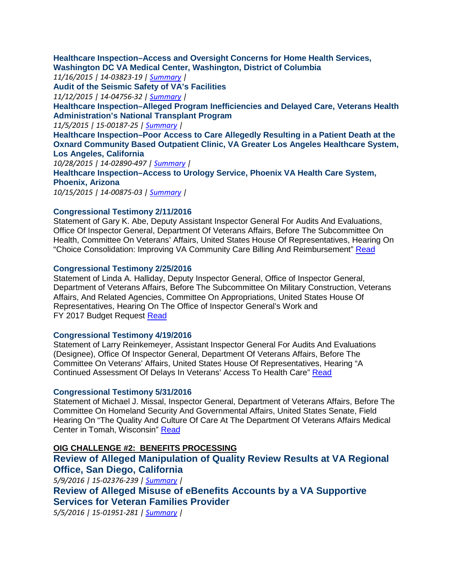**[Healthcare Inspection–Access and Oversight Concerns for Home Health Services,](http://www.va.gov/oig/pubs/VAOIG-14-03823-19.pdf) [Washington DC VA Medical Center, Washington, District of Columbia](http://www.va.gov/oig/pubs/VAOIG-14-03823-19.pdf)** 

 *11/16/2015 | 14-03823-19 | [Summary](http://www.va.gov/oig/publications/report-summary.asp?id=3632) |* 

**[Audit of the Seismic Safety of VA's Facilities](http://www.va.gov/oig/pubs/VAOIG-14-04756-32.pdf)** 

 *11/12/2015 | 14-04756-32 | [Summary](http://www.va.gov/oig/publications/report-summary.asp?id=3636) |* 

**[Healthcare Inspection–Alleged Program Inefficiencies and Delayed Care, Veterans Health](http://www.va.gov/oig/pubs/VAOIG-15-00187-25.pdf) [Administration's National Transplant Program](http://www.va.gov/oig/pubs/VAOIG-15-00187-25.pdf)** 

 *11/5/2015 | 15-00187-25 [| Summary](http://www.va.gov/oig/publications/report-summary.asp?id=3631) |* 

**[Healthcare Inspection–Poor Access to Care Allegedly Resulting in a Patient Death at the](http://www.va.gov/oig/pubs/VAOIG-14-02890-497.pdf) [Oxnard Community Based Outpatient Clinic, VA Greater Los Angeles Healthcare System,](http://www.va.gov/oig/pubs/VAOIG-14-02890-497.pdf)  [Los Angeles, California](http://www.va.gov/oig/pubs/VAOIG-14-02890-497.pdf)** 

 *10/28/2015 | 14-02890-497 [| Summary](http://www.va.gov/oig/publications/report-summary.asp?id=3629) |* 

**[Healthcare Inspection–Access to Urology Service, Phoenix VA Health Care System,](http://www.va.gov/oig/pubs/VAOIG-14-00875-03.pdf) [Phoenix, Ar](http://www.va.gov/oig/pubs/VAOIG-14-00875-03.pdf)izona** 

 *10/15/2015 | 14-00875-03 | [Summary](http://www.va.gov/oig/publications/report-summary.asp?id=3623) |* 

#### **[Congressional Testimony](http://www.va.gov/oig/pubs/statements/VAOIG-statement-20160211-abe.pdf) 2/11/2016**

 Office Of Inspector General, Department Of Veterans Affairs, Before The Subcommittee On Statement of Gary K. Abe, Deputy Assistant Inspector General For Audits And Evaluations, Health, Committee On Veterans' Affairs, United States House Of Representatives, Hearing On "Choice Consolidation: Improving VA Community Care Billing And Reimbursement" [Read](http://www.va.gov/oig/pubs/statements/VAOIG-statement-20160211-abe.pdf) 

#### **[Congressional Testimony](http://www.va.gov/oig/pubs/statements/VAOIG-Statement-20160225-halliday.pdf) 2/25/2016**

 Representatives, Hearing On The Office of Inspector General's Work and Statement of Linda A. Halliday, Deputy Inspector General, Office of Inspector General, Department of Veterans Affairs, Before The Subcommittee On Military Construction, Veterans Affairs, And Related Agencies, Committee On Appropriations, United States House Of FY 2017 Budget Request [Read](http://www.va.gov/oig/pubs/statements/VAOIG-Statement-20160225-halliday.pdf) 

#### **[Congressional Testimony](http://www.va.gov/oig/pubs/statements/VAOIG-statement-20160419-reinkemeyer.pdf) 4/19/2016**

Statement of Larry Reinkemeyer, Assistant Inspector General For Audits And Evaluations (Designee), Office Of Inspector General, Department Of Veterans Affairs, Before The Committee On Veterans' Affairs, United States House Of Representatives, Hearing "A Continued Assessment Of Delays In Veterans' Access To Health Care" [Read](http://www.va.gov/oig/pubs/statements/VAOIG-statement-20160419-reinkemeyer.pdf) 

#### **[Congressional Testimony](http://www.va.gov/oig/pubs/statements/VAOIG-Statement-20160531-missal.pdf) 5/31/2016**

Center in Tomah, Wisconsin" <u>Read</u> Statement of Michael J. Missal, Inspector General, Department of Veterans Affairs, Before The Committee On Homeland Security And Governmental Affairs, United States Senate, Field Hearing On "The Quality And Culture Of Care At The Department Of Veterans Affairs Medical

## **OIG CHALLENGE #2: BENEFITS PROCESSING**

**[Review of Alleged Manipulation of Quality Review Results at VA Regional](http://www.va.gov/oig/pubs/VAOIG-15-02376-239.pdf)  [Office, San Diego, Ca](http://www.va.gov/oig/pubs/VAOIG-15-02376-239.pdf)lifornia** 

 *5/9/2016 | 15-02376-239 [| Summary](http://www.va.gov/oig/publications/report-summary.asp?id=3741) |* 

 **[Review of Alleged Misuse of eBenefits Accounts by a VA Supportive](http://www.va.gov/oig/pubs/VAOIG-15-01951-281.pdf)  [Services for Veteran Families Provider](http://www.va.gov/oig/pubs/VAOIG-15-01951-281.pdf)** 

 *5/5/2016 | 15-01951-281 [| Summary](http://www.va.gov/oig/publications/report-summary.asp?id=3742) |*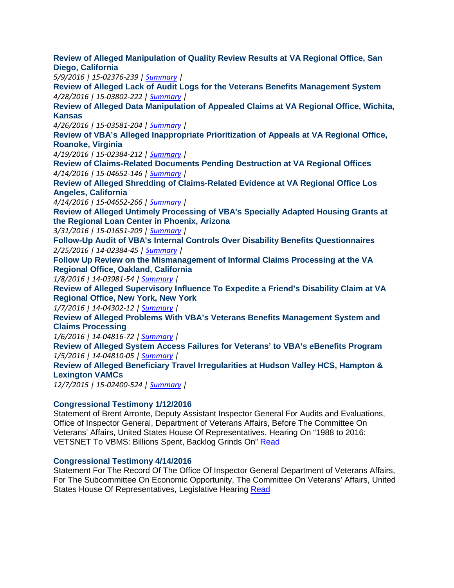**[Review of Alleged Manipulation of Quality Review Results at VA Regional Office, San](http://www.va.gov/oig/pubs/VAOIG-15-02376-239.pdf)  [Diego, Ca](http://www.va.gov/oig/pubs/VAOIG-15-02376-239.pdf)lifornia** 

 *5/9/2016 | 15-02376-239 [| Summary](http://www.va.gov/oig/publications/report-summary.asp?id=3741) |* 

 *4/28/2016 | 15-03802-222 | [Summary](http://www.va.gov/oig/publications/report-summary.asp?id=3739) |*  **[Review of Alleged Lack of Audit Logs for the Veterans Benefits Management System](http://www.va.gov/oig/pubs/VAOIG-15-03802-222.pdf)** 

**[Review of Alleged Data Manipulation of Appealed Claims at VA Regional Office, Wichita,](http://www.va.gov/oig/pubs/VAOIG-15-03581-204.pdf)  [Kansas](http://www.va.gov/oig/pubs/VAOIG-15-03581-204.pdf)** 

 *4/26/2016 | 15-03581-204 | [Summary](http://www.va.gov/oig/publications/report-summary.asp?id=3738) |* 

**[Review of VBA's Alleged Inappropriate Prioritization of Appeals at VA Regional Office,](http://www.va.gov/oig/pubs/VAOIG-15-02384-212.pdf) [Roanoke, Vi](http://www.va.gov/oig/pubs/VAOIG-15-02384-212.pdf)rginia** 

 *4/19/2016 | 15-02384-212 | [Summary](http://www.va.gov/oig/publications/report-summary.asp?id=3729) |* 

 *4/14/2016 | 15-04652-146 | [Summary](http://www.va.gov/oig/publications/report-summary.asp?id=3726) |*  **[Review of Claims-Related Documents Pending Destruction at VA Regional Offices](http://www.va.gov/oig/pubs/VAOIG-15-04652-146.pdf)** 

**[Review of Alleged Shredding of Claims-Related Evidence at VA Regional Office Los](http://www.va.gov/oig/pubs/VAOIG-15-04652-266.pdf)  [Angeles, Ca](http://www.va.gov/oig/pubs/VAOIG-15-04652-266.pdf)lifornia** 

 *4/14/2016 | 15-04652-266 | [Summary](http://www.va.gov/oig/publications/report-summary.asp?id=3727) |* 

**[Review of Alleged Untimely Processing of VBA's Specially Adapted Housing Grants at](http://www.va.gov/oig/pubs/VAOIG-15-01651-209.pdf)  [the Regional Loan Center in Phoenix, Arizona](http://www.va.gov/oig/pubs/VAOIG-15-01651-209.pdf)** 

 *3/31/2016 | 15-01651-209 | [Summary](http://www.va.gov/oig/publications/report-summary.asp?id=3711) |* 

 *2/25/2016 | 14-02384-45 [| Summary](http://www.va.gov/oig/publications/report-summary.asp?id=3699) |*  **[Follow-Up Audit of VBA's Internal Controls Over Disability Benefits Questionnaires](http://www.va.gov/oig/pubs/VAOIG-14-02384-45.pdf)** 

 **[Follow Up Review on the Mismanagement of Informal Claims Processing at the VA](http://www.va.gov/oig/pubs/VAOIG-14-03981-54.pdf)  [Regional Office, Oakland, California](http://www.va.gov/oig/pubs/VAOIG-14-03981-54.pdf)** 

 *1/8/2016 | 14-03981-54 | [Summary |](http://www.va.gov/oig/publications/report-summary.asp?id=3666)* 

 **[Review of Alleged Supervisory Influence To Expedite a Friend's Disability Claim at VA](http://www.va.gov/oig/pubs/VAOIG-14-04302-12.pdf)  [Regional Office, New York, New York](http://www.va.gov/oig/pubs/VAOIG-14-04302-12.pdf)** 

 *1/7/2016 | 14-04302-12 | [Summary |](http://www.va.gov/oig/publications/report-summary.asp?id=3659)* 

**[Review of Alleged Problems With VBA's Veterans Benefits Management System and](http://www.va.gov/oig/pubs/VAOIG-14-04816-72.pdf)  [Claims Processing](http://www.va.gov/oig/pubs/VAOIG-14-04816-72.pdf)** 

 *1/6/2016 | 14-04816-72 | [Summary |](http://www.va.gov/oig/publications/report-summary.asp?id=3660)* 

 *1/5/2016 | 14-04810-05 | [Summary |](http://www.va.gov/oig/publications/report-summary.asp?id=3657)*  **[Review of Alleged System Access Failures for Veterans' to VBA's eBenefits Program](http://www.va.gov/oig/pubs/VAOIG-14-04810-05.pdf)** 

**[Review of Alleged Beneficiary Travel Irregularities at Hudson Valley HCS, Hampton &](http://www.va.gov/oig/pubs/VAOIG-15-02400-524.pdf) [Lexington VAMCs](http://www.va.gov/oig/pubs/VAOIG-15-02400-524.pdf)** 

 *12/7/2015 | 15-02400-524 | [Summary](http://www.va.gov/oig/publications/report-summary.asp?id=3648) |* 

#### **[Congressional Testimony](http://www.va.gov/OIG/pubs/statements/VAOIG-statement-20160112-arronte.pdf) 1/12/2016**

 Veterans' Affairs, United States House Of Representatives, Hearing On "1988 to 2016: VETSNET To VBMS: Billions Spent, Backlog Grinds On" <u>Read</u> Statement of Brent Arronte, Deputy Assistant Inspector General For Audits and Evaluations, Office of Inspector General, Department of Veterans Affairs, Before The Committee On

#### **[Congressional Testimony](http://www.va.gov/oig/pubs/statements/VAOIG-Statement-20160414.pdf) 4/14/2016**

Statement For The Record Of The Office Of Inspector General Department of Veterans Affairs, For The Subcommittee On Economic Opportunity, The Committee On Veterans' Affairs, United States House Of Representatives, Legislative Hearing [Read](http://www.va.gov/oig/pubs/statements/VAOIG-Statement-20160414.pdf)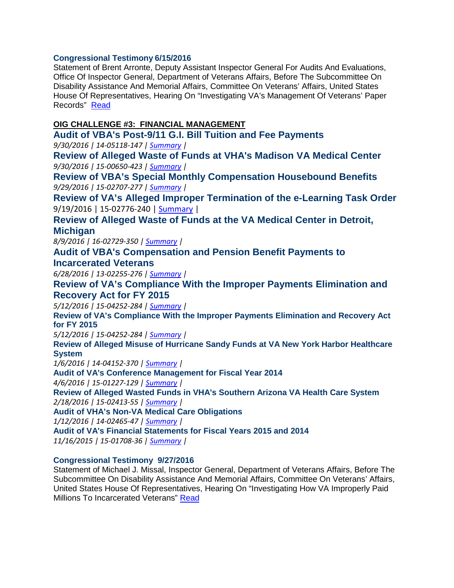## **[Congressional Testimony 6](http://www.va.gov/oig/pubs/statements/VAOIG-Statement-20160615-arronte.pdf)/15/2016**

 Office Of Inspector General, Department of Veterans Affairs, Before The Subcommittee On Records" Read Statement of Brent Arronte, Deputy Assistant Inspector General For Audits And Evaluations, Disability Assistance And Memorial Affairs, Committee On Veterans' Affairs, United States House Of Representatives, Hearing On "Investigating VA's Management Of Veterans' Paper

## **OIG CHALLENGE #3: FINANCIAL MANAGEMENT**

 *9/30/2016 | 14-05118-147 | [Summary](http://www.va.gov/oig/publications/report-summary.asp?id=3803) |*  **[Audit of VBA's Post-9/11 G.I. Bill Tuition and Fee Payments](http://www.va.gov/oig/pubs/VAOIG-14-05118-147.pdf)**

 *9/30/2016 | 15-00650-423 | [Summary](http://www.va.gov/oig/publications/report-summary.asp?id=3801) |*  **[Review of Alleged Waste of Funds at VHA's Madison VA Medical Center](http://www.va.gov/oig/pubs/VAOIG-15-00650-423.pdf)** 

 *9/29/2016 | 15-02707-277 | [Summary](http://www.va.gov/oig/publications/report-summary.asp?id=3800) |*  **[Review of VBA's Special Monthly Compensation Housebound Benefits](http://www.va.gov/oig/pubs/VAOIG-15-02707-277.pdf)**

9/19/2016 | 15-02776-240 | <u>Summary</u> | **[Review of VA's Alleged Improper Termination of the e-Learning Task Order](http://www.va.gov/oig/pubs/VAOIG-15-02776-240.pdf)** 

**[Review of Alleged Waste of Funds at the VA Medical Center in Detroit,](http://www.va.gov/oig/pubs/VAOIG-16-02729-350.pdf)  [Michigan](http://www.va.gov/oig/pubs/VAOIG-16-02729-350.pdf)** 

 *8/9/2016 | 16-02729-350 [| Summary](http://www.va.gov/oig/publications/report-summary.asp?id=3778) |* 

**[Audit of VBA's Compensation and Pension Benefit Payments to](http://www.va.gov/oig/pubs/VAOIG-13-02255-276.pdf)  [Incarcerated Veterans](http://www.va.gov/oig/pubs/VAOIG-13-02255-276.pdf)** 

 *6/28/2016 | 13-02255-276 | [Summary](http://www.va.gov/oig/publications/report-summary.asp?id=3771) |* 

**[Review of VA's Compliance With the Improper Payments Elimination and](http://www.va.gov/oig/pubs/VAOIG-15-04252-284.pdf)  [Recovery Act for FY 2015](http://www.va.gov/oig/pubs/VAOIG-15-04252-284.pdf)** 

 *5/12/2016 | 15-04252-284 | [Summary](http://www.va.gov/oig/publications/report-summary.asp?id=3748) |* 

 **[Review of VA's Compliance With the Improper Payments Elimination and Recovery Act](http://www.va.gov/oig/pubs/VAOIG-15-04252-284.pdf) [for FY 2015](http://www.va.gov/oig/pubs/VAOIG-15-04252-284.pdf)** 

 *5/12/2016 | 15-04252-284 | [Summary](http://www.va.gov/oig/publications/report-summary.asp?id=3748) |* 

**[Review of Alleged Misuse of Hurricane Sandy Funds at VA New York Harbor Healthcare](http://www.va.gov/oig/pubs/VAOIG-14-04152-370.pdf) [System](http://www.va.gov/oig/pubs/VAOIG-14-04152-370.pdf)** 

 *1/6/2016 | 14-04152-370 [| Summary](http://www.va.gov/oig/publications/report-summary.asp?id=3663) |* 

**[Audit of VA's Conference Management for Fiscal Year 2014](http://www.va.gov/oig/pubs/VAOIG-15-01227-129.pdf)** 

 *4/6/2016 | 15-01227-129 [| Summary](http://www.va.gov/oig/publications/report-summary.asp?id=3715) |* 

 *2/18/2016 | 15-02413-55 [| Summary](http://www.va.gov/oig/publications/report-summary.asp?id=3696) |*  **[Review of Alleged Wasted Funds in VHA's Southern Arizona VA Health Care System](http://www.va.gov/oig/pubs/VAOIG-15-02413-55.pdf)** 

**[Audit of VHA's Non-VA Medical Care Obligations](http://www.va.gov/oig/pubs/VAOIG-14-02465-47.pdf)** 

 *1/12/2016 | 14-02465-47 [| Summary](http://www.va.gov/oig/publications/report-summary.asp?id=3664) |* 

**[Audit of VA's Financial Statements for Fiscal Years 2015 and 2014](http://www.va.gov/oig/pubs/VAOIG-15-01708-36.pdf)** 

 *11/16/2015 | 15-01708-36 | [Summary](http://www.va.gov/oig/publications/report-summary.asp?id=3675) |* 

## **[Congressional Testimony](http://www.va.gov/oig/pubs/statements/VAOIG-statement-20160927-missal.pdf) 9/27/2016**

Statement of Michael J. Missal, Inspector General, Department of Veterans Affairs, Before The Subcommittee On Disability Assistance And Memorial Affairs, Committee On Veterans' Affairs, United States House Of Representatives, Hearing On "Investigating How VA Improperly Paid Millions To Incarcerated Veterans" Read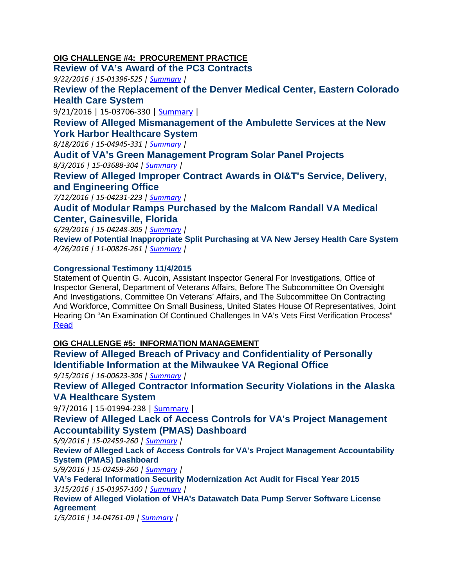# **OIG CHALLENGE #4: PROCUREMENT PRACTICE**

 **[Review of VA's Award of the PC3 Contracts](http://www.va.gov/oig/pubs/VAOIG-15-01396-525.pdf)** 

 *9/22/2016 | 15-01396-525 | [Summary](http://www.va.gov/oig/publications/report-summary.asp?id=3790) |* 

**[Review of the Replacement of the Denver Medical Center, Eastern Colorado](http://www.va.gov/oig/pubs/VAOIG-15-03706-330.pdf)  [Health Care System](http://www.va.gov/oig/pubs/VAOIG-15-03706-330.pdf)** 

9/21/2016 | 15-03706-330 | <u>Summary</u> |

**[Review of Alleged Mismanagement of the Ambulette Services at the New](http://www.va.gov/oig/pubs/vaoig-15-04945-331.pdf)  [York Harbor Healthcare System](http://www.va.gov/oig/pubs/vaoig-15-04945-331.pdf)**

 *8/18/2016 | 15-04945-331 | [Summary](http://www.va.gov/oig/publications/report-summary.asp?id=3782) |* 

 *8/3/2016 | 15-03688-304 [| Summary](http://www.va.gov/oig/publications/report-summary.asp?id=3776) |*  **[Audit of VA's Green Management Program Solar Panel Projects](http://www.va.gov/oig/pubs/VAOIG-15-03688-304.pdf)** 

**[Review of Alleged Improper Contract Awards in OI&T's Service, Delivery,](http://www.va.gov/oig/pubs/VAOIG-15-04231-223.pdf)  [and Engineering Office](http://www.va.gov/oig/pubs/VAOIG-15-04231-223.pdf)** 

 *7/12/2016 | 15-04231-223 | [Summary](http://www.va.gov/oig/publications/report-summary.asp?id=3775) |* 

**[Audit of Modular Ramps Purchased by the Malcom Randall VA Medical](http://www.va.gov/oig/pubs/VAOIG-15-04248-305.pdf)  [Center, Gainesville, Florida](http://www.va.gov/oig/pubs/VAOIG-15-04248-305.pdf)** 

 *6/29/2016 | 15-04248-305 | [Summary](http://www.va.gov/oig/publications/report-summary.asp?id=3773) |* 

 *4/26/2016 | 11-00826-261 | [Summary](http://www.va.gov/oig/publications/report-summary.asp?id=3736) |*  **[Review of Potential Inappropriate Split Purchasing at VA New Jersey Health Care System](http://www.va.gov/oig/pubs/VAOIG-11-00826-261.pdf)** 

## **[Congressional Testimony](http://www.va.gov/OIG/pubs/statements/VAOIG-statement-20151104-aucoin.pdf) 11/4/2015**

 Statement of Quentin G. Aucoin, Assistant Inspector General For Investigations, Office of Inspector General, Department of Veterans Affairs, Before The Subcommittee On Oversight And Investigations, Committee On Veterans' Affairs, and The Subcommittee On Contracting And Workforce, Committee On Small Business, United States House Of Representatives, Joint Hearing On "An Examination Of Continued Challenges In VA's Vets First Verification Process" [Read](http://www.va.gov/OIG/pubs/statements/VAOIG-statement-20151104-aucoin.pdf) 

# **OIG CHALLENGE #5: INFORMATION MANAGEMENT**

 *9/15/2016 | 16-00623-306 | [Summary](http://www.va.gov/oig/publications/report-summary.asp?id=3787) |*  **[Review of Alleged Breach of Privacy and Confidentiality of Personally](http://www.va.gov/oig/pubs/VAOIG-16-00623-306.pdf)  [Identifiable Information at the Milwaukee VA Regional Of](http://www.va.gov/oig/pubs/VAOIG-16-00623-306.pdf)fice** 

**[Review of Alleged Contractor Information Security Violations in the Alaska](http://www.va.gov/oig/pubs/VAOIG-15-01994-238.pdf)  [VA Healthcare System](http://www.va.gov/oig/pubs/VAOIG-15-01994-238.pdf)** 

9/7/2016 | 15-01994-238 | <u>Summary</u> |

**[Review of Alleged Lack of Access Controls for VA's Project Management](http://www.va.gov/oig/pubs/VAOIG-15-02459-260.pdf)  [Accountability System \(PMAS\) Dashboard](http://www.va.gov/oig/pubs/VAOIG-15-02459-260.pdf)** 

 *5/9/2016 | 15-02459-260 [| Summary](http://www.va.gov/oig/publications/report-summary.asp?id=3745) |* 

**[Review of Alleged Lack of Access Controls for VA's Project Management Accountability](http://www.va.gov/oig/pubs/VAOIG-15-02459-260.pdf) [System \(PMAS\) Dashboard](http://www.va.gov/oig/pubs/VAOIG-15-02459-260.pdf)** 

 *5/9/2016 | 15-02459-260 [| Summary](http://www.va.gov/oig/publications/report-summary.asp?id=3745) |* 

 *3/15/2016 | 15-01957-100 | [Summary](http://www.va.gov/oig/publications/report-summary.asp?id=3703) |*  **[VA's Federal Information Security Modernization Act Audit for Fiscal Year 2015](http://www.va.gov/oig/pubs/VAOIG-15-01957-100.pdf)** 

**[Review of Alleged Violation of VHA's Datawatch Data Pump Server Software License](http://www.va.gov/oig/pubs/VAOIG-14-04761-09.pdf) [Agreement](http://www.va.gov/oig/pubs/VAOIG-14-04761-09.pdf)** 

 *1/5/2016 | 14-04761-09 | [Summary |](http://www.va.gov/oig/publications/report-summary.asp?id=3658)*